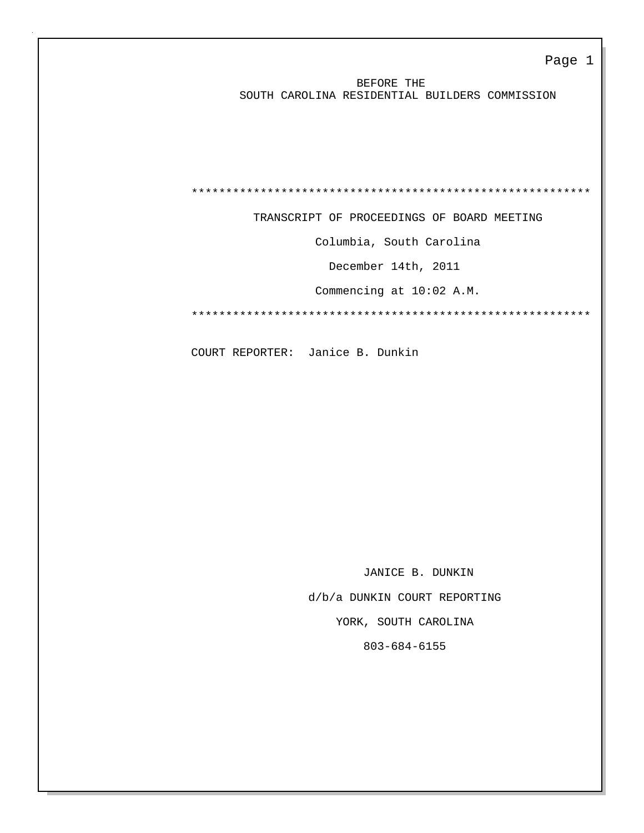BEFORE THE SOUTH CAROLINA RESIDENTIAL BUILDERS COMMISSION

\*\*\*\*\*\*\*\*\*\*\*\*\*\*\*\*\*\*\*\*\*\*\*\*\*\*\*\*\*\*\*\*\*\*\*\*\*\*\*\*\*\*\*\*\*\*\*\*\*\*\*\*\*\*\*\*\*\*

TRANSCRIPT OF PROCEEDINGS OF BOARD MEETING

Columbia, South Carolina

December 14th, 2011

Commencing at 10:02 A.M.

\*\*\*\*\*\*\*\*\*\*\*\*\*\*\*\*\*\*\*\*\*\*\*\*\*\*\*\*\*\*\*\*\*\*\*\*\*\*\*\*\*\*\*\*\*\*\*\*\*\*\*\*\*\*\*\*\*\*

COURT REPORTER: Janice B. Dunkin

 JANICE B. DUNKIN d/b/a DUNKIN COURT REPORTING YORK, SOUTH CAROLINA 803-684-6155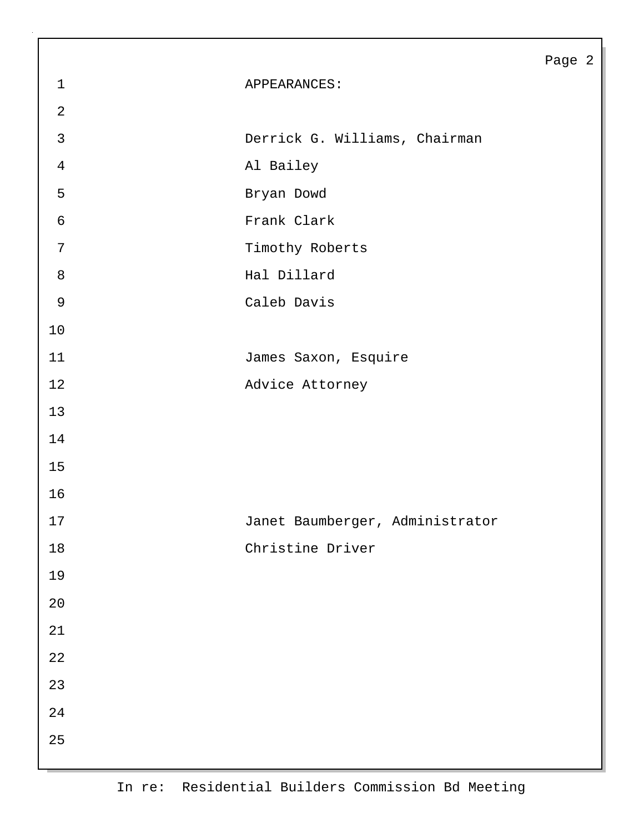|                  |                                 | Page 2 |  |
|------------------|---------------------------------|--------|--|
| $\mathbf{1}$     | APPEARANCES:                    |        |  |
| $\overline{2}$   |                                 |        |  |
| $\mathfrak{Z}$   | Derrick G. Williams, Chairman   |        |  |
| $\overline{4}$   | Al Bailey                       |        |  |
| 5                | Bryan Dowd                      |        |  |
| $\sqrt{6}$       | Frank Clark                     |        |  |
| $\boldsymbol{7}$ | Timothy Roberts                 |        |  |
| $\,8\,$          | Hal Dillard                     |        |  |
| $\mathsf 9$      | Caleb Davis                     |        |  |
| 10               |                                 |        |  |
| 11               | James Saxon, Esquire            |        |  |
| 12               | Advice Attorney                 |        |  |
| 13               |                                 |        |  |
| 14               |                                 |        |  |
| 15               |                                 |        |  |
| 16               |                                 |        |  |
| $17$             | Janet Baumberger, Administrator |        |  |
| $18\,$           | Christine Driver                |        |  |
| 19               |                                 |        |  |
| $2\,0$           |                                 |        |  |
| $2\sqrt{1}$      |                                 |        |  |
| 22               |                                 |        |  |
| 23               |                                 |        |  |
| 24               |                                 |        |  |
| 25               |                                 |        |  |
|                  |                                 |        |  |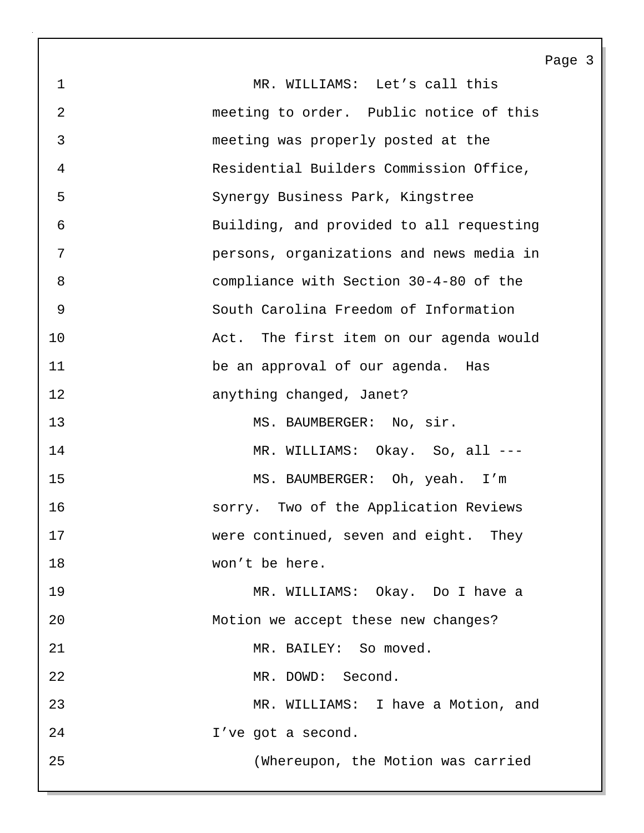1 MR. WILLIAMS: Let's call this 2 meeting to order. Public notice of this 3 meeting was properly posted at the 4 Residential Builders Commission Office, 5 Synergy Business Park, Kingstree 6 Building, and provided to all requesting 7 persons, organizations and news media in 8 compliance with Section 30-4-80 of the 9 South Carolina Freedom of Information 10 Act. The first item on our agenda would 11 be an approval of our agenda. Has 12 anything changed, Janet? 13 MS. BAUMBERGER: No, sir. 14 MR. WILLIAMS: Okay. So, all ---15 MS. BAUMBERGER: Oh, yeah. I'm 16 sorry. Two of the Application Reviews 17 were continued, seven and eight. They 18 won't be here. 19 MR. WILLIAMS: Okay. Do I have a 20 Motion we accept these new changes? 21 MR. BAILEY: So moved. 22 MR. DOWD: Second. 23 MR. WILLIAMS: I have a Motion, and 24 I've got a second. 25 (Whereupon, the Motion was carried

Page 3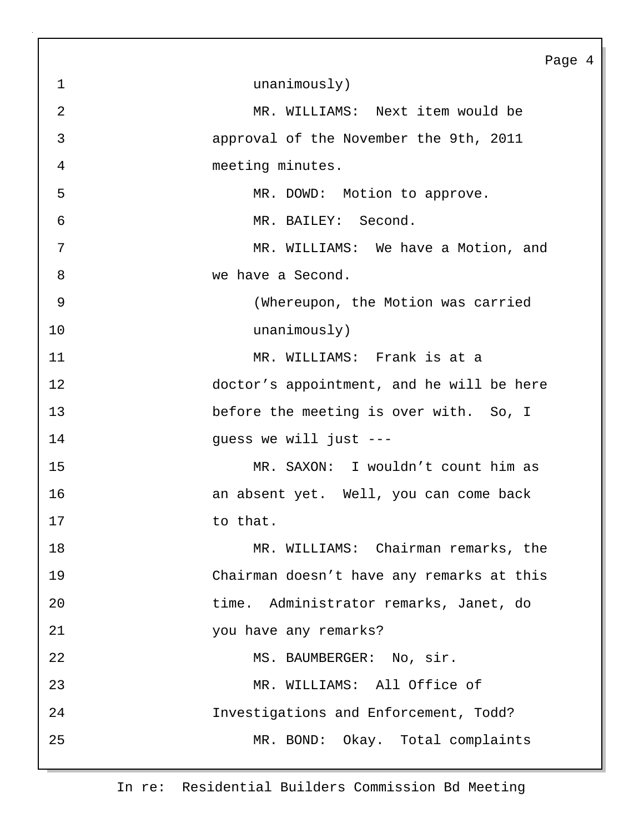|              | Page                                      |
|--------------|-------------------------------------------|
| $\mathbf{1}$ | unanimously)                              |
| 2            | MR. WILLIAMS: Next item would be          |
| 3            | approval of the November the 9th, 2011    |
| 4            | meeting minutes.                          |
| 5            | MR. DOWD: Motion to approve.              |
| 6            | MR. BAILEY: Second.                       |
| 7            | MR. WILLIAMS: We have a Motion, and       |
| 8            | we have a Second.                         |
| 9            | (Whereupon, the Motion was carried        |
| 10           | unanimously)                              |
| 11           | MR. WILLIAMS: Frank is at a               |
| 12           | doctor's appointment, and he will be here |
| 13           | before the meeting is over with. So, I    |
| 14           | guess we will just ---                    |
| 15           | MR. SAXON: I wouldn't count him as        |
| 16           | an absent yet. Well, you can come back    |
| 17           | to that.                                  |
| 18           | MR. WILLIAMS: Chairman remarks, the       |
| 19           | Chairman doesn't have any remarks at this |
| 20           | time. Administrator remarks, Janet, do    |
| 21           | you have any remarks?                     |
| 22           | MS. BAUMBERGER: No, sir.                  |
| 23           | MR. WILLIAMS: All Office of               |
| 24           | Investigations and Enforcement, Todd?     |
| 25           | MR. BOND: Okay. Total complaints          |
|              |                                           |

 $\overline{4}$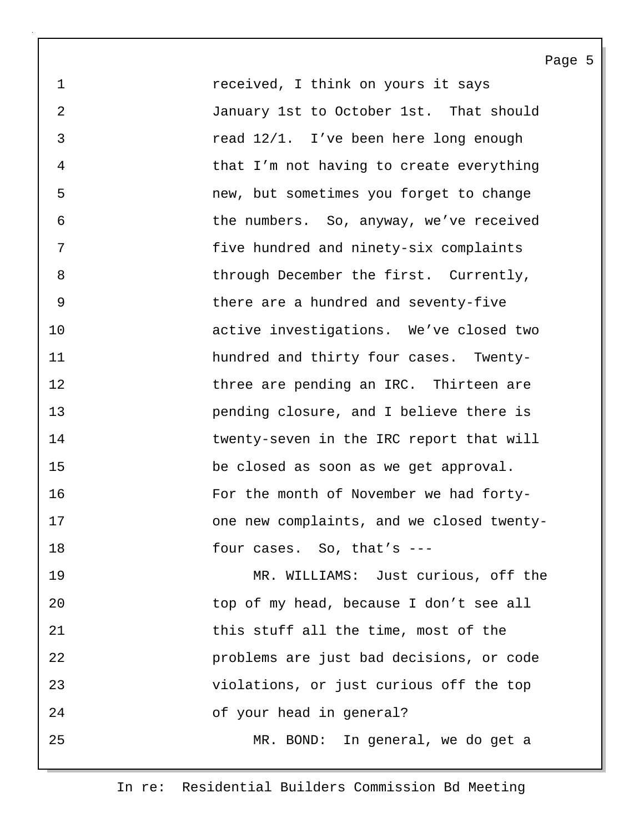1 **1** *received, I think on yours it says* 2 January 1st to October 1st. That should 3 read 12/1. I've been here long enough 4 that I'm not having to create everything 5 new, but sometimes you forget to change 6 the numbers. So, anyway, we've received 7 five hundred and ninety-six complaints 8 through December the first. Currently, 9 there are a hundred and seventy-five 10 active investigations. We've closed two 11 hundred and thirty four cases. Twenty-12 **three are pending an IRC.** Thirteen are 13 pending closure, and I believe there is 14 twenty-seven in the IRC report that will 15 be closed as soon as we get approval. 16 For the month of November we had forty-17 one new complaints, and we closed twenty-18 four cases. So, that's ---

Page 5

19 MR. WILLIAMS: Just curious, off the 20 top of my head, because I don't see all 21 this stuff all the time, most of the 22 problems are just bad decisions, or code 23 violations, or just curious off the top 24 of your head in general? 25 MR. BOND: In general, we do get a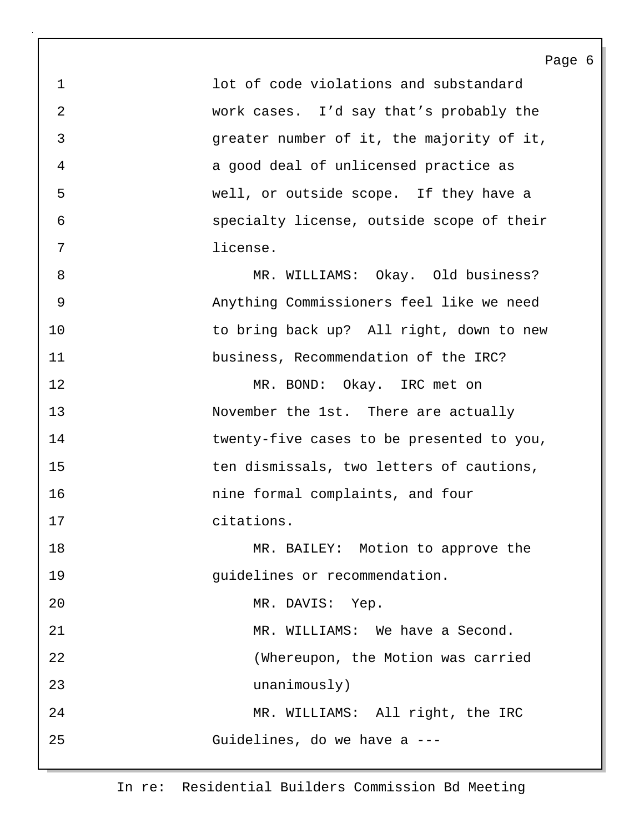Page 6 1 lot of code violations and substandard 2 work cases. I'd say that's probably the 3 greater number of it, the majority of it, 4 a good deal of unlicensed practice as 5 well, or outside scope. If they have a 6 specialty license, outside scope of their 7 license. 8 MR. WILLIAMS: Okay. Old business? 9 Anything Commissioners feel like we need 10 to bring back up? All right, down to new 11 business, Recommendation of the IRC? 12 MR. BOND: Okay. IRC met on 13 November the 1st. There are actually 14 twenty-five cases to be presented to you, 15 ten dismissals, two letters of cautions, 16 nine formal complaints, and four 17 citations. 18 MR. BAILEY: Motion to approve the 19 guidelines or recommendation. 20 MR. DAVIS: Yep. 21 MR. WILLIAMS: We have a Second. 22 (Whereupon, the Motion was carried 23 unanimously) 24 MR. WILLIAMS: All right, the IRC 25 Guidelines, do we have a ---

In re: Residential Builders Commission Bd Meeting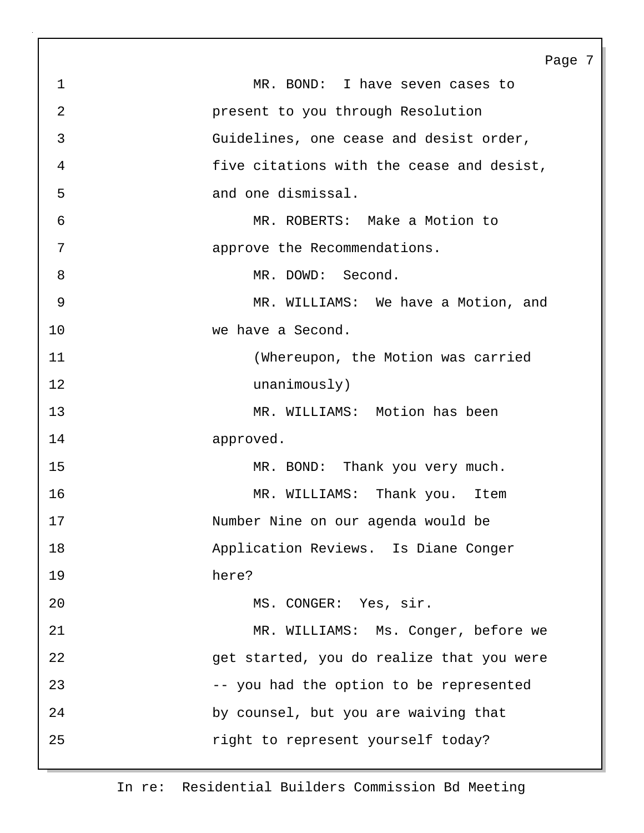Page 7 1 MR. BOND: I have seven cases to 2 present to you through Resolution 3 Guidelines, one cease and desist order, 4 five citations with the cease and desist, 5 and one dismissal. 6 MR. ROBERTS: Make a Motion to 7 approve the Recommendations. 8 MR. DOWD: Second. 9 MR. WILLIAMS: We have a Motion, and 10 we have a Second. 11 (Whereupon, the Motion was carried 12 unanimously) 13 MR. WILLIAMS: Motion has been 14 approved. 15 MR. BOND: Thank you very much. 16 MR. WILLIAMS: Thank you. Item 17 Number Nine on our agenda would be 18 Application Reviews. Is Diane Conger 19 here? 20 MS. CONGER: Yes, sir. 21 MR. WILLIAMS: Ms. Conger, before we 22 get started, you do realize that you were 23 -- you had the option to be represented 24 by counsel, but you are waiving that 25 **1991** right to represent yourself today?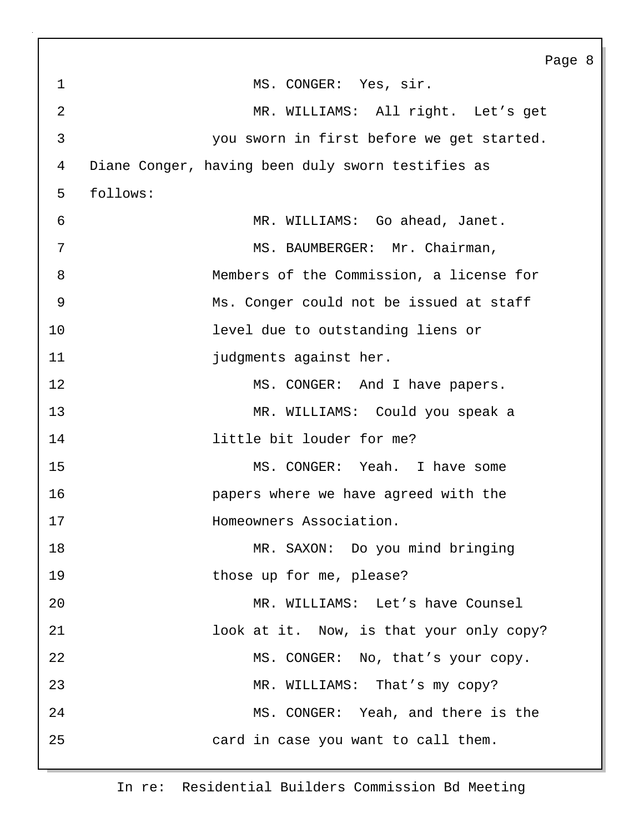Page 8 1 MS. CONGER: Yes, sir. 2 MR. WILLIAMS: All right. Let's get 3 you sworn in first before we get started. 4 Diane Conger, having been duly sworn testifies as 5 follows: 6 MR. WILLIAMS: Go ahead, Janet. 7 MS. BAUMBERGER: Mr. Chairman, 8 Members of the Commission, a license for 9 Ms. Conger could not be issued at staff 10 level due to outstanding liens or 11 **judgments** against her. 12 MS. CONGER: And I have papers. 13 MR. WILLIAMS: Could you speak a 14 little bit louder for me? 15 MS. CONGER: Yeah. I have some 16 papers where we have agreed with the 17 **Homeowners Association.** 18 MR. SAXON: Do you mind bringing 19 those up for me, please? 20 MR. WILLIAMS: Let's have Counsel 21 look at it. Now, is that your only copy? 22 MS. CONGER: No, that's your copy. 23 MR. WILLIAMS: That's my copy? 24 MS. CONGER: Yeah, and there is the 25 card in case you want to call them.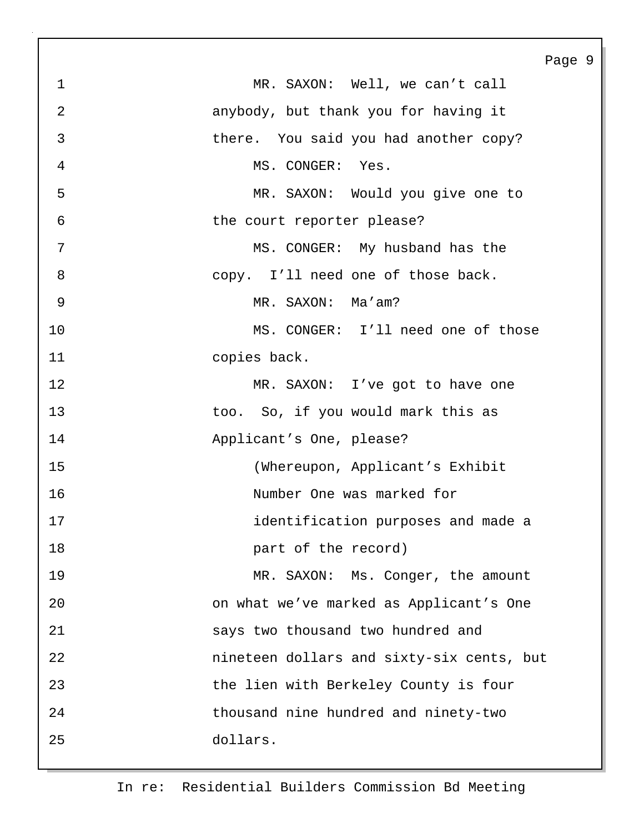|                |                                           | Page 9 |  |
|----------------|-------------------------------------------|--------|--|
| $\mathbf{1}$   | MR. SAXON: Well, we can't call            |        |  |
| $\overline{a}$ | anybody, but thank you for having it      |        |  |
| $\mathfrak{Z}$ | there. You said you had another copy?     |        |  |
| $\overline{4}$ | MS. CONGER: Yes.                          |        |  |
| 5              | MR. SAXON: Would you give one to          |        |  |
| 6              | the court reporter please?                |        |  |
| 7              | MS. CONGER: My husband has the            |        |  |
| 8              | copy. I'll need one of those back.        |        |  |
| 9              | MR. SAXON: Ma'am?                         |        |  |
| 10             | MS. CONGER: I'll need one of those        |        |  |
| 11             | copies back.                              |        |  |
| 12             | MR. SAXON: I've got to have one           |        |  |
| 13             | too. So, if you would mark this as        |        |  |
| 14             | Applicant's One, please?                  |        |  |
| 15             | (Whereupon, Applicant's Exhibit           |        |  |
| 16             | Number One was marked for                 |        |  |
| 17             | identification purposes and made a        |        |  |
| 18             | part of the record)                       |        |  |
| 19             | MR. SAXON: Ms. Conger, the amount         |        |  |
| 20             | on what we've marked as Applicant's One   |        |  |
| 21             | says two thousand two hundred and         |        |  |
| 22             | nineteen dollars and sixty-six cents, but |        |  |
| 23             | the lien with Berkeley County is four     |        |  |
| 24             | thousand nine hundred and ninety-two      |        |  |
| 25             | dollars.                                  |        |  |
|                |                                           |        |  |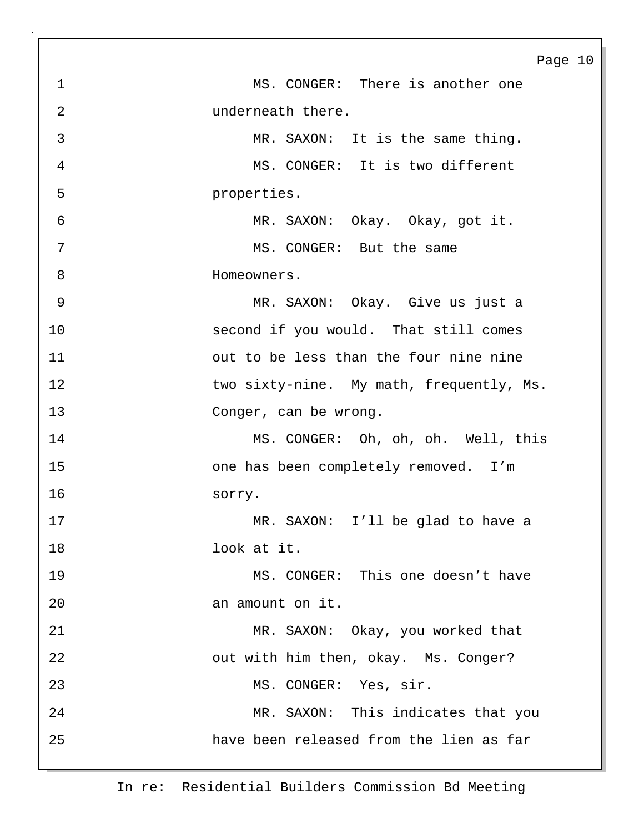Page 10 1 MS. CONGER: There is another one 2 underneath there. 3 MR. SAXON: It is the same thing. 4 MS. CONGER: It is two different 5 properties. 6 MR. SAXON: Okay. Okay, got it. 7 MS. CONGER: But the same 8 **B** Homeowners. 9 MR. SAXON: Okay. Give us just a 10 second if you would. That still comes 11 out to be less than the four nine nine 12 two sixty-nine. My math, frequently, Ms. 13 Conger, can be wrong. 14 MS. CONGER: Oh, oh, oh. Well, this 15 one has been completely removed. I'm 16 sorry. 17 MR. SAXON: I'll be glad to have a 18 look at it. 19 MS. CONGER: This one doesn't have 20 an amount on it. 21 MR. SAXON: Okay, you worked that 22 out with him then, okay. Ms. Conger? 23 MS. CONGER: Yes, sir. 24 MR. SAXON: This indicates that you 25 have been released from the lien as far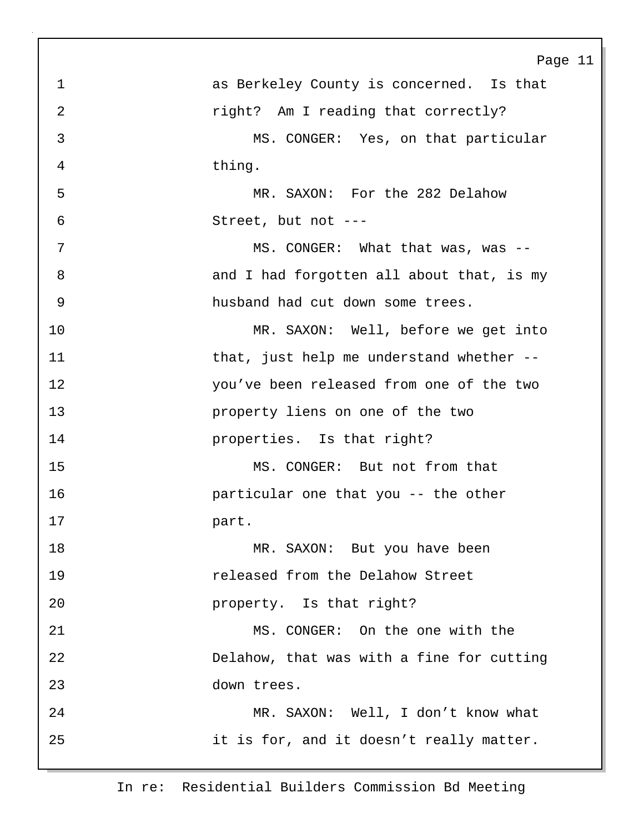|                | Page 11                                     |
|----------------|---------------------------------------------|
| $\mathbf{1}$   | as Berkeley County is concerned. Is that    |
| $\overline{a}$ | right? Am I reading that correctly?         |
| 3              | MS. CONGER: Yes, on that particular         |
| 4              | thing.                                      |
| 5              | MR. SAXON: For the 282 Delahow              |
| 6              | Street, but not ---                         |
| 7              | MS. CONGER: What that was, was --           |
| 8              | and I had forgotten all about that, is my   |
| 9              | husband had cut down some trees.            |
| 10             | MR. SAXON: Well, before we get into         |
| 11             | that, just help me understand whether $-$ - |
| 12             | you've been released from one of the two    |
| 13             | property liens on one of the two            |
| 14             | properties. Is that right?                  |
| 15             | MS. CONGER: But not from that               |
| 16             | particular one that you -- the other        |
| 17             | part.                                       |
| 18             | MR. SAXON: But you have been                |
| 19             | released from the Delahow Street            |
| 20             | property. Is that right?                    |
| 21             | MS. CONGER: On the one with the             |
| 22             | Delahow, that was with a fine for cutting   |
| 23             | down trees.                                 |
| 24             | MR. SAXON: Well, I don't know what          |
| 25             | it is for, and it doesn't really matter.    |
|                |                                             |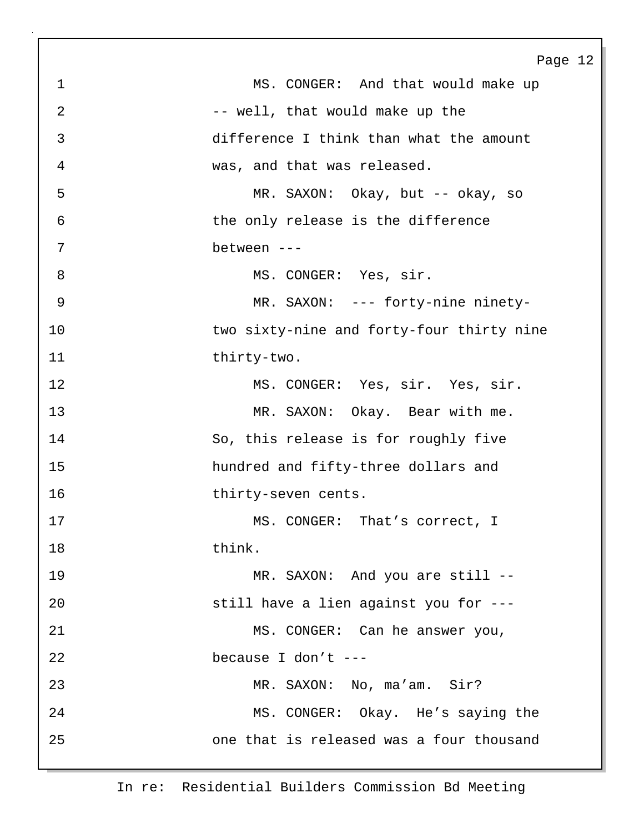|                | Page 12                                   |
|----------------|-------------------------------------------|
| $\mathbf 1$    | MS. CONGER: And that would make up        |
| $\overline{2}$ | -- well, that would make up the           |
| 3              | difference I think than what the amount   |
| 4              | was, and that was released.               |
| 5              | MR. SAXON: Okay, but -- okay, so          |
| 6              | the only release is the difference        |
| 7              | between ---                               |
| 8              | MS. CONGER: Yes, sir.                     |
| 9              | MR. SAXON: --- forty-nine ninety-         |
| 10             | two sixty-nine and forty-four thirty nine |
| 11             | thirty-two.                               |
| 12             | MS. CONGER: Yes, sir. Yes, sir.           |
| 13             | MR. SAXON: Okay. Bear with me.            |
| 14             | So, this release is for roughly five      |
| 15             | hundred and fifty-three dollars and       |
| 16             | thirty-seven cents.                       |
| 17             | MS. CONGER: That's correct, I             |
| 18             | think.                                    |
| 19             | MR. SAXON: And you are still --           |
| 20             | still have a lien against you for ---     |
| 21             | MS. CONGER: Can he answer you,            |
| 22             | because I don't ---                       |
| 23             | MR. SAXON: No, ma'am. Sir?                |
| 24             | MS. CONGER: Okay. He's saying the         |
| 25             | one that is released was a four thousand  |
|                |                                           |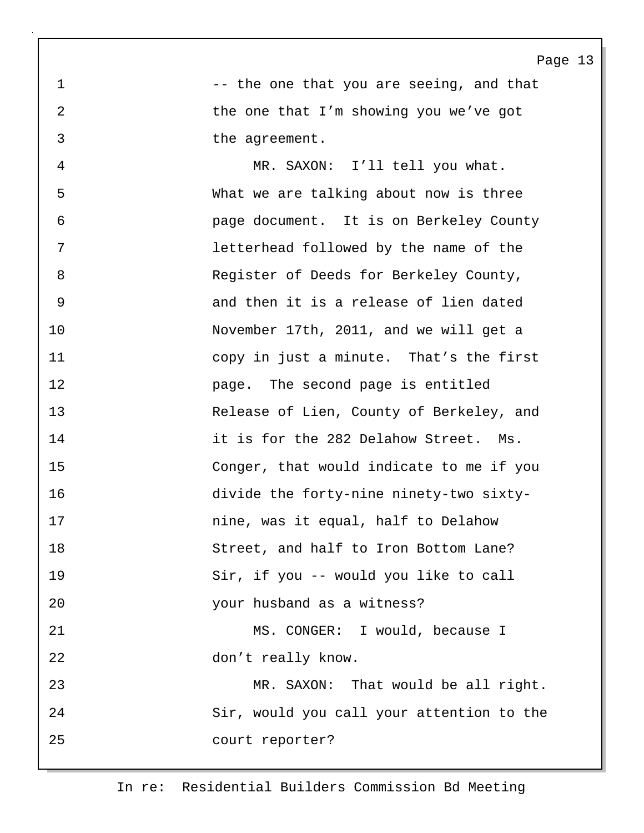1 -- the one that you are seeing, and that 2 the one that I'm showing you we've got 3 the agreement.

4 MR. SAXON: I'll tell you what. 5 What we are talking about now is three 6 page document. It is on Berkeley County 7 letterhead followed by the name of the 8 Register of Deeds for Berkeley County, 9 and then it is a release of lien dated 10 November 17th, 2011, and we will get a 11 copy in just a minute. That's the first 12 page. The second page is entitled 13 Release of Lien, County of Berkeley, and 14 it is for the 282 Delahow Street. Ms. 15 Conger, that would indicate to me if you 16 divide the forty-nine ninety-two sixty-17 nine, was it equal, half to Delahow 18 Street, and half to Iron Bottom Lane? 19 Sir, if you -- would you like to call 20 your husband as a witness? 21 MS. CONGER: I would, because I 22 don't really know. 23 MR. SAXON: That would be all right. 24 Sir, would you call your attention to the 25 court reporter?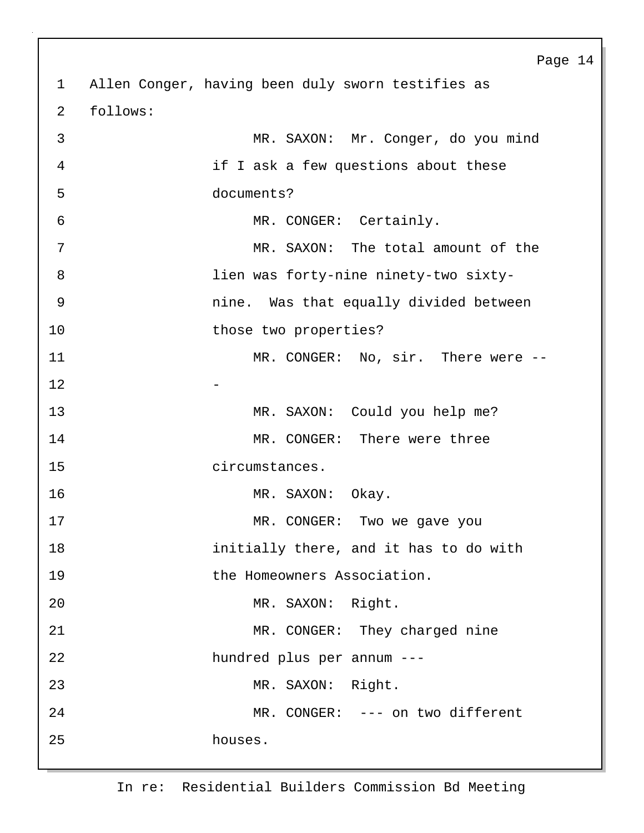Page 14 1 Allen Conger, having been duly sworn testifies as 2 follows: 3 MR. SAXON: Mr. Conger, do you mind 4 if I ask a few questions about these 5 documents? 6 MR. CONGER: Certainly. 7 MR. SAXON: The total amount of the 8 lien was forty-nine ninety-two sixty-9 nine. Was that equally divided between 10 those two properties? 11 MR. CONGER: No, sir. There were -- $12$  -13 MR. SAXON: Could you help me? 14 MR. CONGER: There were three 15 circumstances. 16 MR. SAXON: Okay. 17 MR. CONGER: Two we gave you 18 initially there, and it has to do with 19 the Homeowners Association. 20 MR. SAXON: Right. 21 MR. CONGER: They charged nine 22 hundred plus per annum --- 23 MR. SAXON: Right. 24 MR. CONGER: --- on two different 25 houses.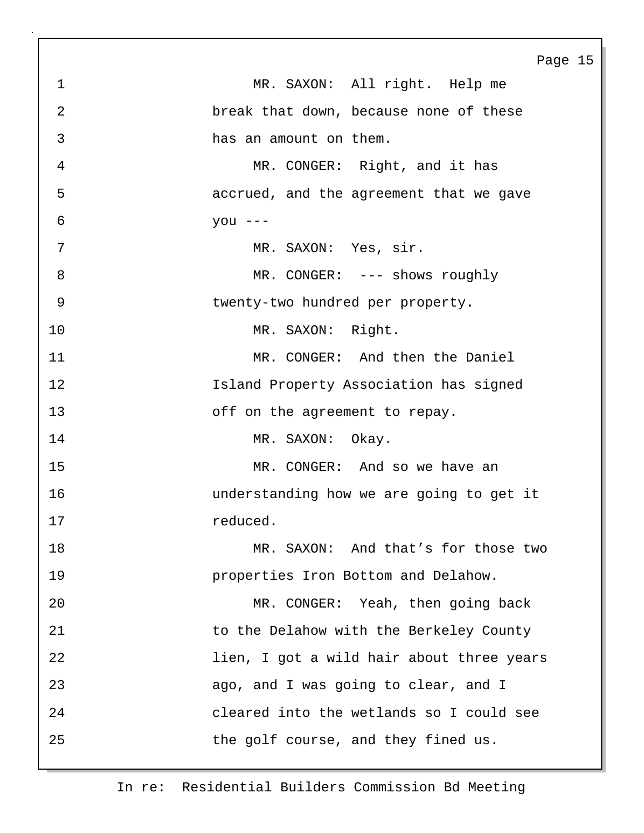|             | Page 15                                   |
|-------------|-------------------------------------------|
| $\mathbf 1$ | MR. SAXON: All right. Help me             |
| 2           | break that down, because none of these    |
| 3           | has an amount on them.                    |
| 4           | MR. CONGER: Right, and it has             |
| 5           | accrued, and the agreement that we gave   |
| 6           | you $---$                                 |
| 7           | MR. SAXON: Yes, sir.                      |
| 8           | MR. CONGER: --- shows roughly             |
| 9           | twenty-two hundred per property.          |
| 10          | MR. SAXON: Right.                         |
| 11          | MR. CONGER: And then the Daniel           |
| 12          | Island Property Association has signed    |
| 13          | off on the agreement to repay.            |
| 14          | MR. SAXON: Okay.                          |
| 15          | MR. CONGER: And so we have an             |
| 16          | understanding how we are going to get it  |
| 17          | reduced                                   |
| 18          | MR. SAXON: And that's for those two       |
| 19          | properties Iron Bottom and Delahow.       |
| 20          | MR. CONGER: Yeah, then going back         |
| 21          | to the Delahow with the Berkeley County   |
| 22          | lien, I got a wild hair about three years |
| 23          | ago, and I was going to clear, and I      |
| 24          | cleared into the wetlands so I could see  |
| 25          | the golf course, and they fined us.       |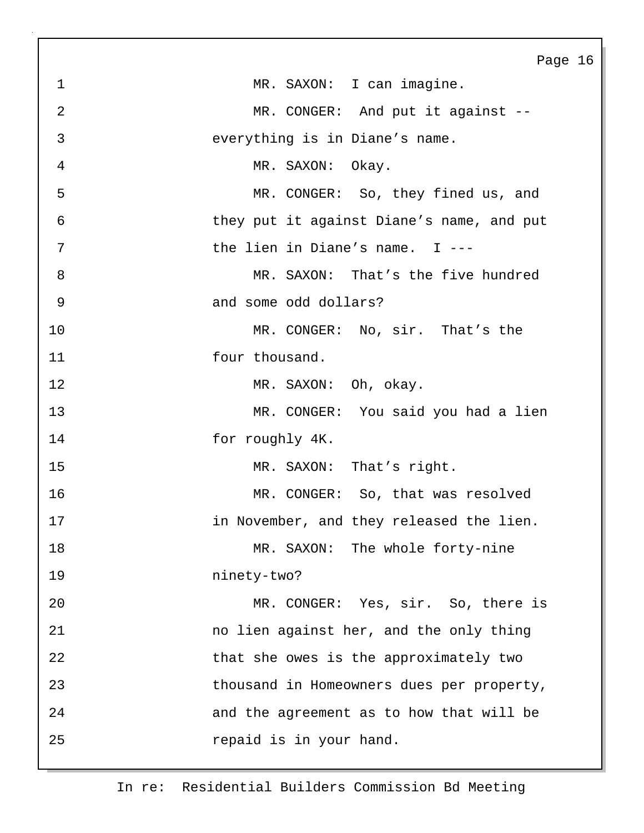|                | Page 16                                   |
|----------------|-------------------------------------------|
| $\mathbf 1$    | MR. SAXON: I can imagine.                 |
| $\overline{2}$ | MR. CONGER: And put it against --         |
| $\mathfrak{Z}$ | everything is in Diane's name.            |
| $\overline{4}$ | MR. SAXON: Okay.                          |
| 5              | MR. CONGER: So, they fined us, and        |
| 6              | they put it against Diane's name, and put |
| 7              | the lien in Diane's name. $I$ ---         |
| 8              | MR. SAXON: That's the five hundred        |
| 9              | and some odd dollars?                     |
| 10             | MR. CONGER: No, sir. That's the           |
| 11             | four thousand.                            |
| 12             | MR. SAXON: Oh, okay.                      |
| 13             | MR. CONGER: You said you had a lien       |
| 14             | for roughly 4K.                           |
| 15             | MR. SAXON: That's right.                  |
| 16             | MR. CONGER: So, that was resolved         |
| 17             | in November, and they released the lien   |
| 18             | MR. SAXON: The whole forty-nine           |
| 19             | ninety-two?                               |
| 20             | MR. CONGER: Yes, sir. So, there is        |
| 21             | no lien against her, and the only thing   |
| 22             | that she owes is the approximately two    |
| 23             | thousand in Homeowners dues per property, |
| 24             | and the agreement as to how that will be  |
| 25             | repaid is in your hand.                   |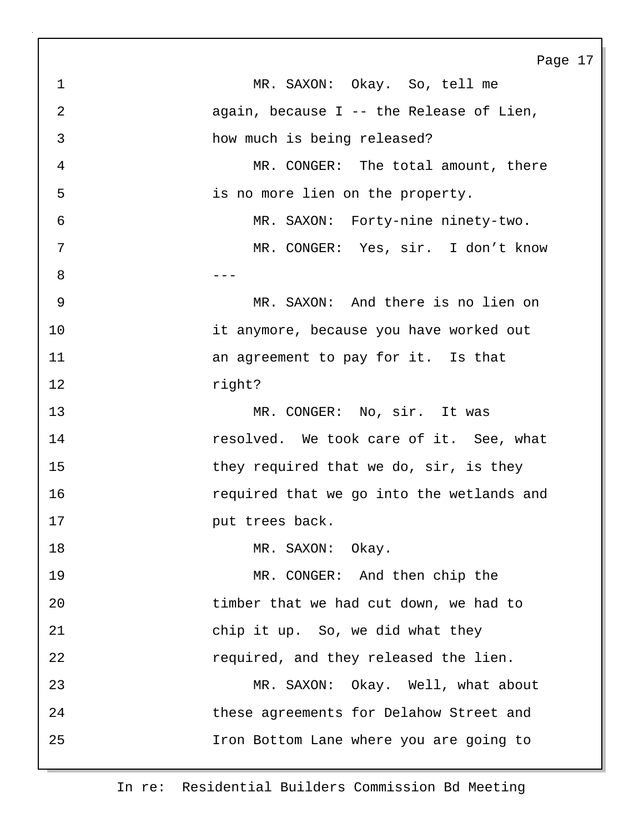Page 17 1 MR. SAXON: Okay. So, tell me 2 again, because I -- the Release of Lien, 3 how much is being released? 4 MR. CONGER: The total amount, there 5 is no more lien on the property. 6 MR. SAXON: Forty-nine ninety-two. 7 MR. CONGER: Yes, sir. I don't know 8 --- **120 --- 120 --- 120 --- 120 ---**9 MR. SAXON: And there is no lien on 10 it anymore, because you have worked out 11 **11 an agreement to pay for it.** Is that 12 right? 13 MR. CONGER: No, sir. It was 14 **resolved.** We took care of it. See, what 15 they required that we do, sir, is they 16 required that we go into the wetlands and 17 **put trees back.** 18 MR. SAXON: Okay. 19 MR. CONGER: And then chip the 20 timber that we had cut down, we had to 21 chip it up. So, we did what they 22 required, and they released the lien. 23 MR. SAXON: Okay. Well, what about 24 these agreements for Delahow Street and 25 Iron Bottom Lane where you are going to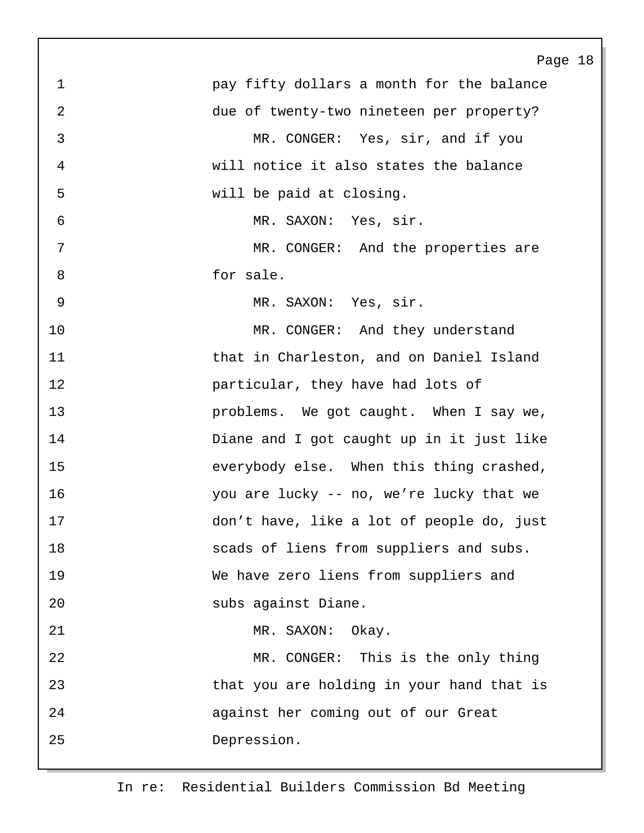Page 18 1 pay fifty dollars a month for the balance 2 due of twenty-two nineteen per property? 3 MR. CONGER: Yes, sir, and if you 4 will notice it also states the balance 5 will be paid at closing. 6 MR. SAXON: Yes, sir. 7 MR. CONGER: And the properties are 8 for sale. 9 MR. SAXON: Yes, sir. 10 MR. CONGER: And they understand 11 that in Charleston, and on Daniel Island 12 particular, they have had lots of 13 **problems.** We got caught. When I say we, 14 Diane and I got caught up in it just like 15 everybody else. When this thing crashed, 16 you are lucky -- no, we're lucky that we 17 don't have, like a lot of people do, just 18 scads of liens from suppliers and subs. 19 We have zero liens from suppliers and 20 subs against Diane. 21 MR. SAXON: Okay. 22 MR. CONGER: This is the only thing 23 that you are holding in your hand that is 24 against her coming out of our Great 25 Depression.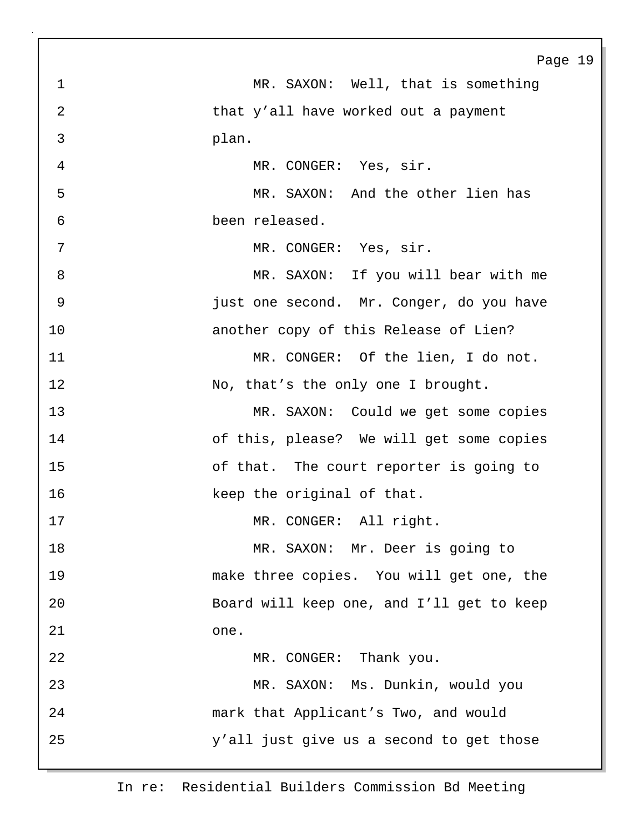|    | Page 19                                   |
|----|-------------------------------------------|
| 1  | MR. SAXON: Well, that is something        |
| 2  | that y'all have worked out a payment      |
| 3  | plan.                                     |
| 4  | MR. CONGER: Yes, sir.                     |
| 5  | MR. SAXON: And the other lien has         |
| 6  | been released.                            |
| 7  | MR. CONGER: Yes, sir.                     |
| 8  | MR. SAXON: If you will bear with me       |
| 9  | just one second. Mr. Conger, do you have  |
| 10 | another copy of this Release of Lien?     |
| 11 | MR. CONGER: Of the lien, I do not.        |
| 12 | No, that's the only one I brought.        |
| 13 | MR. SAXON: Could we get some copies       |
| 14 | of this, please? We will get some copies  |
| 15 | of that. The court reporter is going to   |
| 16 | keep the original of that.                |
| 17 | MR. CONGER: All right.                    |
| 18 | MR. SAXON: Mr. Deer is going to           |
| 19 | make three copies. You will get one, the  |
| 20 | Board will keep one, and I'll get to keep |
| 21 | one.                                      |
| 22 | MR. CONGER: Thank you.                    |
| 23 | MR. SAXON: Ms. Dunkin, would you          |
| 24 | mark that Applicant's Two, and would      |
| 25 | y'all just give us a second to get those  |
|    |                                           |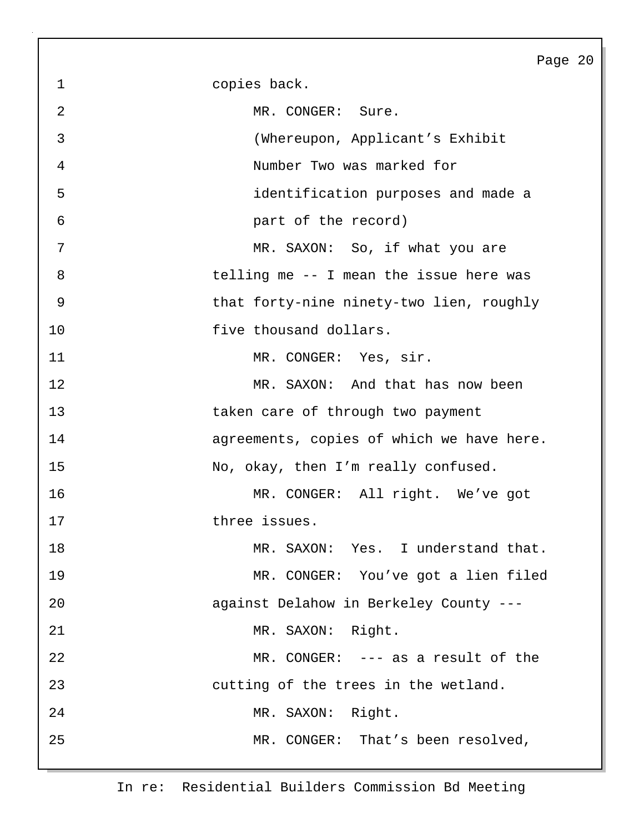1 copies back. 2 MR. CONGER: Sure. 3 (Whereupon, Applicant's Exhibit 4 Number Two was marked for 5 identification purposes and made a 6 part of the record) 7 MR. SAXON: So, if what you are 8 telling me -- I mean the issue here was 9 that forty-nine ninety-two lien, roughly 10 **five thousand dollars.** 11 MR. CONGER: Yes, sir. 12 MR. SAXON: And that has now been 13 taken care of through two payment 14 agreements, copies of which we have here. 15 No, okay, then I'm really confused. 16 MR. CONGER: All right. We've got 17 three issues. 18 MR. SAXON: Yes. I understand that. 19 MR. CONGER: You've got a lien filed 20 against Delahow in Berkeley County --- 21 MR. SAXON: Right. 22 MR. CONGER: --- as a result of the 23 cutting of the trees in the wetland. 24 MR. SAXON: Right. 25 MR. CONGER: That's been resolved,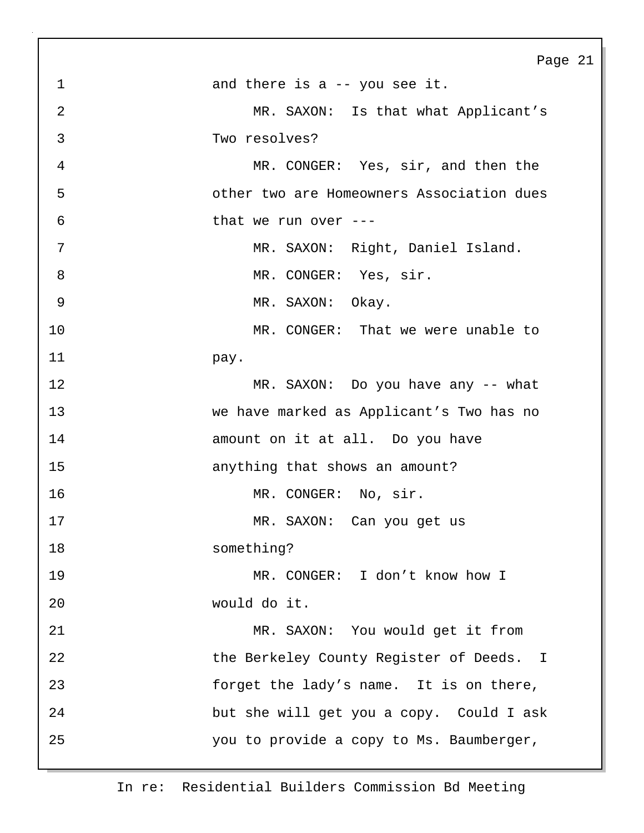Page 21 1 and there is a -- you see it. 2 MR. SAXON: Is that what Applicant's 3 Two resolves? 4 MR. CONGER: Yes, sir, and then the 5 other two are Homeowners Association dues 6 that we run over --- 7 MR. SAXON: Right, Daniel Island. 8 MR. CONGER: Yes, sir. 9 MR. SAXON: Okay. 10 MR. CONGER: That we were unable to 11 pay. 12 MR. SAXON: Do you have any -- what 13 we have marked as Applicant's Two has no 14 amount on it at all. Do you have 15 anything that shows an amount? 16 MR. CONGER: No, sir. 17 MR. SAXON: Can you get us 18 something? 19 MR. CONGER: I don't know how I 20 would do it. 21 MR. SAXON: You would get it from 22 the Berkeley County Register of Deeds. I 23 forget the lady's name. It is on there, 24 but she will get you a copy. Could I ask 25 you to provide a copy to Ms. Baumberger,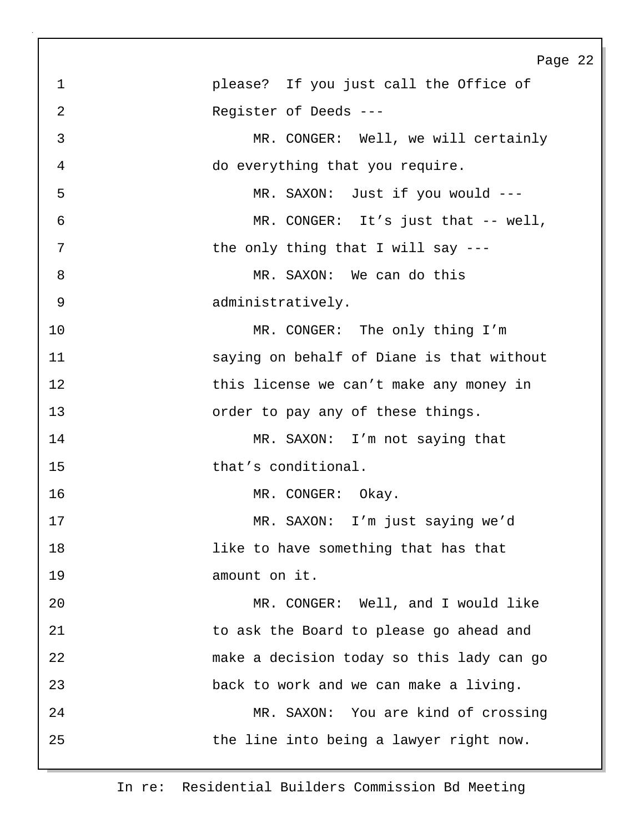Page 22 1 please? If you just call the Office of 2 Register of Deeds --- 3 MR. CONGER: Well, we will certainly 4 do everything that you require. 5 MR. SAXON: Just if you would --- 6 MR. CONGER: It's just that -- well, 7 bhe only thing that I will say ---8 MR. SAXON: We can do this 9 administratively. 10 MR. CONGER: The only thing I'm 11 saying on behalf of Diane is that without 12 this license we can't make any money in 13 **13** order to pay any of these things. 14 MR. SAXON: I'm not saying that 15 that's conditional. 16 MR. CONGER: Okay. 17 MR. SAXON: I'm just saying we'd 18 like to have something that has that 19 amount on it. 20 MR. CONGER: Well, and I would like 21 to ask the Board to please go ahead and 22 make a decision today so this lady can go 23 back to work and we can make a living. 24 MR. SAXON: You are kind of crossing 25 the line into being a lawyer right now.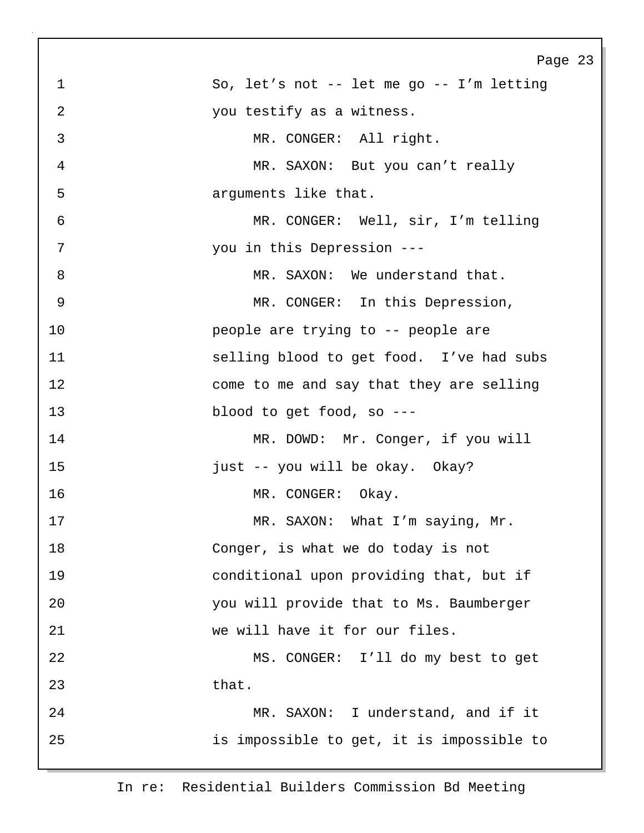|                | Page 23                                   |
|----------------|-------------------------------------------|
| $\mathbf 1$    | So, let's not -- let me go -- I'm letting |
| $\overline{2}$ | you testify as a witness.                 |
| $\mathfrak{Z}$ | MR. CONGER: All right.                    |
| $\overline{4}$ | MR. SAXON: But you can't really           |
| 5              | arguments like that.                      |
| 6              | MR. CONGER: Well, sir, I'm telling        |
| 7              | you in this Depression ---                |
| 8              | MR. SAXON: We understand that.            |
| 9              | MR. CONGER: In this Depression,           |
| 10             | people are trying to -- people are        |
| 11             | selling blood to get food. I've had subs  |
| 12             | come to me and say that they are selling  |
| 13             | blood to get food, so ---                 |
| 14             | MR. DOWD: Mr. Conger, if you will         |
| 15             | just -- you will be okay. Okay?           |
| 16             | MR. CONGER: Okay.                         |
| 17             | MR. SAXON: What I'm saying, Mr.           |
| 18             | Conger, is what we do today is not        |
| 19             | conditional upon providing that, but if   |
| 20             | you will provide that to Ms. Baumberger   |
| 21             | we will have it for our files.            |
| 22             | MS. CONGER: I'll do my best to get        |
| 23             | that.                                     |
| 24             | MR. SAXON: I understand, and if it        |
| 25             | is impossible to get, it is impossible to |
|                |                                           |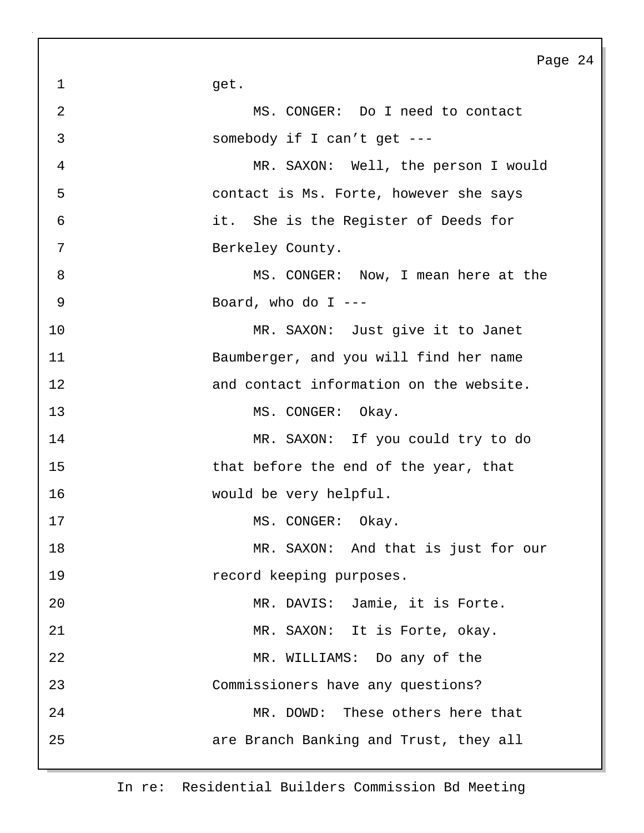1 get. 2 MS. CONGER: Do I need to contact 3 somebody if I can't get --- 4 MR. SAXON: Well, the person I would 5 contact is Ms. Forte, however she says 6 it. She is the Register of Deeds for 7 Berkeley County. 8 MS. CONGER: Now, I mean here at the 9 Board, who do I --- 10 MR. SAXON: Just give it to Janet 11 Baumberger, and you will find her name 12 and contact information on the website. 13 MS. CONGER: Okay. 14 MR. SAXON: If you could try to do 15 that before the end of the year, that 16 would be very helpful. 17 MS. CONGER: Okay. 18 MR. SAXON: And that is just for our 19 **19** record keeping purposes. 20 MR. DAVIS: Jamie, it is Forte. 21 MR. SAXON: It is Forte, okay. 22 MR. WILLIAMS: Do any of the 23 Commissioners have any questions? 24 MR. DOWD: These others here that 25 are Branch Banking and Trust, they all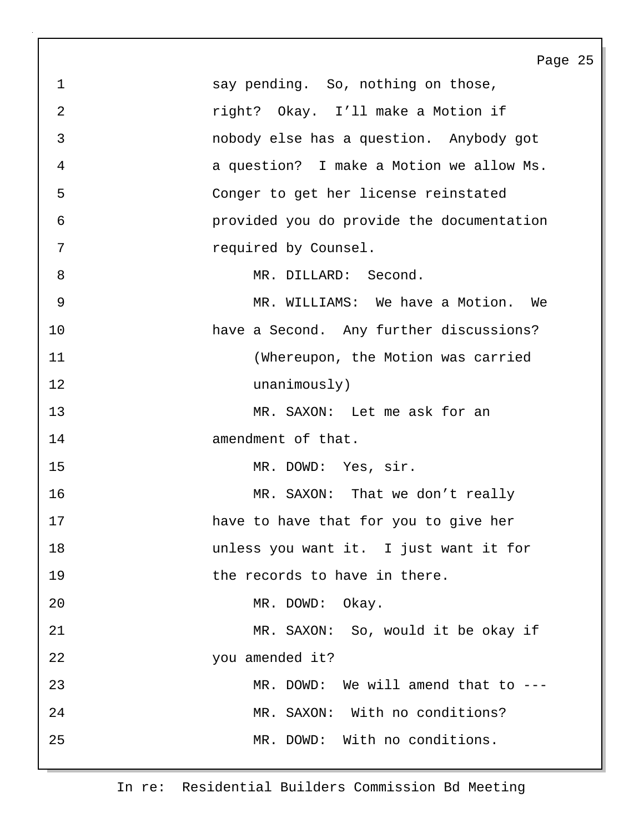Page 25 1 say pending. So, nothing on those, 2 right? Okay. I'll make a Motion if 3 nobody else has a question. Anybody got 4 a question? I make a Motion we allow Ms. 5 Conger to get her license reinstated 6 provided you do provide the documentation 7 required by Counsel. 8 MR. DILLARD: Second. 9 MR. WILLIAMS: We have a Motion. We 10 have a Second. Any further discussions? 11 (Whereupon, the Motion was carried 12 unanimously) 13 MR. SAXON: Let me ask for an 14 amendment of that. 15 MR. DOWD: Yes, sir. 16 MR. SAXON: That we don't really 17 have to have that for you to give her 18 unless you want it. I just want it for 19 the records to have in there. 20 MR. DOWD: Okay. 21 MR. SAXON: So, would it be okay if 22 you amended it? 23 MR. DOWD: We will amend that to ---24 MR. SAXON: With no conditions? 25 MR. DOWD: With no conditions.

In re: Residential Builders Commission Bd Meeting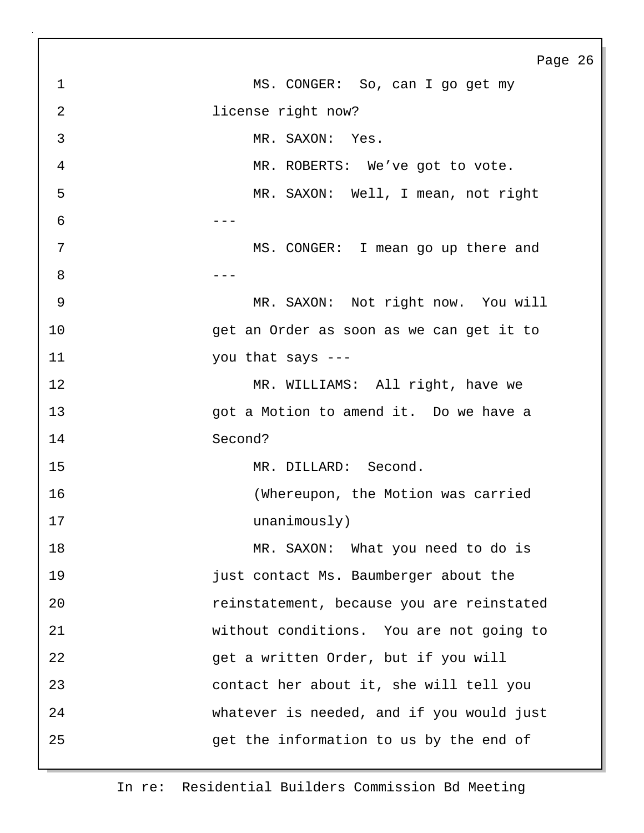Page 26 1 MS. CONGER: So, can I go get my 2 **license right now?** 3 MR. SAXON: Yes. 4 MR. ROBERTS: We've got to vote. 5 MR. SAXON: Well, I mean, not right  $6$  ---7 MS. CONGER: I mean go up there and 8 --- **120 --- 120 --- 120 --- 120 ---**9 MR. SAXON: Not right now. You will 10 get an Order as soon as we can get it to 11 you that says --- 12 MR. WILLIAMS: All right, have we 13 got a Motion to amend it. Do we have a 14 Second? 15 MR. DILLARD: Second. 16 (Whereupon, the Motion was carried 17 unanimously) 18 MR. SAXON: What you need to do is 19 just contact Ms. Baumberger about the 20 reinstatement, because you are reinstated 21 without conditions. You are not going to 22 get a written Order, but if you will 23 contact her about it, she will tell you 24 whatever is needed, and if you would just 25 get the information to us by the end of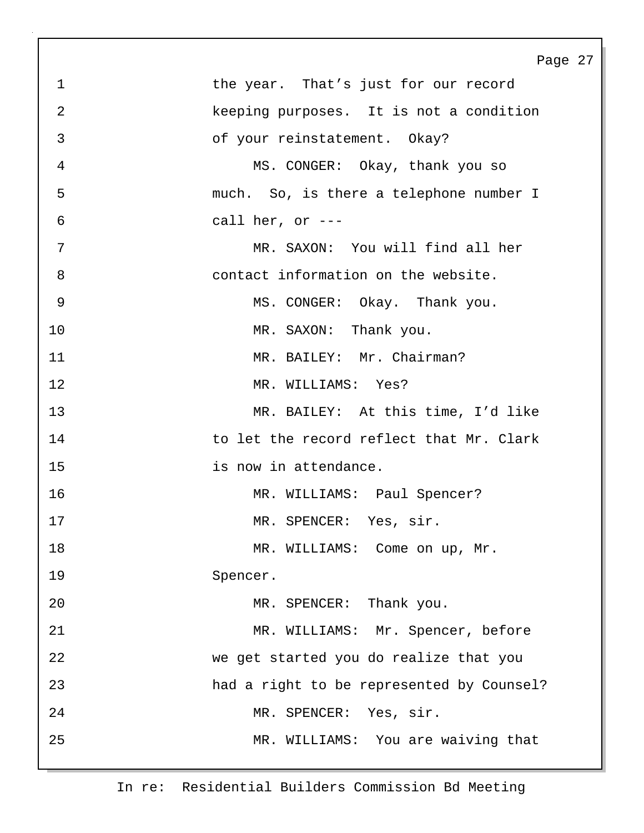| $\mathbf 1$<br>the year. That's just for our record<br>$\overline{2}$<br>keeping purposes. It is not a condition<br>3<br>of your reinstatement. Okay?<br>$\overline{4}$<br>MS. CONGER: Okay, thank you so<br>5<br>much. So, is there a telephone number I<br>$\sqrt{6}$<br>call her, or $---$<br>7<br>MR. SAXON: You will find all her<br>8<br>contact information on the website.<br>$\mathcal{G}$<br>MS. CONGER: Okay. Thank you.<br>10<br>MR. SAXON: Thank you.<br>11<br>MR. BAILEY: Mr. Chairman?<br>12<br>MR. WILLIAMS: Yes?<br>13<br>MR. BAILEY: At this time, I'd like<br>14<br>to let the record reflect that Mr. Clark<br>15<br>is now in attendance.<br>16<br>MR. WILLIAMS: Paul Spencer?<br>17<br>MR. SPENCER: Yes, sir.<br>18<br>MR. WILLIAMS: Come on up, Mr.<br>19<br>Spencer.<br>20<br>MR. SPENCER: Thank you.<br>21<br>MR. WILLIAMS: Mr. Spencer, before<br>22<br>we get started you do realize that you<br>23<br>had a right to be represented by Counsel?<br>24<br>MR. SPENCER: Yes, sir.<br>25<br>MR. WILLIAMS: You are waiving that | Page 27 |
|---------------------------------------------------------------------------------------------------------------------------------------------------------------------------------------------------------------------------------------------------------------------------------------------------------------------------------------------------------------------------------------------------------------------------------------------------------------------------------------------------------------------------------------------------------------------------------------------------------------------------------------------------------------------------------------------------------------------------------------------------------------------------------------------------------------------------------------------------------------------------------------------------------------------------------------------------------------------------------------------------------------------------------------------------------|---------|
|                                                                                                                                                                                                                                                                                                                                                                                                                                                                                                                                                                                                                                                                                                                                                                                                                                                                                                                                                                                                                                                         |         |
|                                                                                                                                                                                                                                                                                                                                                                                                                                                                                                                                                                                                                                                                                                                                                                                                                                                                                                                                                                                                                                                         |         |
|                                                                                                                                                                                                                                                                                                                                                                                                                                                                                                                                                                                                                                                                                                                                                                                                                                                                                                                                                                                                                                                         |         |
|                                                                                                                                                                                                                                                                                                                                                                                                                                                                                                                                                                                                                                                                                                                                                                                                                                                                                                                                                                                                                                                         |         |
|                                                                                                                                                                                                                                                                                                                                                                                                                                                                                                                                                                                                                                                                                                                                                                                                                                                                                                                                                                                                                                                         |         |
|                                                                                                                                                                                                                                                                                                                                                                                                                                                                                                                                                                                                                                                                                                                                                                                                                                                                                                                                                                                                                                                         |         |
|                                                                                                                                                                                                                                                                                                                                                                                                                                                                                                                                                                                                                                                                                                                                                                                                                                                                                                                                                                                                                                                         |         |
|                                                                                                                                                                                                                                                                                                                                                                                                                                                                                                                                                                                                                                                                                                                                                                                                                                                                                                                                                                                                                                                         |         |
|                                                                                                                                                                                                                                                                                                                                                                                                                                                                                                                                                                                                                                                                                                                                                                                                                                                                                                                                                                                                                                                         |         |
|                                                                                                                                                                                                                                                                                                                                                                                                                                                                                                                                                                                                                                                                                                                                                                                                                                                                                                                                                                                                                                                         |         |
|                                                                                                                                                                                                                                                                                                                                                                                                                                                                                                                                                                                                                                                                                                                                                                                                                                                                                                                                                                                                                                                         |         |
|                                                                                                                                                                                                                                                                                                                                                                                                                                                                                                                                                                                                                                                                                                                                                                                                                                                                                                                                                                                                                                                         |         |
|                                                                                                                                                                                                                                                                                                                                                                                                                                                                                                                                                                                                                                                                                                                                                                                                                                                                                                                                                                                                                                                         |         |
|                                                                                                                                                                                                                                                                                                                                                                                                                                                                                                                                                                                                                                                                                                                                                                                                                                                                                                                                                                                                                                                         |         |
|                                                                                                                                                                                                                                                                                                                                                                                                                                                                                                                                                                                                                                                                                                                                                                                                                                                                                                                                                                                                                                                         |         |
|                                                                                                                                                                                                                                                                                                                                                                                                                                                                                                                                                                                                                                                                                                                                                                                                                                                                                                                                                                                                                                                         |         |
|                                                                                                                                                                                                                                                                                                                                                                                                                                                                                                                                                                                                                                                                                                                                                                                                                                                                                                                                                                                                                                                         |         |
|                                                                                                                                                                                                                                                                                                                                                                                                                                                                                                                                                                                                                                                                                                                                                                                                                                                                                                                                                                                                                                                         |         |
|                                                                                                                                                                                                                                                                                                                                                                                                                                                                                                                                                                                                                                                                                                                                                                                                                                                                                                                                                                                                                                                         |         |
|                                                                                                                                                                                                                                                                                                                                                                                                                                                                                                                                                                                                                                                                                                                                                                                                                                                                                                                                                                                                                                                         |         |
|                                                                                                                                                                                                                                                                                                                                                                                                                                                                                                                                                                                                                                                                                                                                                                                                                                                                                                                                                                                                                                                         |         |
|                                                                                                                                                                                                                                                                                                                                                                                                                                                                                                                                                                                                                                                                                                                                                                                                                                                                                                                                                                                                                                                         |         |
|                                                                                                                                                                                                                                                                                                                                                                                                                                                                                                                                                                                                                                                                                                                                                                                                                                                                                                                                                                                                                                                         |         |
|                                                                                                                                                                                                                                                                                                                                                                                                                                                                                                                                                                                                                                                                                                                                                                                                                                                                                                                                                                                                                                                         |         |
|                                                                                                                                                                                                                                                                                                                                                                                                                                                                                                                                                                                                                                                                                                                                                                                                                                                                                                                                                                                                                                                         |         |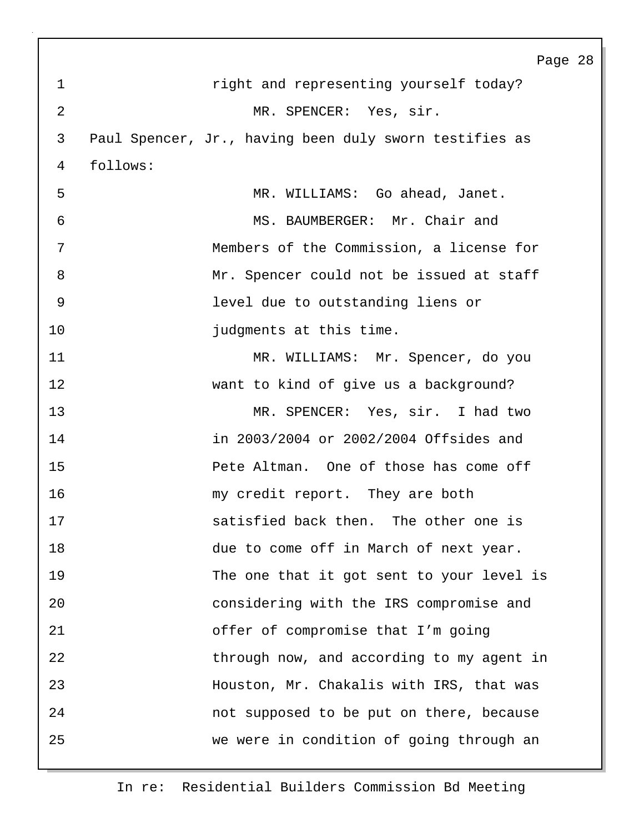Page 28 1 right and representing yourself today? 2 MR. SPENCER: Yes, sir. 3 Paul Spencer, Jr., having been duly sworn testifies as 4 follows: 5 MR. WILLIAMS: Go ahead, Janet. 6 MS. BAUMBERGER: Mr. Chair and 7 Members of the Commission, a license for 8 Mr. Spencer could not be issued at staff 9 level due to outstanding liens or 10 **judgments** at this time. 11 MR. WILLIAMS: Mr. Spencer, do you 12 want to kind of give us a background? 13 MR. SPENCER: Yes, sir. I had two 14 in 2003/2004 or 2002/2004 Offsides and 15 Pete Altman. One of those has come off 16 my credit report. They are both 17 satisfied back then. The other one is 18 due to come off in March of next year. 19 The one that it got sent to your level is 20 considering with the IRS compromise and 21 offer of compromise that I'm going 22 through now, and according to my agent in 23 Houston, Mr. Chakalis with IRS, that was 24 not supposed to be put on there, because 25 we were in condition of going through an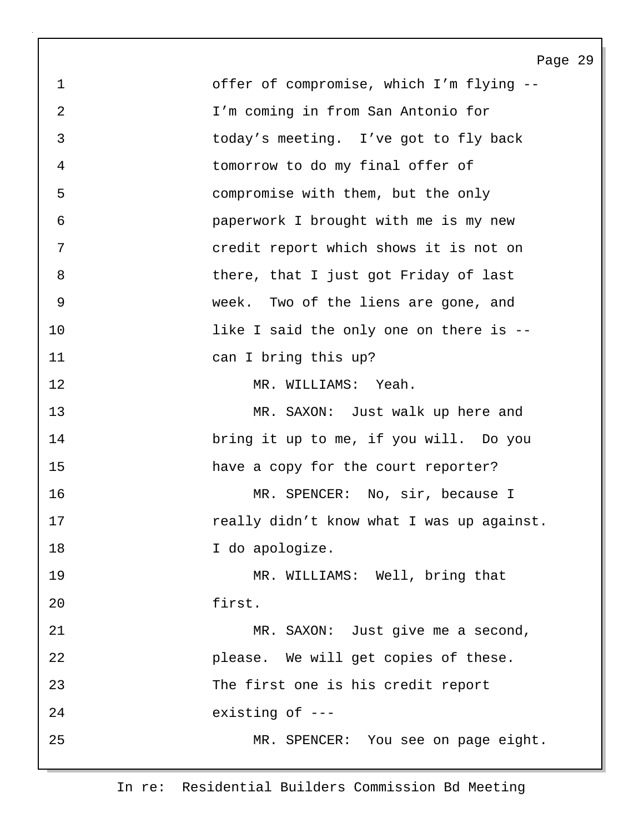Page 29 1 offer of compromise, which I'm flying -- 2 I'm coming in from San Antonio for 3 today's meeting. I've got to fly back 4 tomorrow to do my final offer of 5 compromise with them, but the only 6 paperwork I brought with me is my new 7 credit report which shows it is not on 8 bere, that I just got Friday of last 9 week. Two of the liens are gone, and 10 10 1ike I said the only one on there is  $-$ 11 can I bring this up? 12 MR. WILLIAMS: Yeah. 13 MR. SAXON: Just walk up here and 14 bring it up to me, if you will. Do you 15 have a copy for the court reporter? 16 MR. SPENCER: No, sir, because I 17 **really didn't know what I was up against.** 18 **I** do apologize. 19 MR. WILLIAMS: Well, bring that 20 first. 21 MR. SAXON: Just give me a second, 22 please. We will get copies of these. 23 The first one is his credit report 24 existing of --- 25 MR. SPENCER: You see on page eight.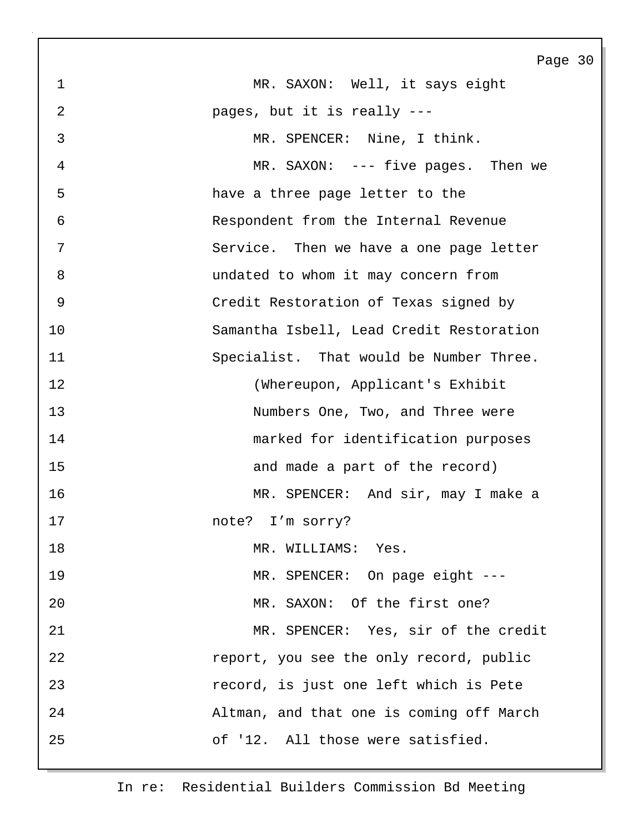Page 30 1 MR. SAXON: Well, it says eight 2 pages, but it is really --- 3 MR. SPENCER: Nine, I think. 4 MR. SAXON: --- five pages. Then we 5 have a three page letter to the 6 Respondent from the Internal Revenue 7 Service. Then we have a one page letter 8 undated to whom it may concern from 9 Credit Restoration of Texas signed by 10 Samantha Isbell, Lead Credit Restoration 11 Specialist. That would be Number Three. 12 (Whereupon, Applicant's Exhibit 13 Numbers One, Two, and Three were 14 marked for identification purposes 15 and made a part of the record) 16 MR. SPENCER: And sir, may I make a 17 note? I'm sorry? 18 MR. WILLIAMS: Yes. 19 MR. SPENCER: On page eight ---20 MR. SAXON: Of the first one? 21 MR. SPENCER: Yes, sir of the credit 22 report, you see the only record, public 23 record, is just one left which is Pete 24 Altman, and that one is coming off March 25 of '12. All those were satisfied.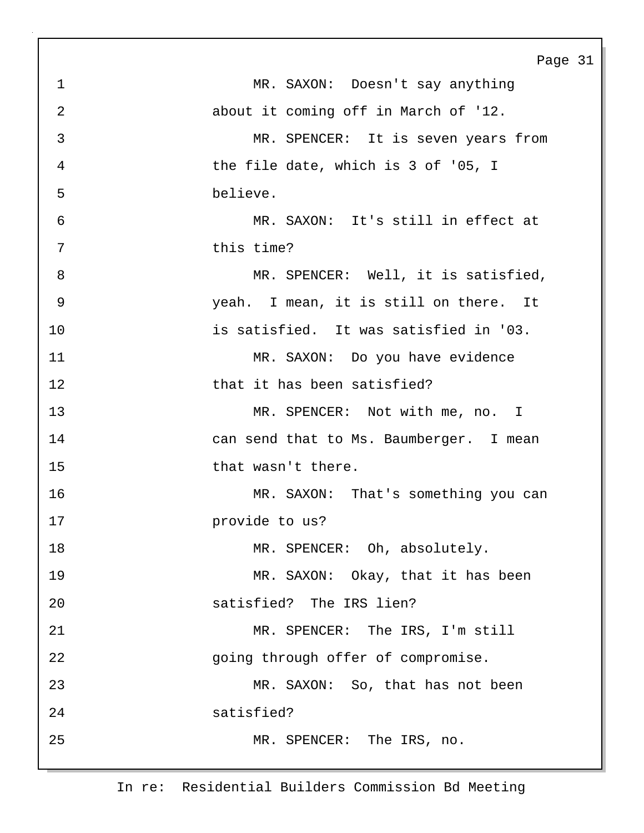|                | Page                                    |
|----------------|-----------------------------------------|
| $\mathbf{1}$   | MR. SAXON: Doesn't say anything         |
| $\overline{2}$ | about it coming off in March of '12.    |
| 3              | MR. SPENCER: It is seven years from     |
| 4              | the file date, which is 3 of '05, I     |
| 5              | believe.                                |
| 6              | MR. SAXON: It's still in effect at      |
| 7              | this time?                              |
| 8              | MR. SPENCER: Well, it is satisfied,     |
| 9              | yeah. I mean, it is still on there. It  |
| 10             | is satisfied. It was satisfied in '03.  |
| 11             | MR. SAXON: Do you have evidence         |
| 12             | that it has been satisfied?             |
| 13             | MR. SPENCER: Not with me, no. I         |
| 14             | can send that to Ms. Baumberger. I mean |
| 15             | that wasn't there.                      |
| 16             | MR. SAXON: That's something you can     |
| 17             | provide to us?                          |
| 18             | MR. SPENCER: Oh, absolutely.            |
| 19             | MR. SAXON: Okay, that it has been       |
| 20             | satisfied? The IRS lien?                |
| 21             | MR. SPENCER: The IRS, I'm still         |
| 22             | going through offer of compromise.      |
| 23             | MR. SAXON: So, that has not been        |
| 24             | satisfied?                              |
| 25             | MR. SPENCER: The IRS, no.               |
|                |                                         |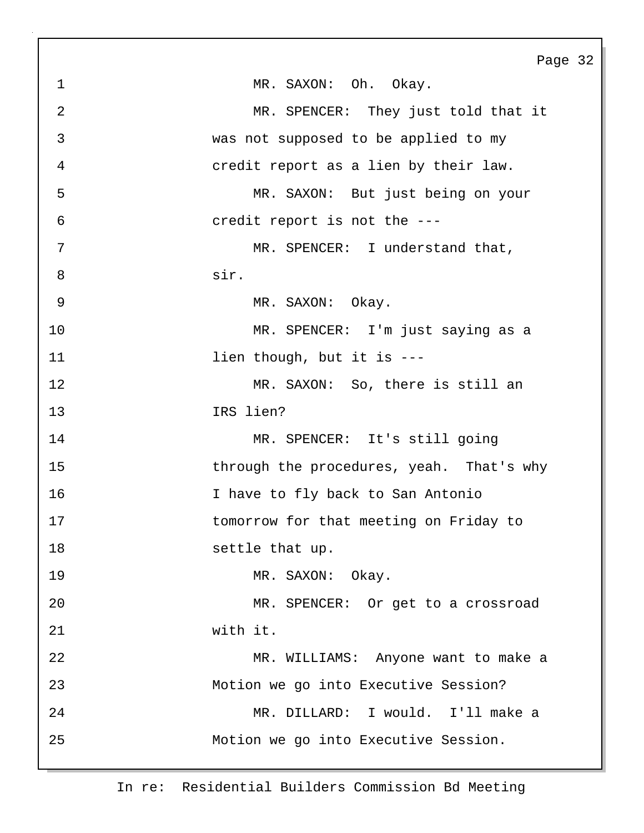Page 32 1 MR. SAXON: Oh. Okay. 2 MR. SPENCER: They just told that it 3 was not supposed to be applied to my 4 credit report as a lien by their law. 5 MR. SAXON: But just being on your 6 credit report is not the --- 7 MR. SPENCER: I understand that, 8 sir. 9 MR. SAXON: Okay. 10 MR. SPENCER: I'm just saying as a 11 lien though, but it is ---12 MR. SAXON: So, there is still an 13 IRS lien? 14 MR. SPENCER: It's still going 15 through the procedures, yeah. That's why 16 I have to fly back to San Antonio 17 tomorrow for that meeting on Friday to 18 settle that up. 19 MR. SAXON: Okay. 20 MR. SPENCER: Or get to a crossroad 21 with it. 22 MR. WILLIAMS: Anyone want to make a 23 Motion we go into Executive Session? 24 MR. DILLARD: I would. I'll make a 25 Motion we go into Executive Session.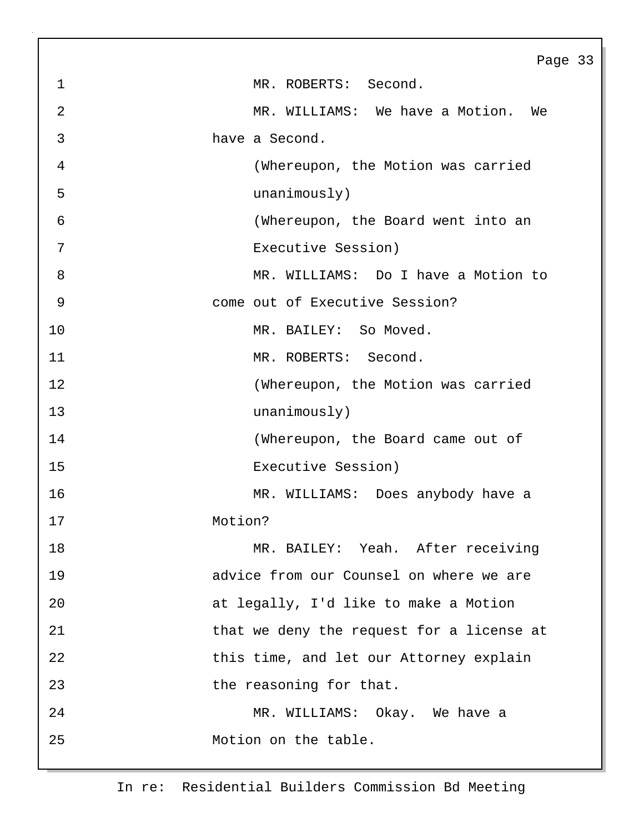|                | Page 33                                   |
|----------------|-------------------------------------------|
| $\mathbf 1$    | MR. ROBERTS: Second.                      |
| $\overline{2}$ | MR. WILLIAMS: We have a Motion.<br>We     |
| 3              | have a Second.                            |
| $\overline{4}$ | (Whereupon, the Motion was carried        |
| 5              | unanimously)                              |
| 6              | (Whereupon, the Board went into an        |
| 7              | Executive Session)                        |
| 8              | MR. WILLIAMS: Do I have a Motion to       |
| 9              | come out of Executive Session?            |
| 10             | MR. BAILEY: So Moved.                     |
| 11             | MR. ROBERTS: Second.                      |
| 12             | (Whereupon, the Motion was carried        |
| 13             | unanimously)                              |
| 14             | (Whereupon, the Board came out of         |
| 15             | Executive Session)                        |
| 16             | MR. WILLIAMS: Does anybody have a         |
| 17             | Motion?                                   |
| 18             | MR. BAILEY: Yeah. After receiving         |
| 19             | advice from our Counsel on where we are   |
| 20             | at legally, I'd like to make a Motion     |
| 21             | that we deny the request for a license at |
| 22             | this time, and let our Attorney explain   |
| 23             | the reasoning for that.                   |
| 24             | MR. WILLIAMS: Okay. We have a             |
| 25             | Motion on the table.                      |
|                |                                           |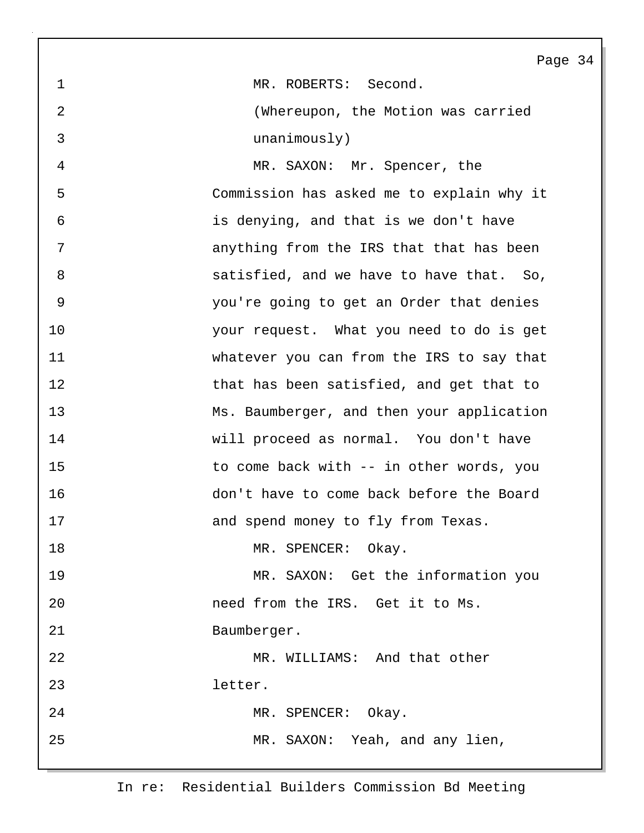Page 34 1 MR. ROBERTS: Second. 2 (Whereupon, the Motion was carried 3 unanimously) 4 MR. SAXON: Mr. Spencer, the 5 Commission has asked me to explain why it 6 is denying, and that is we don't have 7 anything from the IRS that that has been 8 satisfied, and we have to have that. So, 9 you're going to get an Order that denies 10 your request. What you need to do is get 11 whatever you can from the IRS to say that 12 that has been satisfied, and get that to 13 Ms. Baumberger, and then your application 14 will proceed as normal. You don't have 15 to come back with -- in other words, you 16 don't have to come back before the Board 17 and spend money to fly from Texas. 18 MR. SPENCER: Okay. 19 MR. SAXON: Get the information you 20 need from the IRS. Get it to Ms. 21 Baumberger. 22 MR. WILLIAMS: And that other 23 letter. 24 MR. SPENCER: Okay. 25 MR. SAXON: Yeah, and any lien,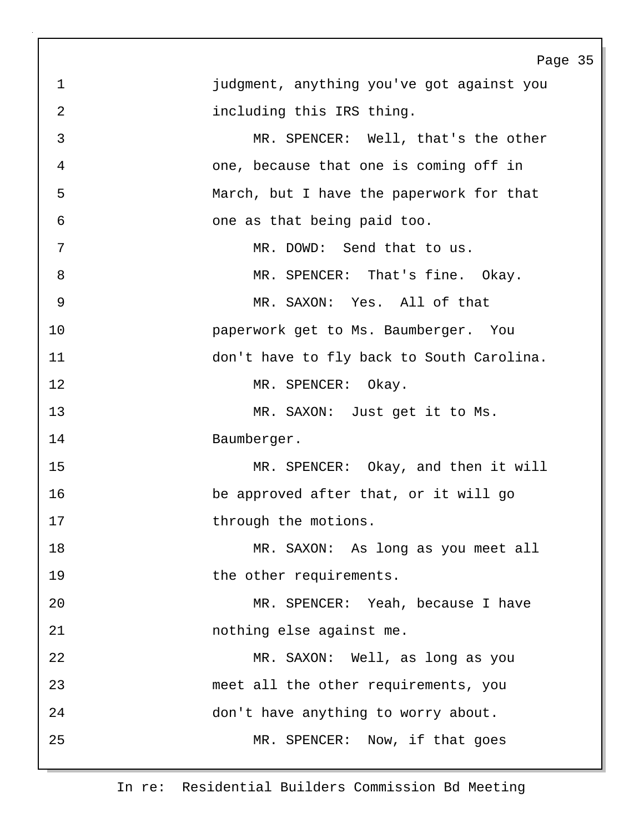|                | Page 35                                   |
|----------------|-------------------------------------------|
| 1              | judgment, anything you've got against you |
| 2              | including this IRS thing.                 |
| 3              | MR. SPENCER: Well, that's the other       |
| $\overline{4}$ | one, because that one is coming off in    |
| 5              | March, but I have the paperwork for that  |
| 6              | one as that being paid too.               |
| 7              | MR. DOWD: Send that to us.                |
| 8              | MR. SPENCER: That's fine. Okay.           |
| 9              | MR. SAXON: Yes. All of that               |
| 10             | paperwork get to Ms. Baumberger. You      |
| 11             | don't have to fly back to South Carolina. |
| 12             | MR. SPENCER: Okay.                        |
| 13             | MR. SAXON: Just get it to Ms.             |
| 14             | Baumberger.                               |
| 15             | MR. SPENCER: Okay, and then it will       |
| 16             | be approved after that, or it will go     |
| 17             | through the motions.                      |
| 18             | MR. SAXON: As long as you meet all        |
| 19             | the other requirements.                   |
| 20             | MR. SPENCER: Yeah, because I have         |
| 21             | nothing else against me.                  |
| 22             | MR. SAXON: Well, as long as you           |
| 23             | meet all the other requirements, you      |
| 24             | don't have anything to worry about.       |
| 25             | MR. SPENCER: Now, if that goes            |
|                |                                           |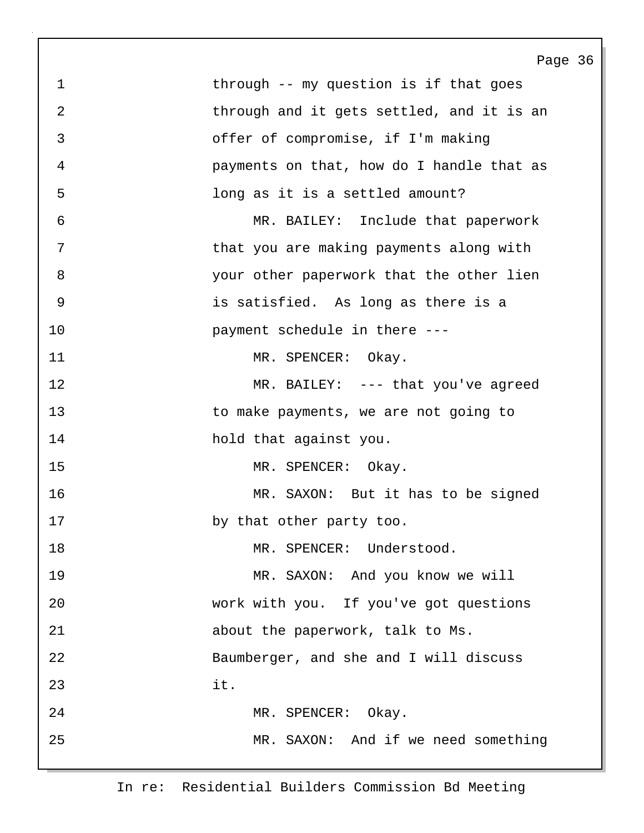Page 36 1 through -- my question is if that goes 2 through and it gets settled, and it is an 3 offer of compromise, if I'm making 4 payments on that, how do I handle that as 5 long as it is a settled amount? 6 MR. BAILEY: Include that paperwork 7 **that you are making payments along with** 8 your other paperwork that the other lien 9 is satisfied. As long as there is a 10 **payment** schedule in there ---11 MR. SPENCER: Okay. 12 MR. BAILEY: --- that you've agreed 13 to make payments, we are not going to 14 hold that against you. 15 MR. SPENCER: Okay. 16 MR. SAXON: But it has to be signed 17 by that other party too. 18 MR. SPENCER: Understood. 19 MR. SAXON: And you know we will 20 work with you. If you've got questions 21 about the paperwork, talk to Ms. 22 Baumberger, and she and I will discuss 23 it. 24 MR. SPENCER: Okay. 25 MR. SAXON: And if we need something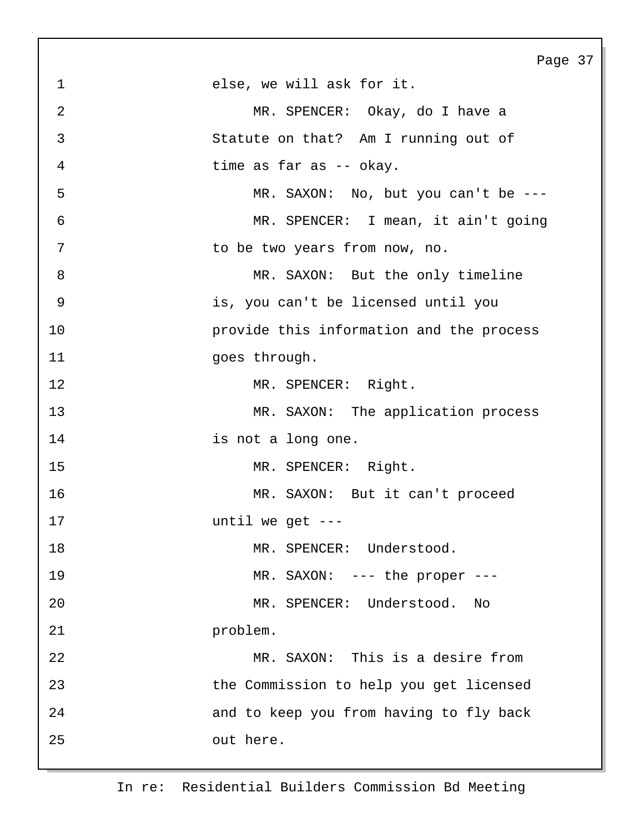Page 37 1 else, we will ask for it. 2 MR. SPENCER: Okay, do I have a 3 Statute on that? Am I running out of 4 time as far as -- okay. 5 MR. SAXON: No, but you can't be --- 6 MR. SPENCER: I mean, it ain't going 7 to be two years from now, no. 8 MR. SAXON: But the only timeline 9 is, you can't be licensed until you 10 provide this information and the process 11 goes through. 12 MR. SPENCER: Right. 13 MR. SAXON: The application process 14 is not a long one. 15 MR. SPENCER: Right. 16 MR. SAXON: But it can't proceed 17 until we get --- 18 MR. SPENCER: Understood. 19 MR. SAXON: --- the proper ---20 MR. SPENCER: Understood. No 21 problem. 22 MR. SAXON: This is a desire from 23 the Commission to help you get licensed 24 and to keep you from having to fly back 25 out here.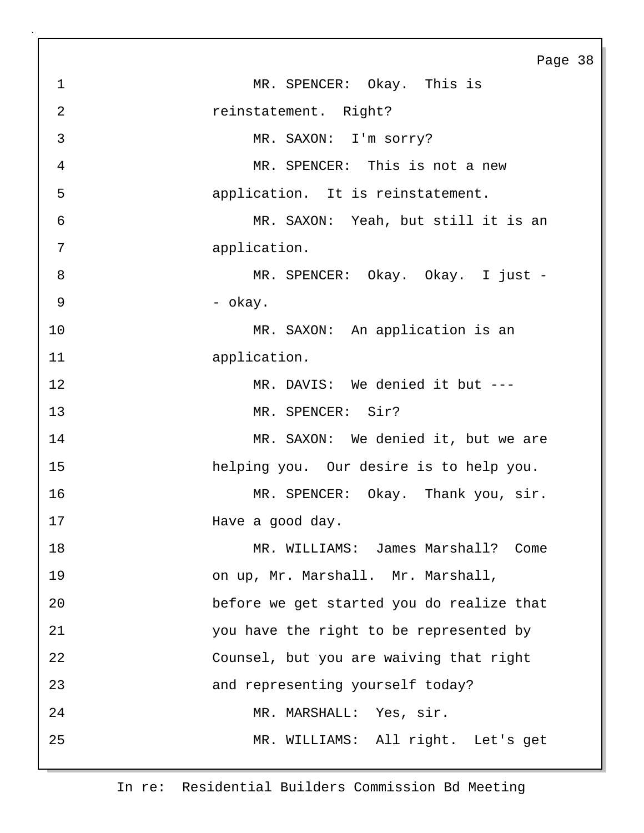Page 38 1 MR. SPENCER: Okay. This is 2 reinstatement. Right? 3 MR. SAXON: I'm sorry? 4 MR. SPENCER: This is not a new 5 application. It is reinstatement. 6 MR. SAXON: Yeah, but still it is an 7 application. 8 MR. SPENCER: Okay. Okay. I just - $9 - \text{okay.}$ 10 MR. SAXON: An application is an 11 application. 12 MR. DAVIS: We denied it but ---13 MR. SPENCER: Sir? 14 MR. SAXON: We denied it, but we are 15 helping you. Our desire is to help you. 16 MR. SPENCER: Okay. Thank you, sir. 17 **Have a good day.** 18 MR. WILLIAMS: James Marshall? Come 19 on up, Mr. Marshall. Mr. Marshall, 20 before we get started you do realize that 21 you have the right to be represented by 22 Counsel, but you are waiving that right 23 and representing yourself today? 24 MR. MARSHALL: Yes, sir. 25 MR. WILLIAMS: All right. Let's get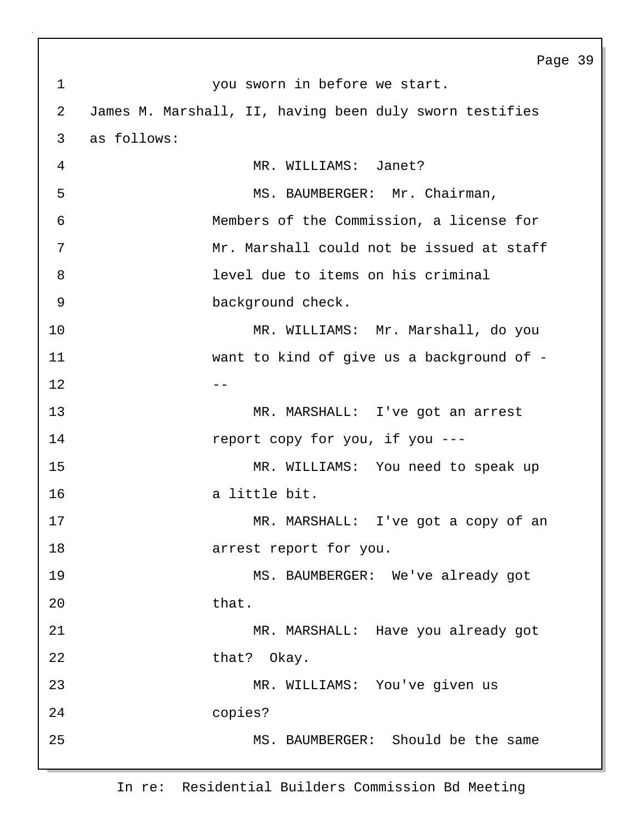|                | Page 39                                                 |
|----------------|---------------------------------------------------------|
| $\mathbf 1$    | you sworn in before we start.                           |
| 2              | James M. Marshall, II, having been duly sworn testifies |
| 3              | as follows:                                             |
| $\overline{4}$ | MR. WILLIAMS: Janet?                                    |
| 5              | MS. BAUMBERGER: Mr. Chairman,                           |
| 6              | Members of the Commission, a license for                |
| 7              | Mr. Marshall could not be issued at staff               |
| 8              | level due to items on his criminal                      |
| $\mathfrak{g}$ | background check.                                       |
| 10             | MR. WILLIAMS: Mr. Marshall, do you                      |
| 11             | want to kind of give us a background of -               |
| 12             | --                                                      |
| 13             | MR. MARSHALL: I've got an arrest                        |
| 14             | report copy for you, if you ---                         |
| 15             | MR. WILLIAMS: You need to speak up                      |
| 16             | a little bit.                                           |
| 17             | MR. MARSHALL: I've got a copy of an                     |
| 18             | arrest report for you.                                  |
| 19             | MS. BAUMBERGER: We've already got                       |
| 20             | that.                                                   |
| 21             | MR. MARSHALL: Have you already got                      |
| 22             | that? Okay.                                             |
| 23             | MR. WILLIAMS: You've given us                           |
| 24             | copies?                                                 |
| 25             | MS. BAUMBERGER: Should be the same                      |
|                |                                                         |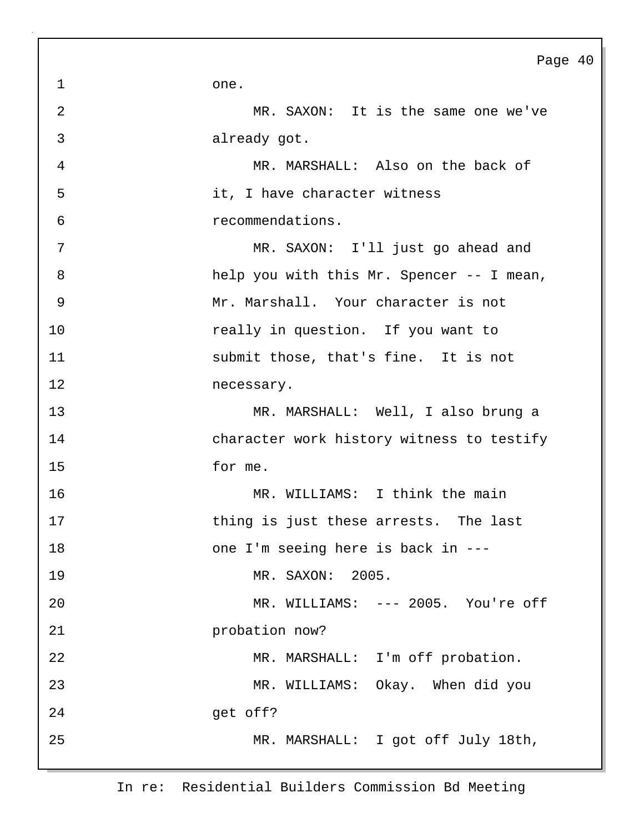1 one.

| 3              | already got.                              |
|----------------|-------------------------------------------|
| $\overline{4}$ | MR. MARSHALL: Also on the back of         |
| 5              | it, I have character witness              |
| 6              | recommendations.                          |
| 7              | MR. SAXON: I'll just go ahead and         |
| 8              | help you with this Mr. Spencer -- I mean, |
| 9              | Mr. Marshall. Your character is not       |
| 10             | really in question. If you want to        |
| 11             | submit those, that's fine. It is not      |
| 12             | necessary.                                |
| 13             | MR. MARSHALL: Well, I also brung a        |
| 14             | character work history witness to testify |
| 15             | for me.                                   |
| 16             | MR. WILLIAMS: I think the main            |
| 17             | thing is just these arrests. The last     |
| 18             | one I'm seeing here is back in ---        |
| 19             | MR. SAXON: 2005.                          |
| 20             | MR. WILLIAMS: --- 2005. You're off        |
| 21             | probation now?                            |
| 22             | MR. MARSHALL: I'm off probation.          |
| 23             | MR. WILLIAMS: Okay. When did you          |
| 24             | get off?                                  |
| 25             | MR. MARSHALL: I got off July 18th,        |

2 MR. SAXON: It is the same one we've

In re: Residential Builders Commission Bd Meeting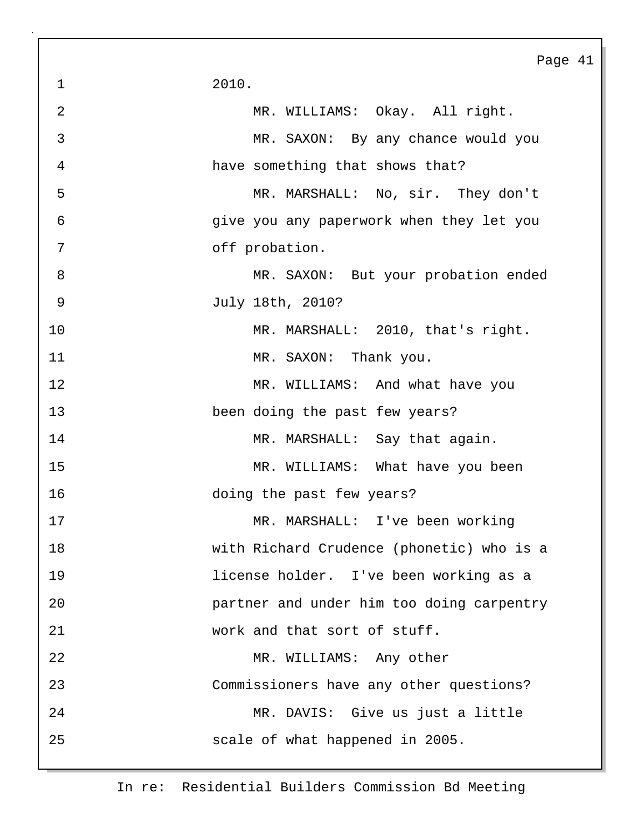Page 41 1 2010. 2 MR. WILLIAMS: Okay. All right. 3 MR. SAXON: By any chance would you 4 have something that shows that? 5 MR. MARSHALL: No, sir. They don't 6 give you any paperwork when they let you 7 off probation. 8 MR. SAXON: But your probation ended 9 July 18th, 2010? 10 MR. MARSHALL: 2010, that's right. 11 MR. SAXON: Thank you. 12 MR. WILLIAMS: And what have you 13 been doing the past few years? 14 MR. MARSHALL: Say that again. 15 MR. WILLIAMS: What have you been 16 doing the past few years? 17 MR. MARSHALL: I've been working 18 with Richard Crudence (phonetic) who is a 19 license holder. I've been working as a 20 partner and under him too doing carpentry 21 work and that sort of stuff. 22 MR. WILLIAMS: Any other 23 Commissioners have any other questions? 24 MR. DAVIS: Give us just a little 25 scale of what happened in 2005.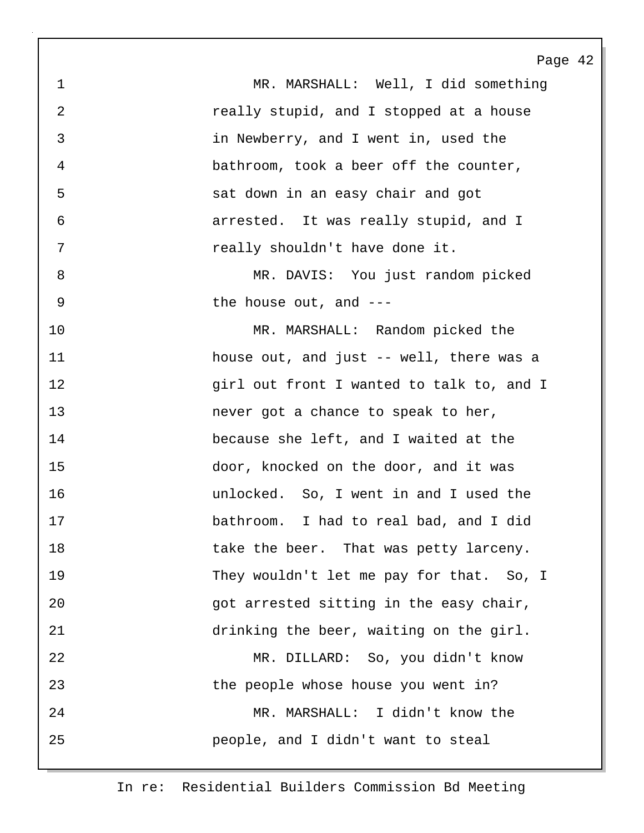1 MR. MARSHALL: Well, I did something 2 **really stupid, and I stopped at a house** 3 in Newberry, and I went in, used the 4 bathroom, took a beer off the counter, 5 sat down in an easy chair and got 6 arrested. It was really stupid, and I 7 really shouldn't have done it. 8 MR. DAVIS: You just random picked 9 bhe house out, and ---10 MR. MARSHALL: Random picked the 11 house out, and just -- well, there was a 12 **girl out front I wanted to talk to, and I** 13 **never got a chance to speak to her**, 14 because she left, and I waited at the 15 door, knocked on the door, and it was 16 unlocked. So, I went in and I used the 17 bathroom. I had to real bad, and I did 18 take the beer. That was petty larceny. 19 They wouldn't let me pay for that. So, I 20 arrested sitting in the easy chair, 21 drinking the beer, waiting on the girl. 22 MR. DILLARD: So, you didn't know 23 the people whose house you went in? 24 MR. MARSHALL: I didn't know the 25 people, and I didn't want to steal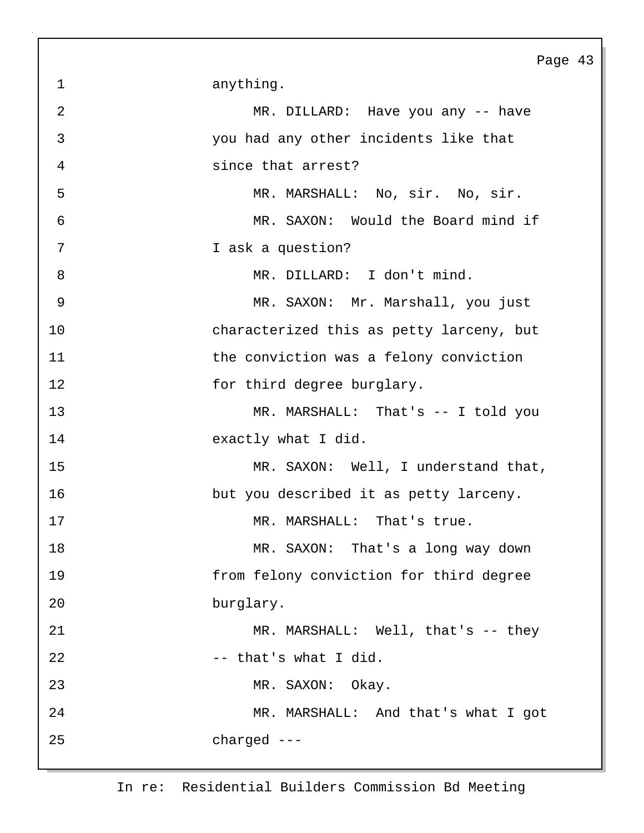1 anything. 2 MR. DILLARD: Have you any -- have 3 you had any other incidents like that 4 since that arrest? 5 MR. MARSHALL: No, sir. No, sir. 6 MR. SAXON: Would the Board mind if 7 I ask a question? 8 MR. DILLARD: I don't mind. 9 MR. SAXON: Mr. Marshall, you just 10 characterized this as petty larceny, but 11 the conviction was a felony conviction 12 for third degree burglary. 13 MR. MARSHALL: That's -- I told you 14 exactly what I did. 15 MR. SAXON: Well, I understand that, 16 but you described it as petty larceny. 17 MR. MARSHALL: That's true. 18 MR. SAXON: That's a long way down 19 from felony conviction for third degree 20 burglary. 21 MR. MARSHALL: Well, that's -- they 22 -- that's what I did. 23 MR. SAXON: Okay. 24 MR. MARSHALL: And that's what I got 25 charged ---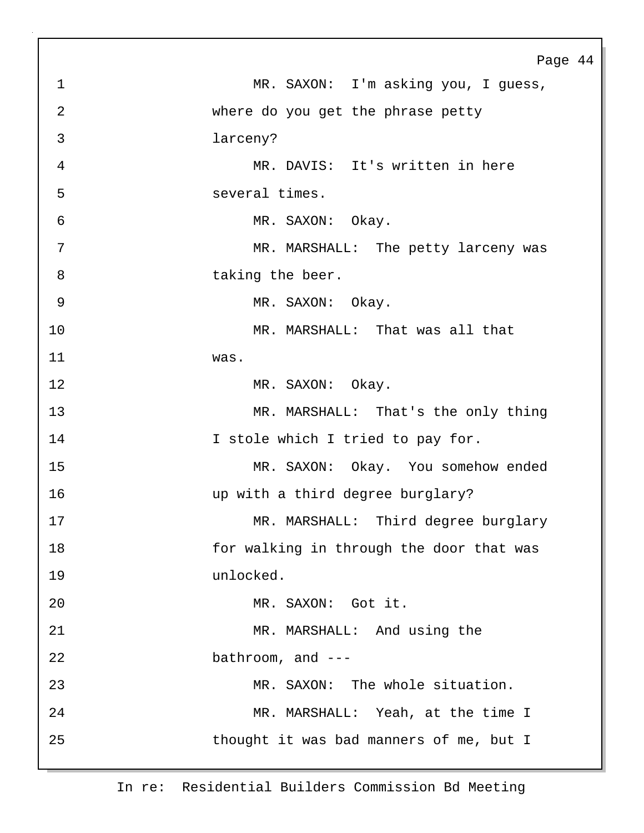|                | Page 44                                  |
|----------------|------------------------------------------|
| $\mathbf 1$    | MR. SAXON: I'm asking you, I guess,      |
| $\overline{2}$ | where do you get the phrase petty        |
| 3              | larceny?                                 |
| $\overline{4}$ | MR. DAVIS: It's written in here          |
| 5              | several times.                           |
| 6              | MR. SAXON: Okay.                         |
| 7              | MR. MARSHALL: The petty larceny was      |
| 8              | taking the beer.                         |
| $\overline{9}$ | MR. SAXON: Okay.                         |
| 10             | MR. MARSHALL: That was all that          |
| 11             | was.                                     |
| 12             | MR. SAXON: Okay.                         |
| 13             | MR. MARSHALL: That's the only thing      |
| 14             | I stole which I tried to pay for.        |
| 15             | MR. SAXON: Okay. You somehow ended       |
| 16             | up with a third degree burglary?         |
| 17             | MR. MARSHALL: Third degree burglary      |
| 18             | for walking in through the door that was |
| 19             | unlocked.                                |
| 20             | MR. SAXON: Got it.                       |
| 21             | MR. MARSHALL: And using the              |
| 22             | bathroom, and $---$                      |
| 23             | MR. SAXON: The whole situation.          |
| 24             | MR. MARSHALL: Yeah, at the time I        |
| 25             | thought it was bad manners of me, but I  |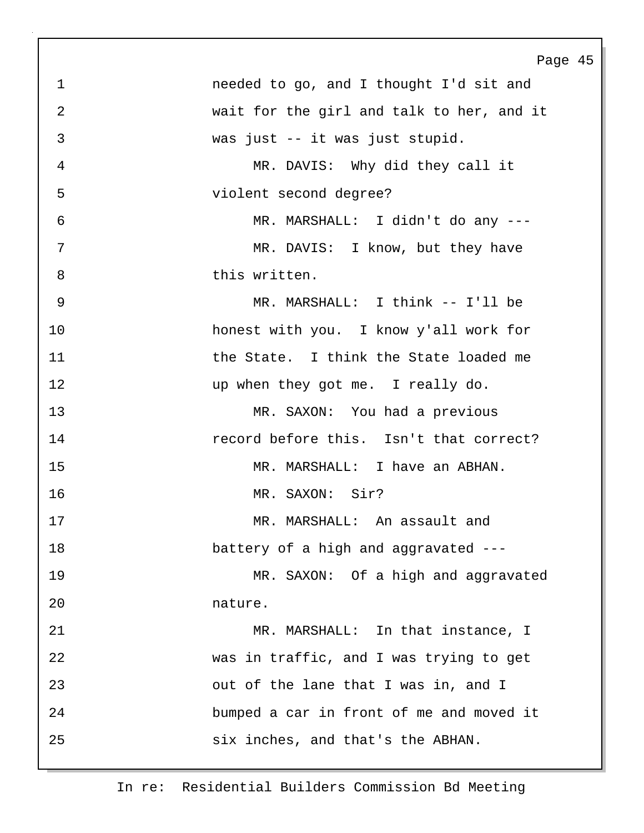|                | Page 45                                   |
|----------------|-------------------------------------------|
| $\mathbf 1$    | needed to go, and I thought I'd sit and   |
| 2              | wait for the girl and talk to her, and it |
| 3              | was just -- it was just stupid.           |
| $\overline{4}$ | MR. DAVIS: Why did they call it           |
| 5              | violent second degree?                    |
| 6              | MR. MARSHALL: I didn't do any ---         |
| 7              | MR. DAVIS: I know, but they have          |
| 8              | this written.                             |
| $\mathsf 9$    | MR. MARSHALL: I think -- I'll be          |
| 10             | honest with you. I know y'all work for    |
| 11             | the State. I think the State loaded me    |
| 12             | up when they got me. I really do.         |
| 13             | MR. SAXON: You had a previous             |
| 14             | record before this. Isn't that correct?   |
| 15             | MR. MARSHALL: I have an ABHAN.            |
| 16             | MR. SAXON: Sir?                           |
| 17             | MR. MARSHALL: An assault and              |
| 18             | battery of a high and aggravated ---      |
| 19             | MR. SAXON: Of a high and aggravated       |
| 20             | nature.                                   |
| 21             | MR. MARSHALL: In that instance, I         |
| 22             | was in traffic, and I was trying to get   |
| 23             | out of the lane that I was in, and I      |
| 24             | bumped a car in front of me and moved it  |
| 25             | six inches, and that's the ABHAN.         |
|                |                                           |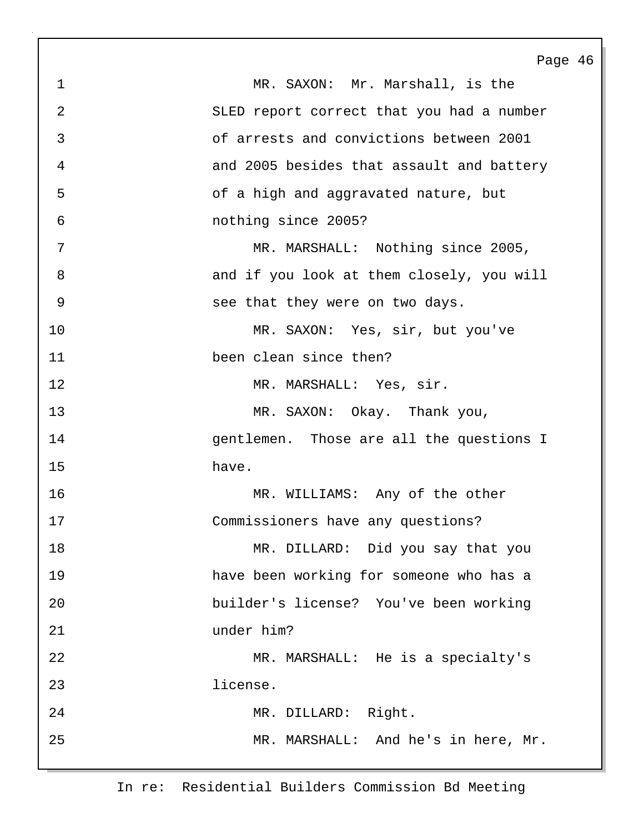Page 46 1 MR. SAXON: Mr. Marshall, is the 2 SLED report correct that you had a number 3 of arrests and convictions between 2001 4 and 2005 besides that assault and battery 5 of a high and aggravated nature, but 6 nothing since 2005? 7 MR. MARSHALL: Nothing since 2005, 8 and if you look at them closely, you will 9 see that they were on two days. 10 MR. SAXON: Yes, sir, but you've 11 been clean since then? 12 MR. MARSHALL: Yes, sir. 13 MR. SAXON: Okay. Thank you, 14 gentlemen. Those are all the questions I 15 have. 16 MR. WILLIAMS: Any of the other 17 Commissioners have any questions? 18 MR. DILLARD: Did you say that you 19 have been working for someone who has a 20 builder's license? You've been working 21 under him? 22 MR. MARSHALL: He is a specialty's 23 license. 24 MR. DILLARD: Right. 25 MR. MARSHALL: And he's in here, Mr.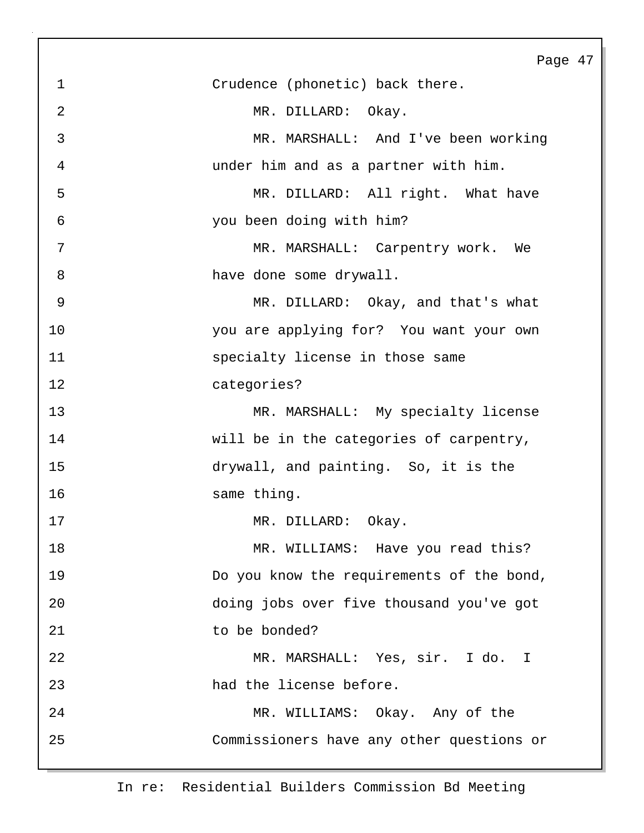|                | Page 47                                   |
|----------------|-------------------------------------------|
| $\mathbf 1$    | Crudence (phonetic) back there.           |
| $\overline{2}$ | MR. DILLARD: Okay.                        |
| 3              | MR. MARSHALL: And I've been working       |
| 4              | under him and as a partner with him.      |
| 5              | MR. DILLARD: All right. What have         |
| 6              | you been doing with him?                  |
| 7              | MR. MARSHALL: Carpentry work. We          |
| 8              | have done some drywall.                   |
| 9              | MR. DILLARD: Okay, and that's what        |
| 10             | you are applying for? You want your own   |
| 11             | specialty license in those same           |
| 12             | categories?                               |
| 13             | MR. MARSHALL: My specialty license        |
| 14             | will be in the categories of carpentry,   |
| 15             | drywall, and painting. So, it is the      |
| 16             | same thing.                               |
| 17             | MR. DILLARD: Okay.                        |
| 18             | MR. WILLIAMS: Have you read this?         |
| 19             | Do you know the requirements of the bond, |
| 20             | doing jobs over five thousand you've got  |
| 21             | to be bonded?                             |
| 22             | MR. MARSHALL: Yes, sir. I do. I           |
| 23             | had the license before.                   |
| 24             | MR. WILLIAMS: Okay. Any of the            |
| 25             | Commissioners have any other questions or |
|                |                                           |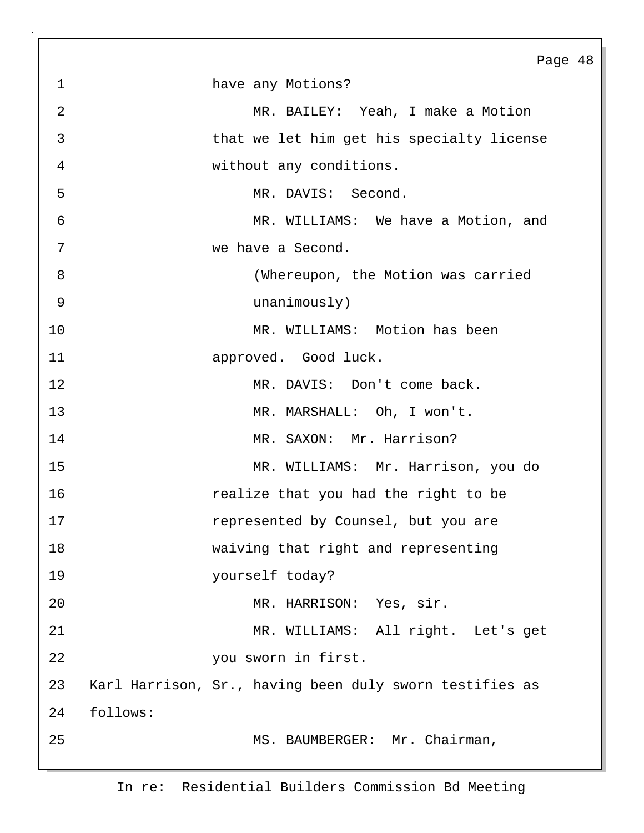Page 48 1 have any Motions? 2 MR. BAILEY: Yeah, I make a Motion 3 that we let him get his specialty license 4 without any conditions. 5 MR. DAVIS: Second. 6 MR. WILLIAMS: We have a Motion, and 7 we have a Second. 8 (Whereupon, the Motion was carried 9 unanimously) 10 MR. WILLIAMS: Motion has been 11 approved. Good luck. 12 MR. DAVIS: Don't come back. 13 MR. MARSHALL: Oh, I won't. 14 MR. SAXON: Mr. Harrison? 15 MR. WILLIAMS: Mr. Harrison, you do 16 realize that you had the right to be 17 represented by Counsel, but you are 18 waiving that right and representing 19 yourself today? 20 MR. HARRISON: Yes, sir. 21 MR. WILLIAMS: All right. Let's get 22 you sworn in first. 23 Karl Harrison, Sr., having been duly sworn testifies as 24 follows: 25 MS. BAUMBERGER: Mr. Chairman,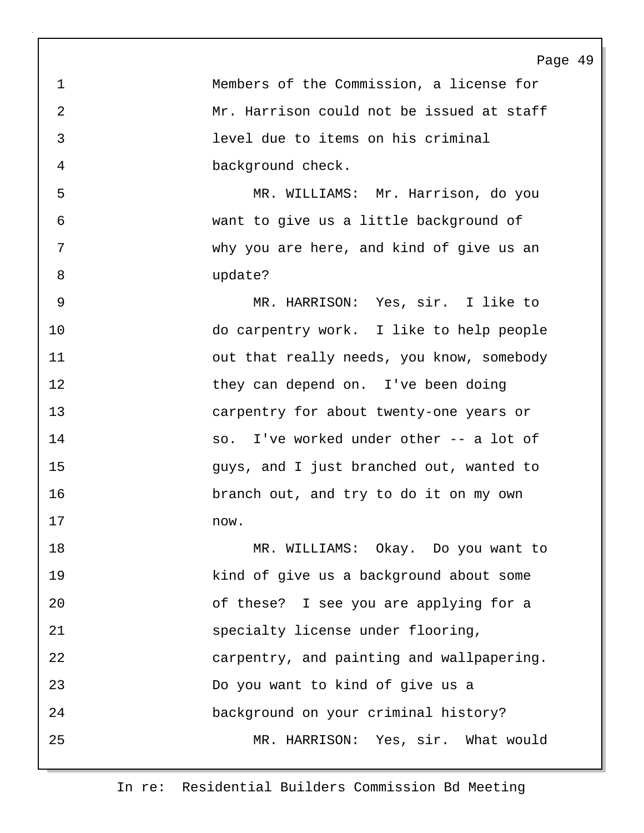Page 49 1 Members of the Commission, a license for 2 Mr. Harrison could not be issued at staff 3 level due to items on his criminal 4 background check. 5 MR. WILLIAMS: Mr. Harrison, do you 6 want to give us a little background of 7 why you are here, and kind of give us an 8 update? 9 MR. HARRISON: Yes, sir. I like to 10 do carpentry work. I like to help people 11 out that really needs, you know, somebody 12 they can depend on. I've been doing 13 carpentry for about twenty-one years or 14 so. I've worked under other -- a lot of 15 guys, and I just branched out, wanted to 16 branch out, and try to do it on my own 17 now. 18 MR. WILLIAMS: Okay. Do you want to 19 kind of give us a background about some 20 of these? I see you are applying for a 21 specialty license under flooring, 22 carpentry, and painting and wallpapering. 23 Do you want to kind of give us a 24 background on your criminal history? 25 MR. HARRISON: Yes, sir. What would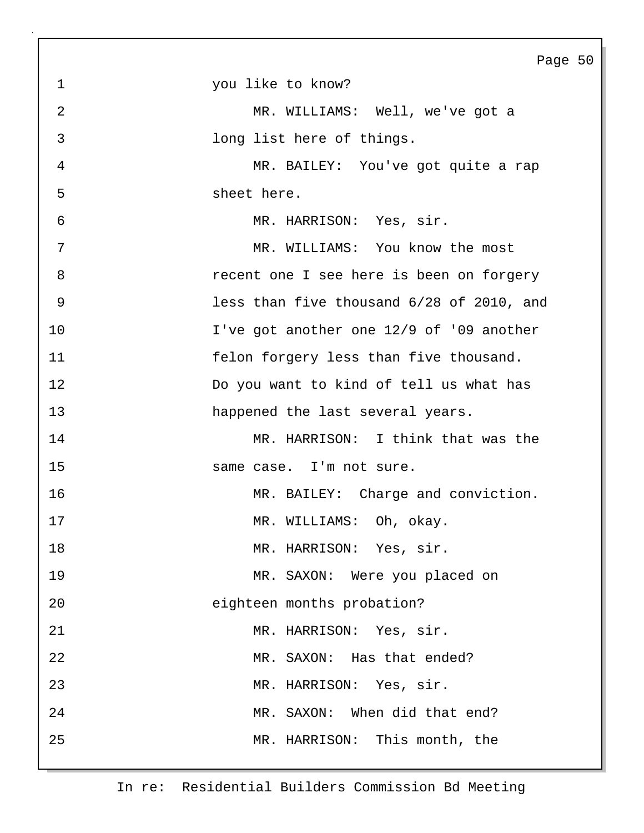|                | Page                                      |
|----------------|-------------------------------------------|
| $\mathbf{1}$   | you like to know?                         |
| $\overline{2}$ | MR. WILLIAMS: Well, we've got a           |
| 3              | long list here of things.                 |
| 4              | MR. BAILEY: You've got quite a rap        |
| 5              | sheet here.                               |
| 6              | MR. HARRISON: Yes, sir.                   |
| 7              | MR. WILLIAMS: You know the most           |
| 8              | recent one I see here is been on forgery  |
| 9              | less than five thousand 6/28 of 2010, and |
| 10             | I've got another one 12/9 of '09 another  |
| 11             | felon forgery less than five thousand.    |
| 12             | Do you want to kind of tell us what has   |
| 13             | happened the last several years.          |
| 14             | MR. HARRISON: I think that was the        |
| 15             | same case. I'm not sure.                  |
| 16             | MR. BAILEY: Charge and conviction.        |
| 17             | MR. WILLIAMS: Oh, okay.                   |
| 18             | MR. HARRISON: Yes, sir.                   |
| 19             | MR. SAXON: Were you placed on             |
| 20             | eighteen months probation?                |
| 21             | MR. HARRISON: Yes, sir.                   |
| 22             | MR. SAXON: Has that ended?                |
| 23             | MR. HARRISON: Yes, sir.                   |
| 24             | MR. SAXON: When did that end?             |
| 25             | MR. HARRISON: This month, the             |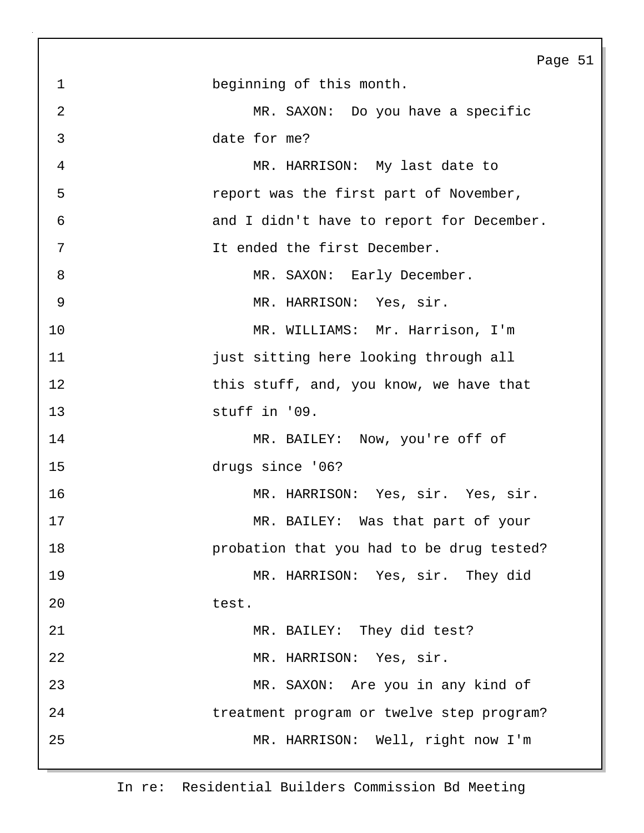|                | Page 51                                   |
|----------------|-------------------------------------------|
| $\mathbf 1$    | beginning of this month.                  |
| 2              | MR. SAXON: Do you have a specific         |
| $\mathfrak{Z}$ | date for me?                              |
| 4              | MR. HARRISON: My last date to             |
| 5              | report was the first part of November,    |
| 6              | and I didn't have to report for December. |
| 7              | It ended the first December.              |
| 8              | MR. SAXON: Early December.                |
| 9              | MR. HARRISON: Yes, sir.                   |
| 10             | MR. WILLIAMS: Mr. Harrison, I'm           |
| 11             | just sitting here looking through all     |
| 12             | this stuff, and, you know, we have that   |
| 13             | stuff in '09.                             |
| 14             | MR. BAILEY: Now, you're off of            |
| 15             | drugs since '06?                          |
| 16             | MR. HARRISON: Yes, sir. Yes, sir.         |
| 17             | MR. BAILEY: Was that part of your         |
| 18             | probation that you had to be drug tested? |
| 19             | MR. HARRISON: Yes, sir. They did          |
| 20             | test.                                     |
| 21             | MR. BAILEY: They did test?                |
| 22             | MR. HARRISON: Yes, sir.                   |
| 23             | MR. SAXON: Are you in any kind of         |
| 24             | treatment program or twelve step program? |
| 25             | MR. HARRISON: Well, right now I'm         |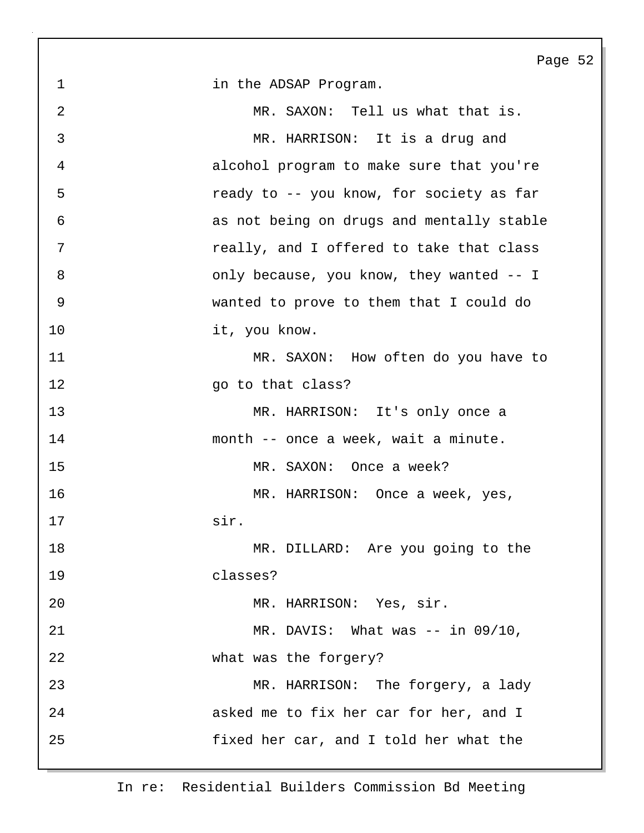Page 52 1 in the ADSAP Program. 2 MR. SAXON: Tell us what that is. 3 MR. HARRISON: It is a drug and 4 alcohol program to make sure that you're 5 ready to -- you know, for society as far 6 as not being on drugs and mentally stable 7 really, and I offered to take that class 8 only because, you know, they wanted -- I 9 wanted to prove to them that I could do 10 it, you know. 11 MR. SAXON: How often do you have to 12 ao to that class? 13 MR. HARRISON: It's only once a 14 month -- once a week, wait a minute. 15 MR. SAXON: Once a week? 16 MR. HARRISON: Once a week, yes, 17 sir. 18 MR. DILLARD: Are you going to the 19 classes? 20 MR. HARRISON: Yes, sir. 21 MR. DAVIS: What was -- in 09/10, 22 what was the forgery? 23 MR. HARRISON: The forgery, a lady 24 asked me to fix her car for her, and I 25 fixed her car, and I told her what the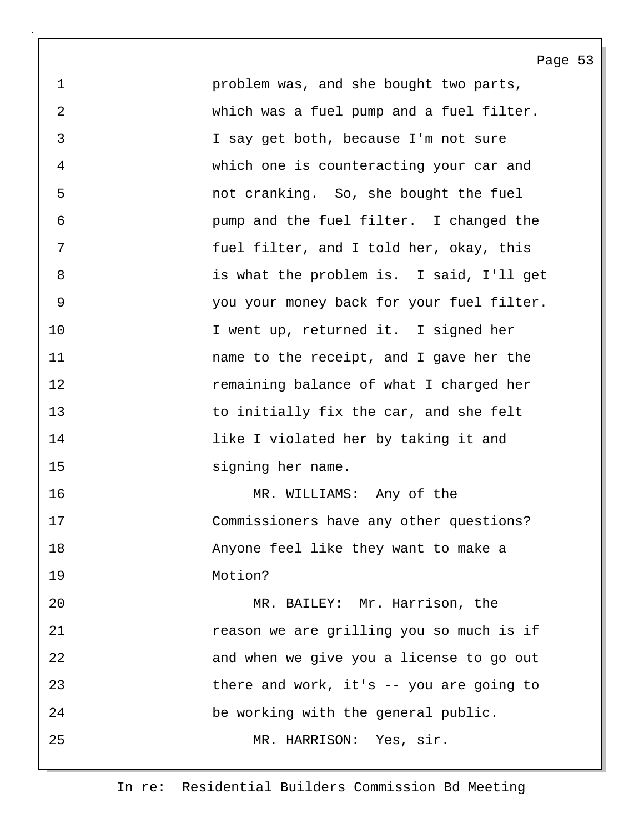1 problem was, and she bought two parts, 2 which was a fuel pump and a fuel filter. 3 I say get both, because I'm not sure 4 which one is counteracting your car and 5 not cranking. So, she bought the fuel 6 pump and the fuel filter. I changed the 7 fuel filter, and I told her, okay, this 8 is what the problem is. I said, I'll get 9 you your money back for your fuel filter. 10 I went up, returned it. I signed her 11 name to the receipt, and I gave her the 12 remaining balance of what I charged her 13 to initially fix the car, and she felt 14 like I violated her by taking it and 15 signing her name. 16 MR. WILLIAMS: Any of the 17 Commissioners have any other questions? 18 Anyone feel like they want to make a 19 Motion? 20 MR. BAILEY: Mr. Harrison, the 21 **1** *reason we are grilling you so much is if* 

Page 53

22 and when we give you a license to go out 23 there and work, it's -- you are going to 24 be working with the general public.

25 MR. HARRISON: Yes, sir.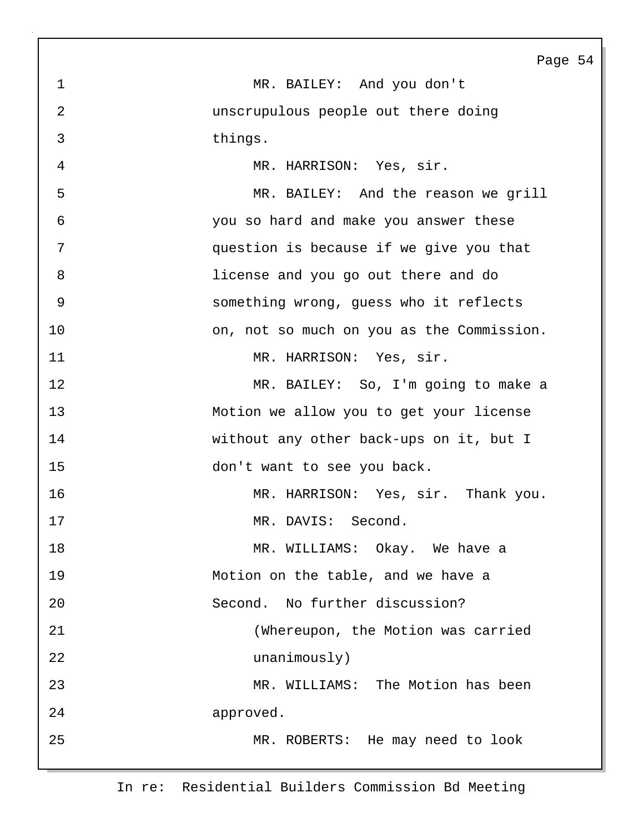In re: Residential Builders Commission Bd Meeting 2 unscrupulous people out there doing 3 things. 4 MR. HARRISON: Yes, sir. 5 MR. BAILEY: And the reason we grill 6 you so hard and make you answer these 7 question is because if we give you that 8 license and you go out there and do 9 something wrong, guess who it reflects 10 on, not so much on you as the Commission. 11 MR. HARRISON: Yes, sir. 12 MR. BAILEY: So, I'm going to make a 13 Motion we allow you to get your license 14 without any other back-ups on it, but I 15 don't want to see you back. 16 MR. HARRISON: Yes, sir. Thank you. 17 MR. DAVIS: Second. 18 MR. WILLIAMS: Okay. We have a 19 Motion on the table, and we have a 20 Second. No further discussion? 21 (Whereupon, the Motion was carried 22 unanimously) 23 MR. WILLIAMS: The Motion has been 24 approved. 25 MR. ROBERTS: He may need to look

1 MR. BAILEY: And you don't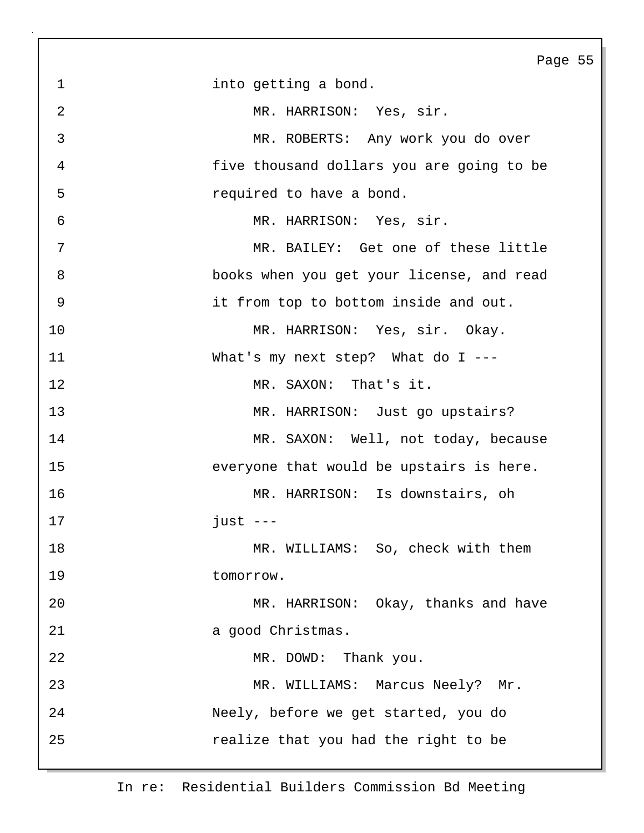Page 55 1 into getting a bond. 2 MR. HARRISON: Yes, sir. 3 MR. ROBERTS: Any work you do over 4 five thousand dollars you are going to be 5 required to have a bond. 6 MR. HARRISON: Yes, sir. 7 MR. BAILEY: Get one of these little 8 books when you get your license, and read 9 it from top to bottom inside and out. 10 MR. HARRISON: Yes, sir. Okay. 11 What's my next step? What do I --- 12 MR. SAXON: That's it. 13 MR. HARRISON: Just go upstairs? 14 MR. SAXON: Well, not today, because 15 everyone that would be upstairs is here. 16 MR. HARRISON: Is downstairs, oh 17 just --- 18 MR. WILLIAMS: So, check with them 19 tomorrow. 20 MR. HARRISON: Okay, thanks and have 21 a good Christmas. 22 MR. DOWD: Thank you. 23 MR. WILLIAMS: Marcus Neely? Mr. 24 Neely, before we get started, you do 25 realize that you had the right to be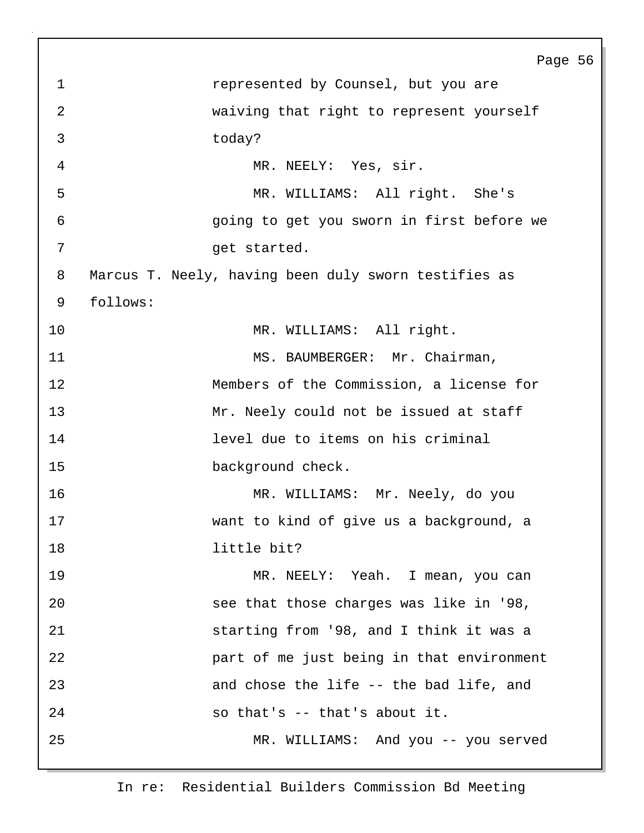Page 56 1 **1** represented by Counsel, but you are 2 waiving that right to represent yourself 3 today? 4 MR. NEELY: Yes, sir. 5 MR. WILLIAMS: All right. She's 6 going to get you sworn in first before we 7 get started. 8 Marcus T. Neely, having been duly sworn testifies as 9 follows: 10 MR. WILLIAMS: All right. 11 MS. BAUMBERGER: Mr. Chairman, 12 Members of the Commission, a license for 13 Mr. Neely could not be issued at staff 14 level due to items on his criminal 15 **background check.** 16 MR. WILLIAMS: Mr. Neely, do you 17 want to kind of give us a background, a 18 little bit? 19 MR. NEELY: Yeah. I mean, you can 20 see that those charges was like in '98, 21 starting from '98, and I think it was a 22 part of me just being in that environment 23 and chose the life -- the bad life, and 24 so that's -- that's about it. 25 MR. WILLIAMS: And you -- you served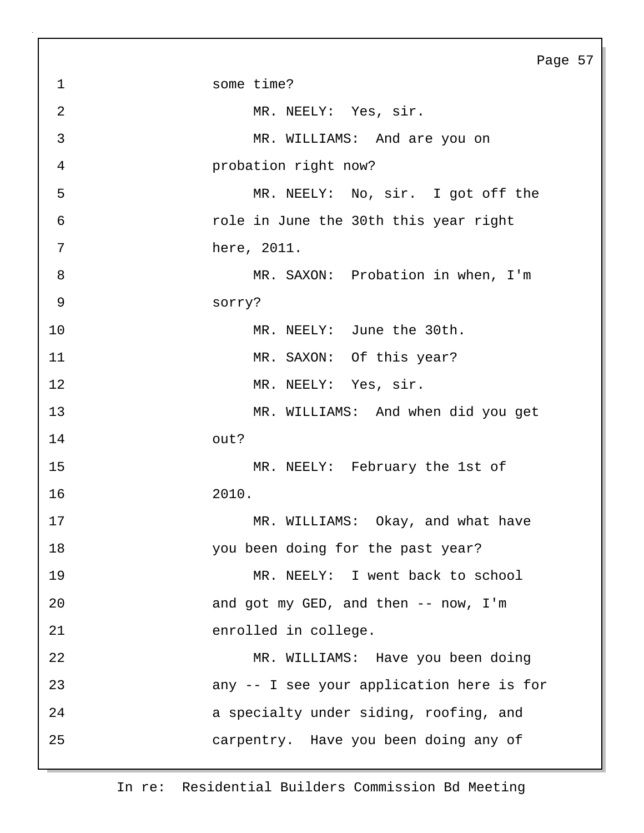|                | Page 57                                   |
|----------------|-------------------------------------------|
| $\mathbf 1$    | some time?                                |
| $\overline{2}$ | MR. NEELY: Yes, sir.                      |
| 3              | MR. WILLIAMS: And are you on              |
| $\overline{4}$ | probation right now?                      |
| 5              | MR. NEELY: No, sir. I got off the         |
| $\epsilon$     | role in June the 30th this year right     |
| 7              | here, 2011.                               |
| 8              | MR. SAXON: Probation in when, I'm         |
| $\mathsf 9$    | sorry?                                    |
| 10             | MR. NEELY: June the 30th.                 |
| 11             | MR. SAXON: Of this year?                  |
| 12             | MR. NEELY: Yes, sir.                      |
| 13             | MR. WILLIAMS: And when did you get        |
| 14             | out?                                      |
| 15             | MR. NEELY: February the 1st of            |
| 16             | 2010.                                     |
| 17             | MR. WILLIAMS: Okay, and what have         |
| 18             | you been doing for the past year?         |
| 19             | MR. NEELY: I went back to school          |
| 20             | and got my GED, and then -- now, I'm      |
| 21             | enrolled in college.                      |
| 22             | MR. WILLIAMS: Have you been doing         |
| 23             | any -- I see your application here is for |
| 24             | a specialty under siding, roofing, and    |
| 25             | carpentry. Have you been doing any of     |
|                |                                           |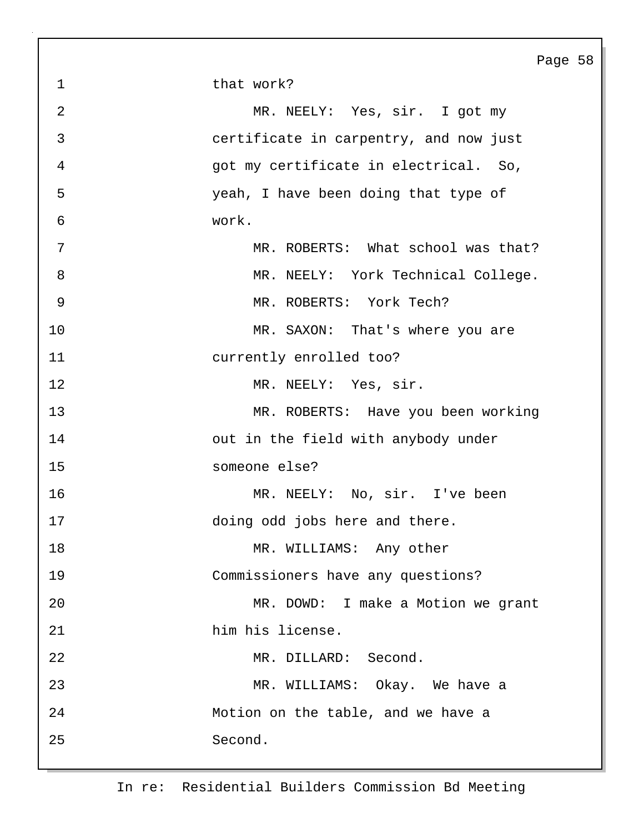1 that work? 2 MR. NEELY: Yes, sir. I got my 3 certificate in carpentry, and now just 4 got my certificate in electrical. So, 5 yeah, I have been doing that type of 6 work. 7 MR. ROBERTS: What school was that? 8 MR. NEELY: York Technical College. 9 MR. ROBERTS: York Tech? 10 MR. SAXON: That's where you are 11 currently enrolled too? 12 MR. NEELY: Yes, sir. 13 MR. ROBERTS: Have you been working 14 out in the field with anybody under 15 someone else? 16 MR. NEELY: No, sir. I've been 17 doing odd jobs here and there. 18 MR. WILLIAMS: Any other 19 Commissioners have any questions? 20 MR. DOWD: I make a Motion we grant 21 him his license. 22 MR. DILLARD: Second. 23 MR. WILLIAMS: Okay. We have a 24 Motion on the table, and we have a 25 Second.

Page 58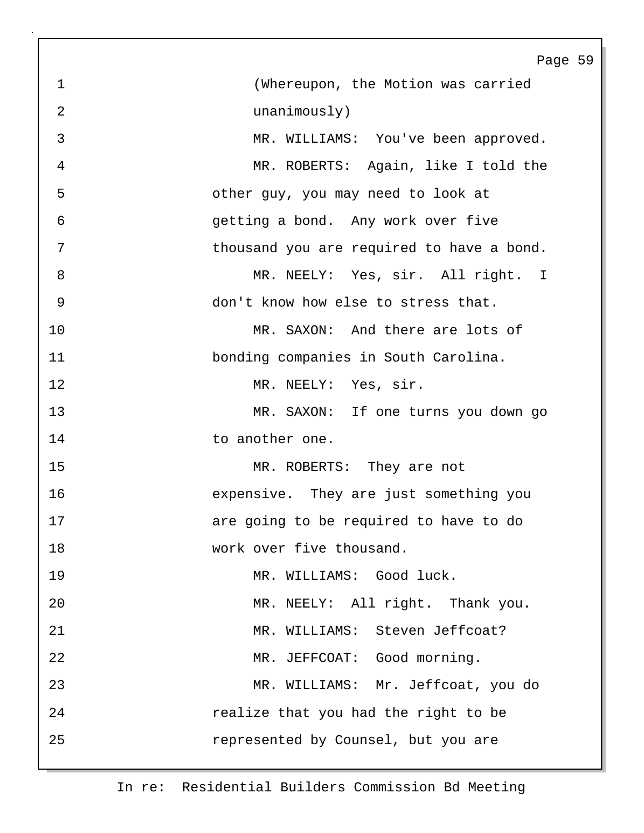|                | Page 59                                   |
|----------------|-------------------------------------------|
| $\mathbf 1$    | (Whereupon, the Motion was carried        |
| $\overline{2}$ | unanimously)                              |
| 3              | MR. WILLIAMS: You've been approved.       |
| 4              | MR. ROBERTS: Again, like I told the       |
| 5              | other guy, you may need to look at        |
| 6              | getting a bond. Any work over five        |
| 7              | thousand you are required to have a bond. |
| 8              | MR. NEELY: Yes, sir. All right. I         |
| $\overline{9}$ | don't know how else to stress that.       |
| 10             | MR. SAXON: And there are lots of          |
| 11             | bonding companies in South Carolina.      |
| 12             | MR. NEELY: Yes, sir.                      |
| 13             | MR. SAXON: If one turns you down go       |
| 14             | to another one.                           |
| 15             | MR. ROBERTS: They are not                 |
| 16             | expensive. They are just something you    |
| 17             | are going to be required to have to do    |
| 18             | work over five thousand.                  |
| 19             | MR. WILLIAMS: Good luck.                  |
| 20             | MR. NEELY: All right. Thank you.          |
| 21             | MR. WILLIAMS: Steven Jeffcoat?            |
| 22             | MR. JEFFCOAT: Good morning.               |
| 23             | MR. WILLIAMS: Mr. Jeffcoat, you do        |
| 24             | realize that you had the right to be      |
| 25             | represented by Counsel, but you are       |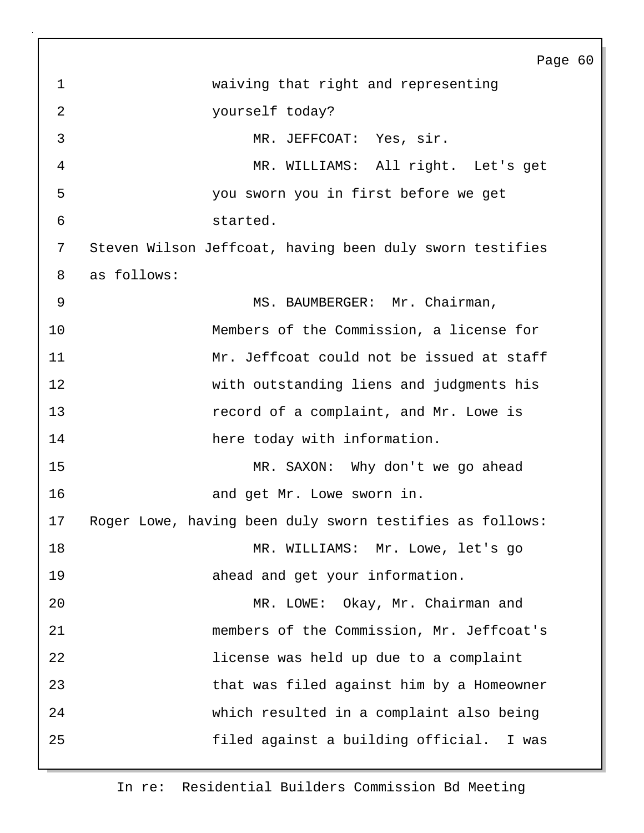Page 60 1 waiving that right and representing 2 yourself today? 3 MR. JEFFCOAT: Yes, sir. 4 MR. WILLIAMS: All right. Let's get 5 you sworn you in first before we get 6 started. 7 Steven Wilson Jeffcoat, having been duly sworn testifies 8 as follows: 9 MS. BAUMBERGER: Mr. Chairman, 10 Members of the Commission, a license for 11 Mr. Jeffcoat could not be issued at staff 12 with outstanding liens and judgments his 13 record of a complaint, and Mr. Lowe is 14 here today with information. 15 MR. SAXON: Why don't we go ahead 16 and get Mr. Lowe sworn in. 17 Roger Lowe, having been duly sworn testifies as follows: 18 MR. WILLIAMS: Mr. Lowe, let's go 19 ahead and get your information. 20 MR. LOWE: Okay, Mr. Chairman and 21 members of the Commission, Mr. Jeffcoat's 22 license was held up due to a complaint 23 that was filed against him by a Homeowner 24 which resulted in a complaint also being 25 filed against a building official. I was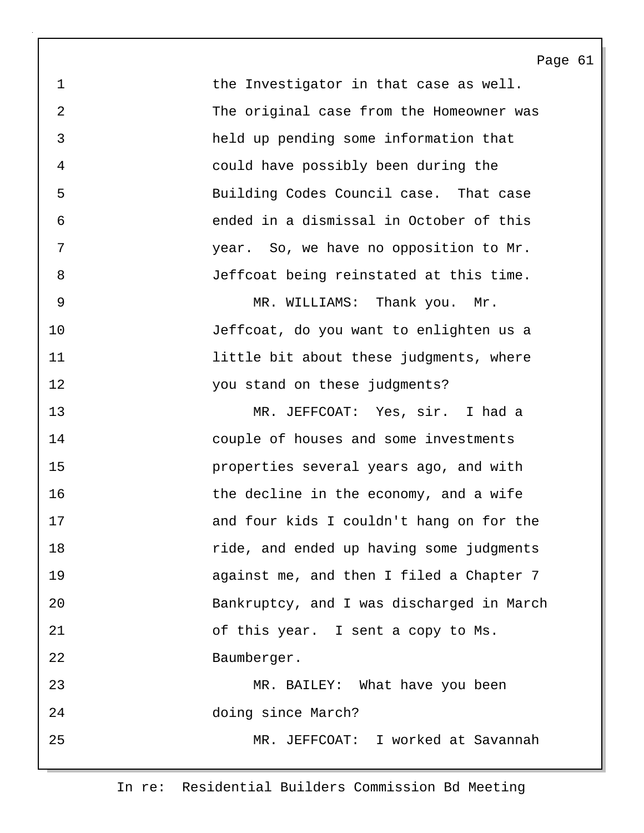1 the Investigator in that case as well. 2 The original case from the Homeowner was 3 held up pending some information that 4 could have possibly been during the 5 Building Codes Council case. That case 6 ended in a dismissal in October of this 7 year. So, we have no opposition to Mr. 8 Jeffcoat being reinstated at this time.

9 MR. WILLIAMS: Thank you. Mr. 10 Jeffcoat, do you want to enlighten us a 11 **11 little bit about these judgments, where** 12 you stand on these judgments?

13 MR. JEFFCOAT: Yes, sir. I had a 14 couple of houses and some investments 15 properties several years ago, and with 16 16 the decline in the economy, and a wife 17 and four kids I couldn't hang on for the 18 ride, and ended up having some judgments 19 against me, and then I filed a Chapter 7 20 Bankruptcy, and I was discharged in March 21 of this year. I sent a copy to Ms. 22 Baumberger. 23 MR. BAILEY: What have you been 24 doing since March?

25 MR. JEFFCOAT: I worked at Savannah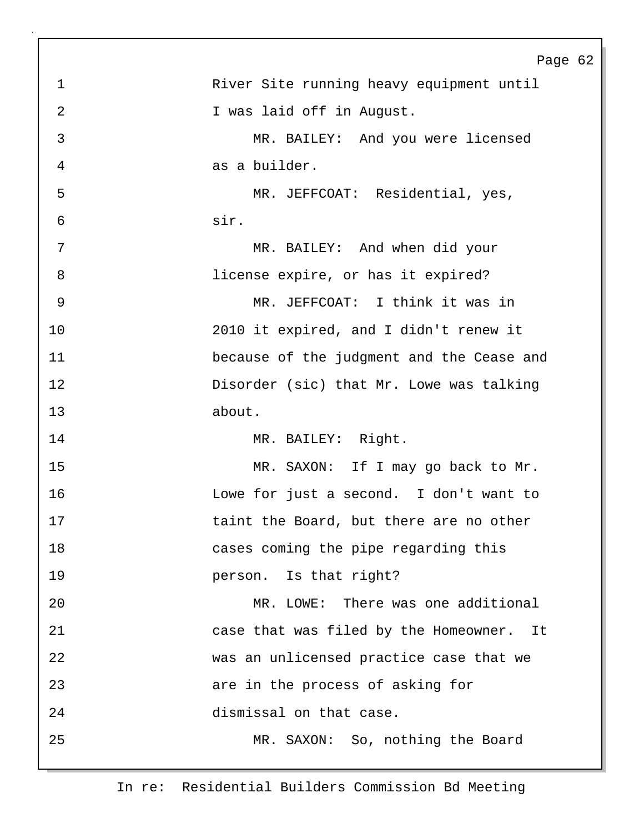|                | Page 62                                   |
|----------------|-------------------------------------------|
| $\mathbf 1$    | River Site running heavy equipment until  |
| $\overline{2}$ | I was laid off in August.                 |
| 3              | MR. BAILEY: And you were licensed         |
| 4              | as a builder.                             |
| 5              | MR. JEFFCOAT: Residential, yes,           |
| 6              | sir.                                      |
| 7              | MR. BAILEY: And when did your             |
| 8              | license expire, or has it expired?        |
| 9              | MR. JEFFCOAT: I think it was in           |
| 10             | 2010 it expired, and I didn't renew it    |
| 11             | because of the judgment and the Cease and |
| 12             | Disorder (sic) that Mr. Lowe was talking  |
| 13             | about.                                    |
| 14             | MR. BAILEY: Right.                        |
| 15             | MR. SAXON: If I may go back to Mr.        |
| 16             | Lowe for just a second. I don't want to   |
| 17             | taint the Board, but there are no other   |
| 18             | cases coming the pipe regarding this      |
| 19             | person. Is that right?                    |
| 20             | MR. LOWE: There was one additional        |
| 21             | case that was filed by the Homeowner. It  |
| 22             | was an unlicensed practice case that we   |
| 23             | are in the process of asking for          |
| 24             | dismissal on that case.                   |
| 25             | MR. SAXON: So, nothing the Board          |
|                |                                           |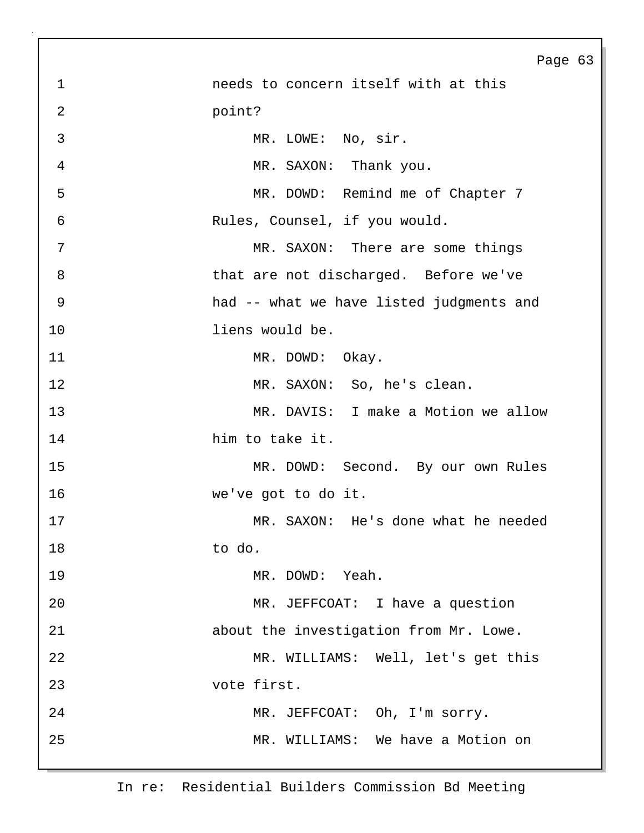Page 63 1 needs to concern itself with at this 2 point? 3 MR. LOWE: No, sir. 4 MR. SAXON: Thank you. 5 MR. DOWD: Remind me of Chapter 7 6 Rules, Counsel, if you would. 7 MR. SAXON: There are some things 8 that are not discharged. Before we've 9 had -- what we have listed judgments and 10 liens would be. 11 MR. DOWD: Okay. 12 MR. SAXON: So, he's clean. 13 MR. DAVIS: I make a Motion we allow 14 him to take it. 15 MR. DOWD: Second. By our own Rules 16 we've got to do it. 17 MR. SAXON: He's done what he needed 18 to do. 19 MR. DOWD: Yeah. 20 MR. JEFFCOAT: I have a question 21 about the investigation from Mr. Lowe. 22 MR. WILLIAMS: Well, let's get this 23 vote first. 24 MR. JEFFCOAT: Oh, I'm sorry. 25 MR. WILLIAMS: We have a Motion on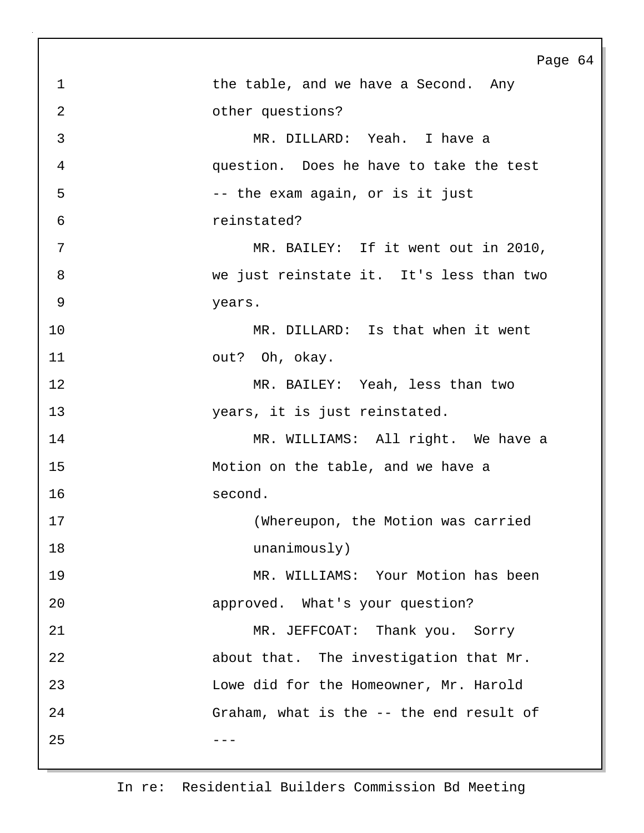|                | Page 64                                  |
|----------------|------------------------------------------|
| $\mathbf{1}$   | the table, and we have a Second. Any     |
| $\overline{2}$ | other questions?                         |
| $\mathfrak{Z}$ | MR. DILLARD: Yeah. I have a              |
| 4              | question. Does he have to take the test  |
| 5              | -- the exam again, or is it just         |
| 6              | reinstated?                              |
| 7              | MR. BAILEY: If it went out in 2010,      |
| 8              | we just reinstate it. It's less than two |
| 9              | years.                                   |
| 10             | MR. DILLARD: Is that when it went        |
| 11             | out? Oh, okay.                           |
| 12             | MR. BAILEY: Yeah, less than two          |
| 13             | years, it is just reinstated.            |
| 14             | MR. WILLIAMS: All right. We have a       |
| 15             | Motion on the table, and we have a       |
| 16             | second.                                  |
| 17             | (Whereupon, the Motion was carried       |
| 18             | unanimously)                             |
| 19             | MR. WILLIAMS: Your Motion has been       |
| 20             | approved. What's your question?          |
| 21             | MR. JEFFCOAT: Thank you. Sorry           |
| 22             | about that. The investigation that Mr.   |
| 23             | Lowe did for the Homeowner, Mr. Harold   |
| 24             | Graham, what is the -- the end result of |
| 25             |                                          |
|                |                                          |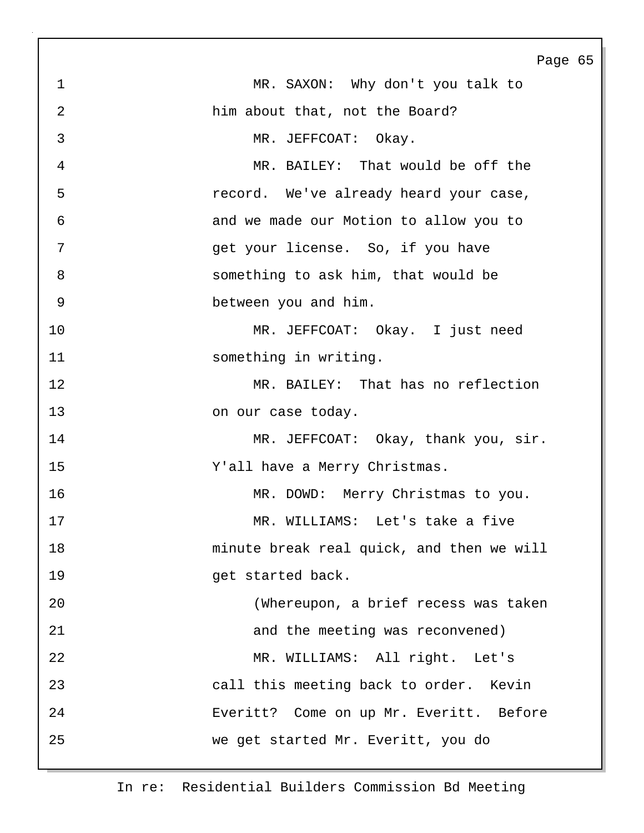|    | Page 65                                     |
|----|---------------------------------------------|
| 1  | MR. SAXON: Why don't you talk to            |
| 2  | him about that, not the Board?              |
| 3  | MR. JEFFCOAT: Okay.                         |
| 4  | MR. BAILEY: That would be off the           |
| 5  | record. We've already heard your case,      |
| 6  | and we made our Motion to allow you to      |
| 7  | get your license. So, if you have           |
| 8  | something to ask him, that would be         |
| 9  | between you and him.                        |
| 10 | MR. JEFFCOAT: Okay. I just need             |
| 11 | something in writing.                       |
| 12 | MR. BAILEY: That has no reflection          |
| 13 | on our case today.                          |
| 14 | MR. JEFFCOAT: Okay, thank you, sir.         |
| 15 | Y'all have a Merry Christmas.               |
| 16 | MR. DOWD: Merry Christmas to you.           |
| 17 | WILLIAMS: Let's take a five<br>$MR_{\odot}$ |
| 18 | minute break real quick, and then we will   |
| 19 | get started back.                           |
| 20 | (Whereupon, a brief recess was taken        |
| 21 | and the meeting was reconvened)             |
| 22 | MR. WILLIAMS: All right. Let's              |
| 23 | call this meeting back to order. Kevin      |
| 24 | Everitt? Come on up Mr. Everitt. Before     |
| 25 | we get started Mr. Everitt, you do          |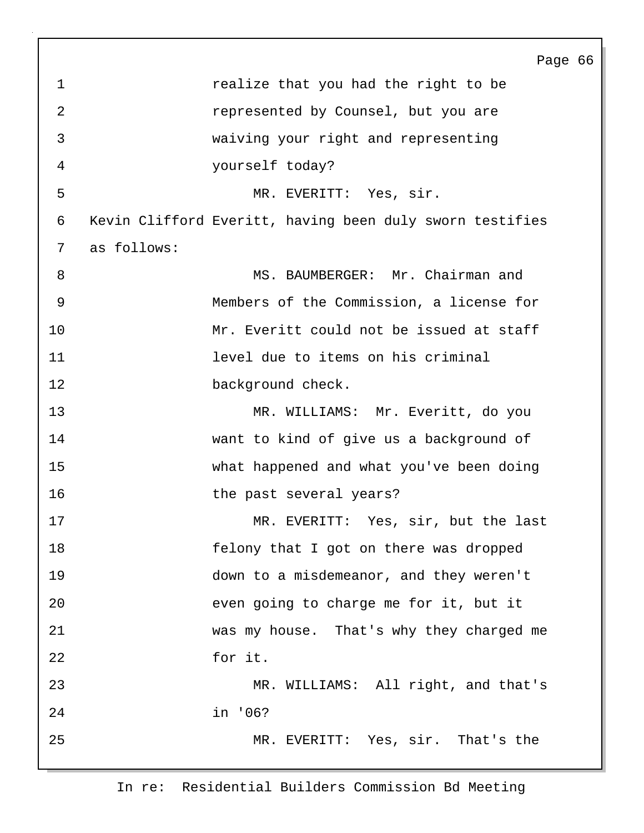Page 66 1 **1** *realize that you had the right to be* 2 *represented by Counsel, but you are* 3 waiving your right and representing 4 yourself today? 5 MR. EVERITT: Yes, sir. 6 Kevin Clifford Everitt, having been duly sworn testifies 7 as follows: 8 MS. BAUMBERGER: Mr. Chairman and 9 Members of the Commission, a license for 10 Mr. Everitt could not be issued at staff 11 level due to items on his criminal 12 background check. 13 MR. WILLIAMS: Mr. Everitt, do you 14 want to kind of give us a background of 15 what happened and what you've been doing 16 the past several years? 17 MR. EVERITT: Yes, sir, but the last 18 felony that I got on there was dropped 19 down to a misdemeanor, and they weren't 20 even going to charge me for it, but it 21 was my house. That's why they charged me 22 for it. 23 MR. WILLIAMS: All right, and that's 24 in '06? 25 MR. EVERITT: Yes, sir. That's the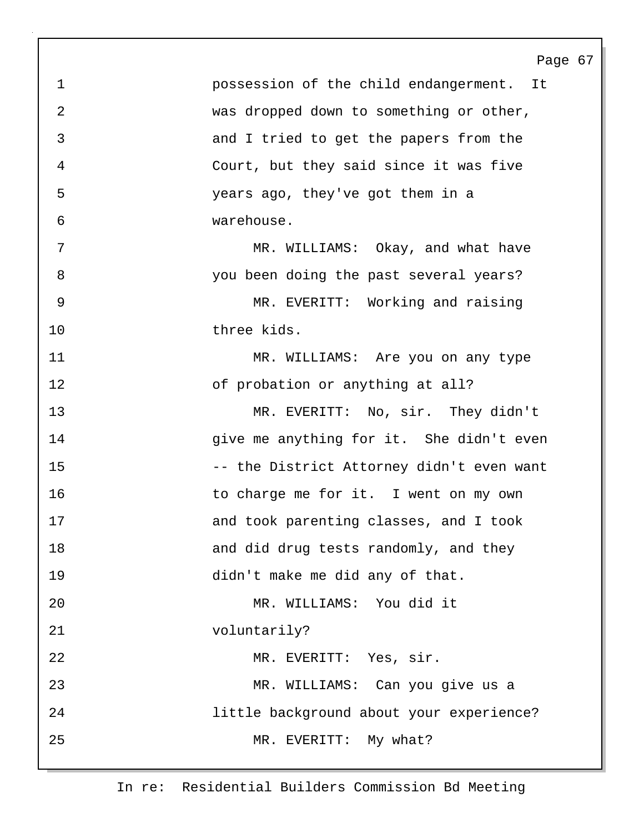1 possession of the child endangerment. It 2 was dropped down to something or other, 3 and I tried to get the papers from the 4 Court, but they said since it was five 5 years ago, they've got them in a 6 warehouse. 7 MR. WILLIAMS: Okay, and what have 8 you been doing the past several years? 9 MR. EVERITT: Working and raising 10 three kids. 11 MR. WILLIAMS: Are you on any type 12 of probation or anything at all? 13 MR. EVERITT: No, sir. They didn't 14 give me anything for it. She didn't even 15 -- the District Attorney didn't even want 16 to charge me for it. I went on my own 17 and took parenting classes, and I took 18 and did drug tests randomly, and they 19 didn't make me did any of that. 20 MR. WILLIAMS: You did it 21 voluntarily? 22 MR. EVERITT: Yes, sir. 23 MR. WILLIAMS: Can you give us a 24 little background about your experience? 25 MR. EVERITT: My what?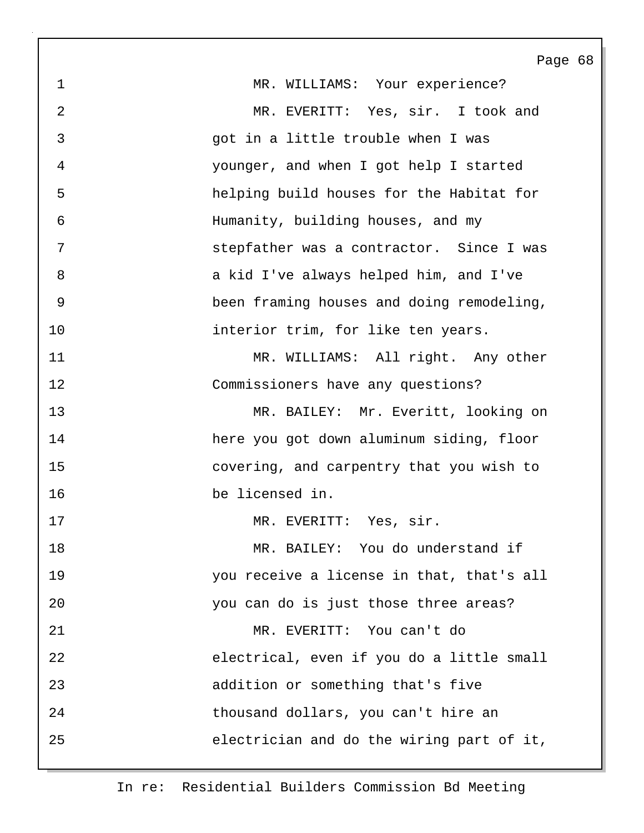Page 68 1 MR. WILLIAMS: Your experience? 2 MR. EVERITT: Yes, sir. I took and 3 got in a little trouble when I was 4 younger, and when I got help I started 5 helping build houses for the Habitat for 6 Humanity, building houses, and my 7 stepfather was a contractor. Since I was 8 a kid I've always helped him, and I've 9 been framing houses and doing remodeling, 10 **interior trim**, for like ten years. 11 MR. WILLIAMS: All right. Any other 12 Commissioners have any questions? 13 MR. BAILEY: Mr. Everitt, looking on 14 here you got down aluminum siding, floor 15 covering, and carpentry that you wish to 16 be licensed in. 17 MR. EVERITT: Yes, sir. 18 MR. BAILEY: You do understand if 19 you receive a license in that, that's all 20 you can do is just those three areas? 21 MR. EVERITT: You can't do 22 electrical, even if you do a little small 23 addition or something that's five 24 thousand dollars, you can't hire an 25 electrician and do the wiring part of it,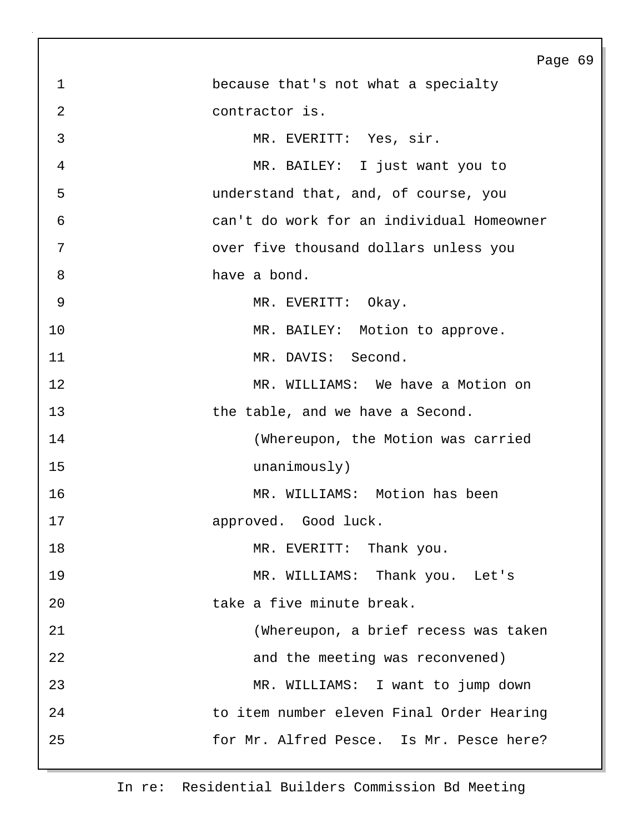|                | Page 69                                   |
|----------------|-------------------------------------------|
| $\mathbf 1$    | because that's not what a specialty       |
| $\overline{2}$ | contractor is.                            |
| $\mathfrak{Z}$ | MR. EVERITT: Yes, sir.                    |
| $\overline{4}$ | MR. BAILEY: I just want you to            |
| 5              | understand that, and, of course, you      |
| 6              | can't do work for an individual Homeowner |
| 7              | over five thousand dollars unless you     |
| 8              | have a bond.                              |
| 9              | MR. EVERITT: Okay.                        |
| 10             | MR. BAILEY: Motion to approve.            |
| 11             | MR. DAVIS: Second.                        |
| 12             | MR. WILLIAMS: We have a Motion on         |
| 13             | the table, and we have a Second.          |
| 14             | (Whereupon, the Motion was carried        |
| 15             | unanimously)                              |
| 16             | MR. WILLIAMS: Motion has been             |
| 17             | approved. Good luck.                      |
| 18             | MR. EVERITT: Thank you.                   |
| 19             | MR. WILLIAMS: Thank you. Let's            |
| 20             | take a five minute break.                 |
| 21             | (Whereupon, a brief recess was taken      |
| 22             | and the meeting was reconvened)           |
| 23             | MR. WILLIAMS: I want to jump down         |
| 24             | to item number eleven Final Order Hearing |
| 25             | for Mr. Alfred Pesce. Is Mr. Pesce here?  |
|                |                                           |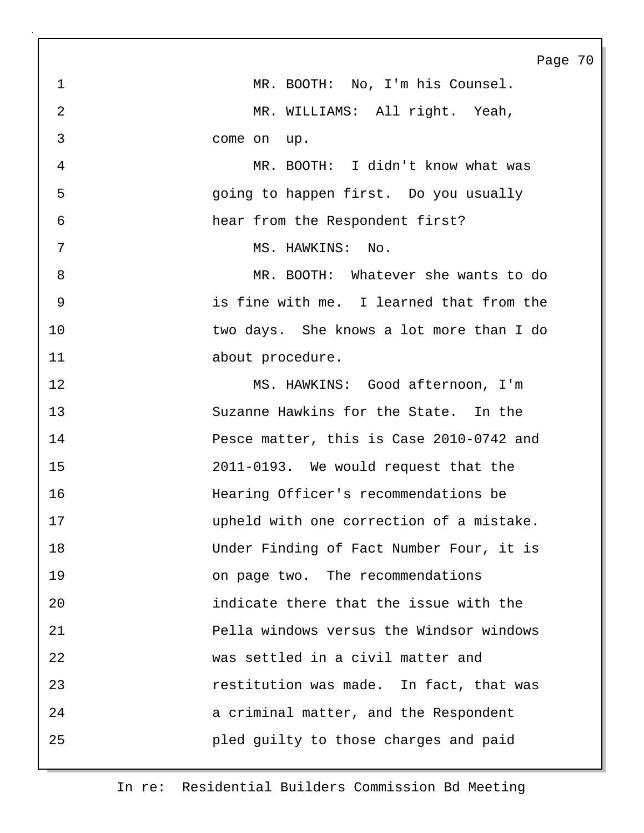Page 70 1 MR. BOOTH: No, I'm his Counsel. 2 MR. WILLIAMS: All right. Yeah, 3 come on up. 4 MR. BOOTH: I didn't know what was 5 going to happen first. Do you usually 6 hear from the Respondent first? 7 MS. HAWKINS: No. 8 MR. BOOTH: Whatever she wants to do 9 is fine with me. I learned that from the 10 two days. She knows a lot more than I do 11 about procedure. 12 MS. HAWKINS: Good afternoon, I'm 13 Suzanne Hawkins for the State. In the 14 Pesce matter, this is Case 2010-0742 and 15 2011-0193. We would request that the 16 Hearing Officer's recommendations be 17 upheld with one correction of a mistake. 18 Under Finding of Fact Number Four, it is 19 on page two. The recommendations 20 indicate there that the issue with the 21 Pella windows versus the Windsor windows 22 was settled in a civil matter and 23 restitution was made. In fact, that was 24 a criminal matter, and the Respondent 25 pled guilty to those charges and paid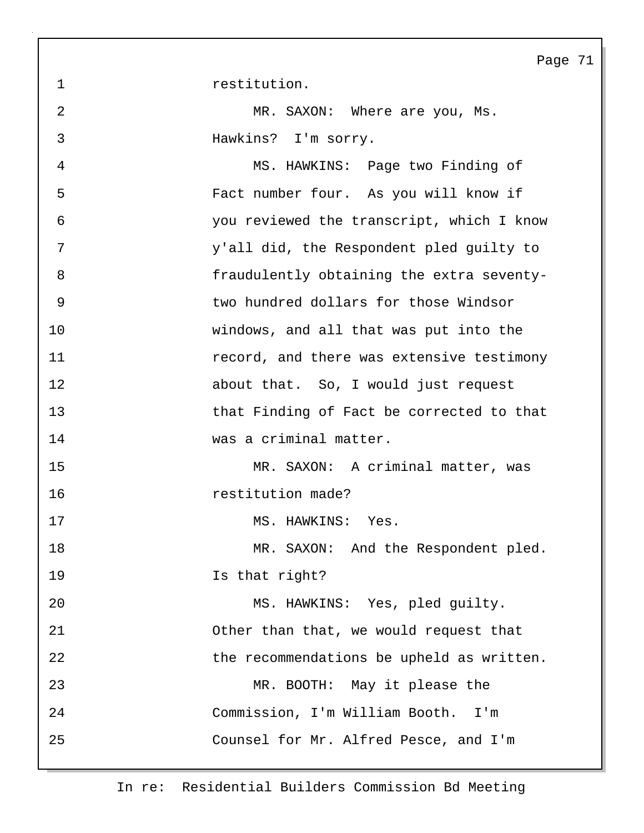1 restitution.

2 MR. SAXON: Where are you, Ms. 3 Hawkins? I'm sorry.

4 MS. HAWKINS: Page two Finding of 5 Fact number four. As you will know if 6 you reviewed the transcript, which I know 7 y'all did, the Respondent pled guilty to 8 fraudulently obtaining the extra seventy-9 two hundred dollars for those Windsor 10 windows, and all that was put into the 11 **1** *record, and there was extensive testimony* 12 about that. So, I would just request 13 that Finding of Fact be corrected to that 14 was a criminal matter. 15 MR. SAXON: A criminal matter, was 16 restitution made? 17 MS. HAWKINS: Yes. 18 MR. SAXON: And the Respondent pled. 19 Is that right? 20 MS. HAWKINS: Yes, pled guilty. 21 Other than that, we would request that 22 the recommendations be upheld as written. 23 MR. BOOTH: May it please the 24 Commission, I'm William Booth. I'm 25 Counsel for Mr. Alfred Pesce, and I'm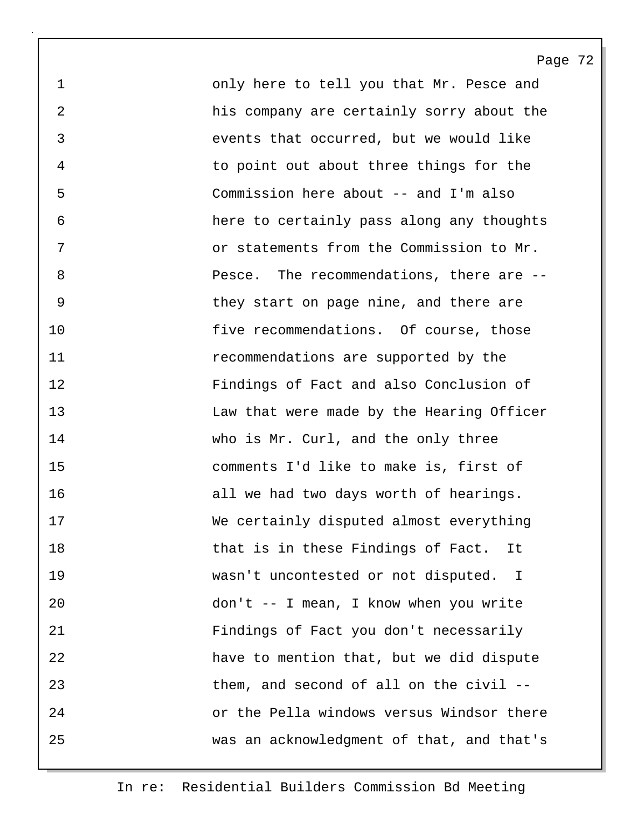1 only here to tell you that Mr. Pesce and 2 his company are certainly sorry about the 3 events that occurred, but we would like 4 to point out about three things for the 5 Commission here about -- and I'm also 6 here to certainly pass along any thoughts 7 or statements from the Commission to Mr. 8 Pesce. The recommendations, there are -- 9 they start on page nine, and there are 10 **five recommendations.** Of course, those 11 recommendations are supported by the 12 Findings of Fact and also Conclusion of 13 Law that were made by the Hearing Officer 14 who is Mr. Curl, and the only three 15 comments I'd like to make is, first of 16 all we had two days worth of hearings. 17 We certainly disputed almost everything 18 that is in these Findings of Fact. It 19 wasn't uncontested or not disputed. I 20 don't -- I mean, I know when you write 21 Findings of Fact you don't necessarily 22 have to mention that, but we did dispute 23 them, and second of all on the civil -- 24 or the Pella windows versus Windsor there 25 was an acknowledgment of that, and that's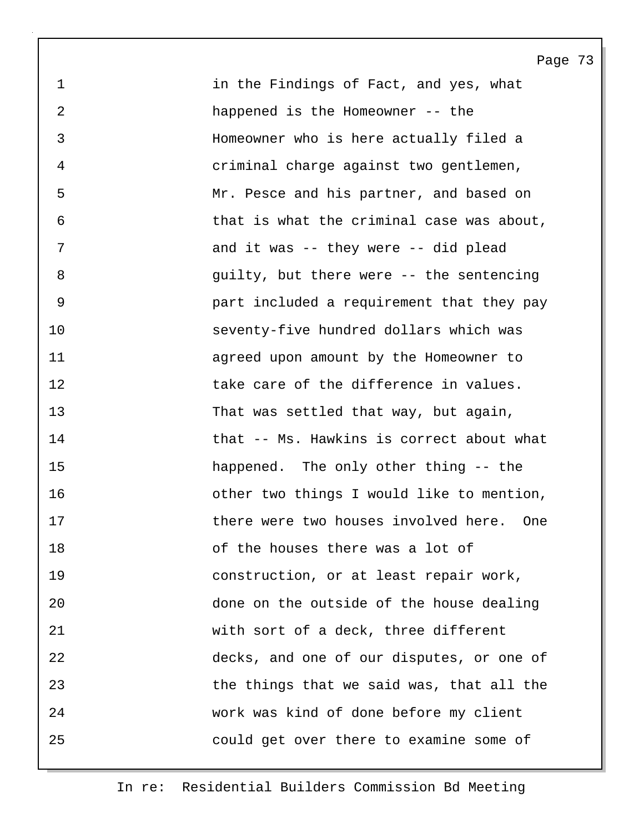1 in the Findings of Fact, and yes, what 2 happened is the Homeowner -- the 3 Homeowner who is here actually filed a 4 criminal charge against two gentlemen, 5 Mr. Pesce and his partner, and based on 6 that is what the criminal case was about, 7 and it was -- they were -- did plead 8 guilty, but there were -- the sentencing 9 part included a requirement that they pay 10 seventy-five hundred dollars which was 11 agreed upon amount by the Homeowner to 12 **12** take care of the difference in values. 13 That was settled that way, but again, 14 that -- Ms. Hawkins is correct about what 15 happened. The only other thing -- the 16 other two things I would like to mention, 17 there were two houses involved here. One 18 of the houses there was a lot of 19 construction, or at least repair work, 20 done on the outside of the house dealing 21 with sort of a deck, three different 22 decks, and one of our disputes, or one of 23 the things that we said was, that all the 24 work was kind of done before my client 25 could get over there to examine some of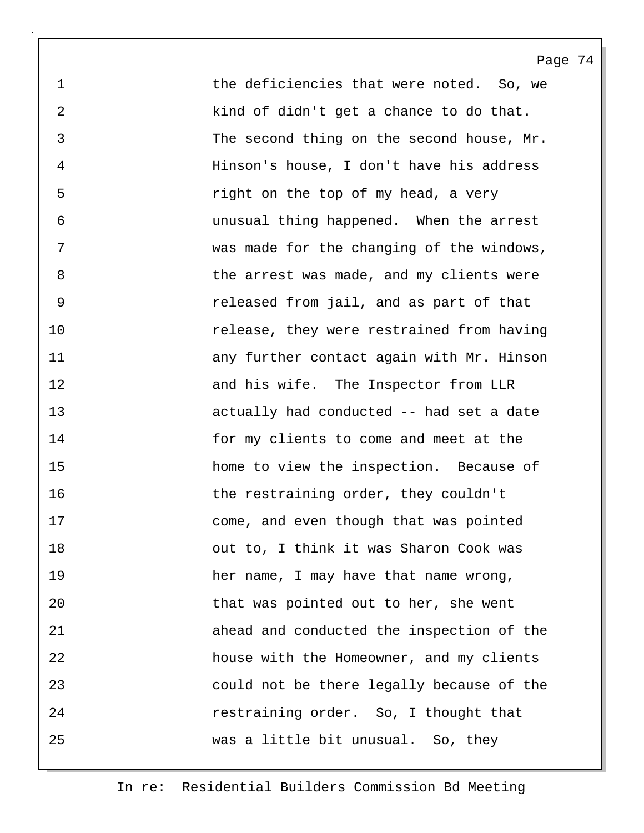1 the deficiencies that were noted. So, we 2 kind of didn't get a chance to do that. 3 The second thing on the second house, Mr. 4 Hinson's house, I don't have his address 5 right on the top of my head, a very 6 unusual thing happened. When the arrest 7 was made for the changing of the windows, 8 b the arrest was made, and my clients were 9 released from jail, and as part of that 10 release, they were restrained from having 11 any further contact again with Mr. Hinson 12 and his wife. The Inspector from LLR 13 actually had conducted -- had set a date 14 for my clients to come and meet at the 15 home to view the inspection. Because of 16 the restraining order, they couldn't 17 come, and even though that was pointed 18 out to, I think it was Sharon Cook was 19 her name, I may have that name wrong, 20 that was pointed out to her, she went 21 ahead and conducted the inspection of the 22 house with the Homeowner, and my clients 23 could not be there legally because of the 24 restraining order. So, I thought that 25 was a little bit unusual. So, they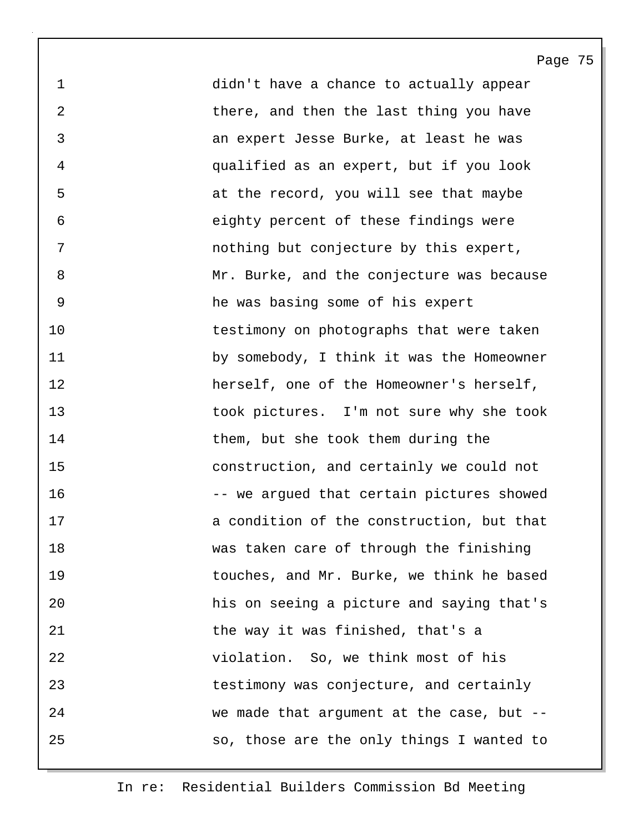1 didn't have a chance to actually appear 2 there, and then the last thing you have 3 an expert Jesse Burke, at least he was 4 qualified as an expert, but if you look 5 at the record, you will see that maybe 6 eighty percent of these findings were 7 nothing but conjecture by this expert, 8 Mr. Burke, and the conjecture was because 9 he was basing some of his expert 10 testimony on photographs that were taken 11 by somebody, I think it was the Homeowner 12 herself, one of the Homeowner's herself, 13 took pictures. I'm not sure why she took 14 them, but she took them during the 15 construction, and certainly we could not 16 -- we arqued that certain pictures showed 17 a condition of the construction, but that 18 was taken care of through the finishing 19 touches, and Mr. Burke, we think he based 20 his on seeing a picture and saying that's 21 the way it was finished, that's a 22 violation. So, we think most of his 23 testimony was conjecture, and certainly 24 we made that argument at the case, but -- 25 so, those are the only things I wanted to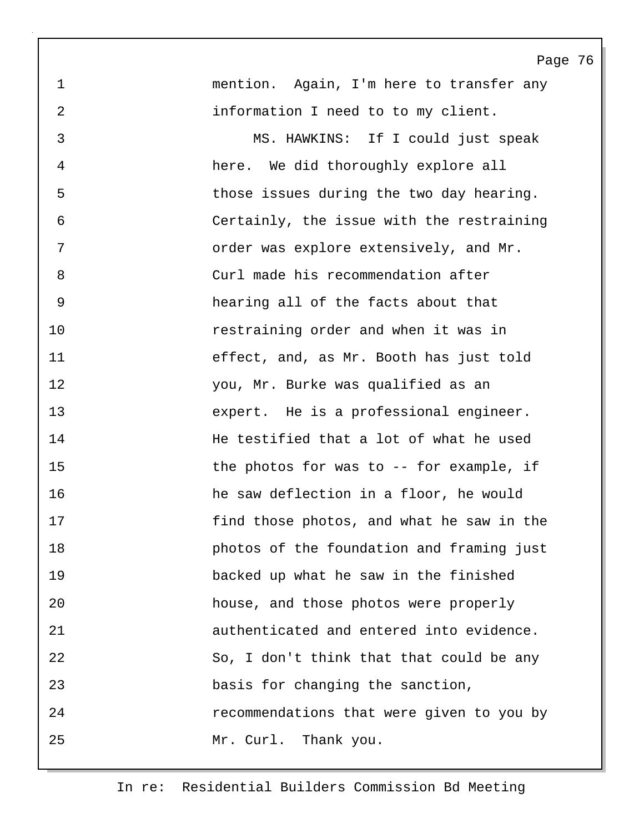1 mention. Again, I'm here to transfer any 2 information I need to to my client.

3 MS. HAWKINS: If I could just speak 4 here. We did thoroughly explore all 5 those issues during the two day hearing. 6 Certainly, the issue with the restraining 7 order was explore extensively, and Mr. 8 Curl made his recommendation after 9 hearing all of the facts about that 10 restraining order and when it was in 11 effect, and, as Mr. Booth has just told 12 you, Mr. Burke was qualified as an 13 expert. He is a professional engineer. 14 He testified that a lot of what he used 15 the photos for was to -- for example, if 16 he saw deflection in a floor, he would 17 find those photos, and what he saw in the 18 photos of the foundation and framing just 19 backed up what he saw in the finished 20 house, and those photos were properly 21 authenticated and entered into evidence. 22 So, I don't think that that could be any 23 basis for changing the sanction, 24 recommendations that were given to you by 25 Mr. Curl. Thank you.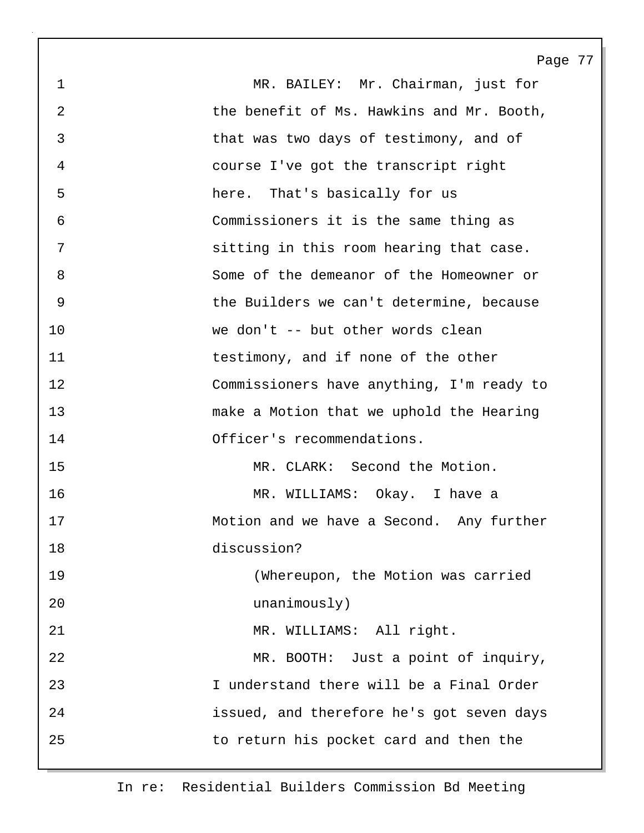1 MR. BAILEY: Mr. Chairman, just for 2 the benefit of Ms. Hawkins and Mr. Booth, 3 that was two days of testimony, and of 4 course I've got the transcript right 5 here. That's basically for us 6 Commissioners it is the same thing as 7 sitting in this room hearing that case. 8 Some of the demeanor of the Homeowner or 9 the Builders we can't determine, because 10 we don't -- but other words clean 11 testimony, and if none of the other 12 Commissioners have anything, I'm ready to 13 make a Motion that we uphold the Hearing 14 Officer's recommendations. 15 MR. CLARK: Second the Motion. 16 MR. WILLIAMS: Okay. I have a 17 Motion and we have a Second. Any further 18 discussion? 19 (Whereupon, the Motion was carried 20 unanimously) 21 MR. WILLIAMS: All right. 22 MR. BOOTH: Just a point of inquiry, 23 I understand there will be a Final Order 24 issued, and therefore he's got seven days

Page 77

25 to return his pocket card and then the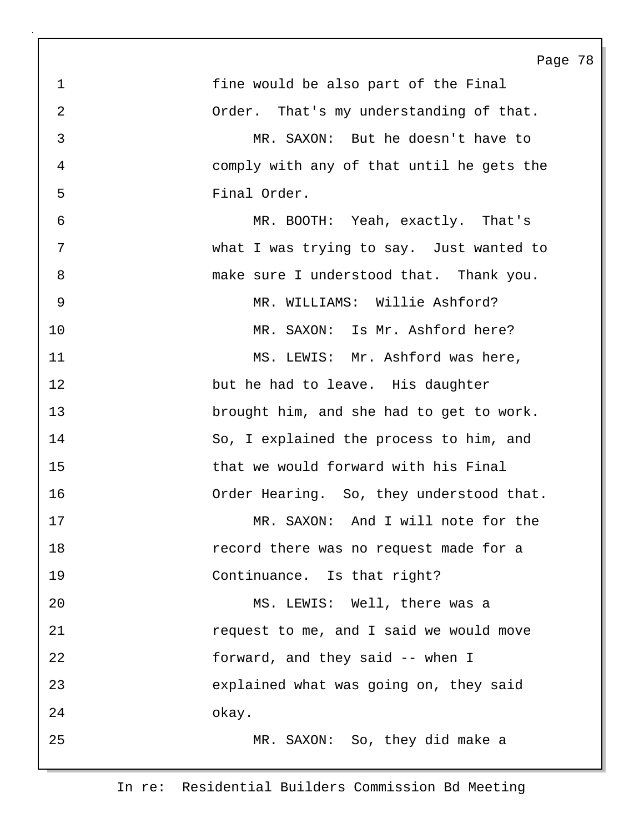Page 78 1 fine would be also part of the Final 2 Order. That's my understanding of that. 3 MR. SAXON: But he doesn't have to 4 comply with any of that until he gets the 5 Final Order. 6 MR. BOOTH: Yeah, exactly. That's 7 what I was trying to say. Just wanted to 8 make sure I understood that. Thank you. 9 MR. WILLIAMS: Willie Ashford? 10 MR. SAXON: Is Mr. Ashford here? 11 MS. LEWIS: Mr. Ashford was here, 12 but he had to leave. His daughter 13 brought him, and she had to get to work. 14 So, I explained the process to him, and 15 that we would forward with his Final 16 Order Hearing. So, they understood that. 17 MR. SAXON: And I will note for the 18 record there was no request made for a 19 Continuance. Is that right? 20 MS. LEWIS: Well, there was a 21 request to me, and I said we would move 22 forward, and they said -- when I 23 explained what was going on, they said 24 okay. 25 MR. SAXON: So, they did make a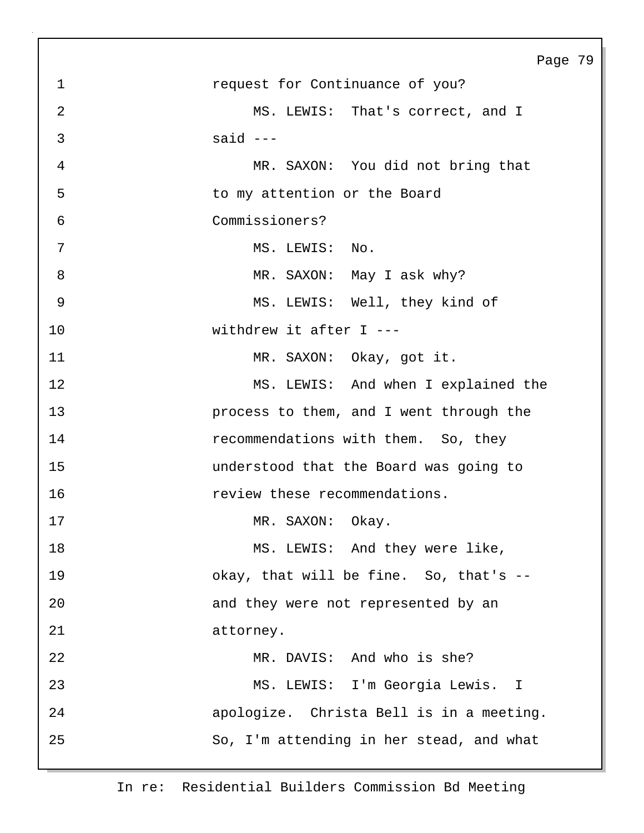| Page 79                             |
|-------------------------------------|
|                                     |
|                                     |
|                                     |
|                                     |
|                                     |
|                                     |
|                                     |
|                                     |
|                                     |
|                                     |
|                                     |
|                                     |
|                                     |
|                                     |
|                                     |
|                                     |
|                                     |
|                                     |
|                                     |
|                                     |
|                                     |
|                                     |
|                                     |
|                                     |
|                                     |
| MS. LEWIS: And when I explained the |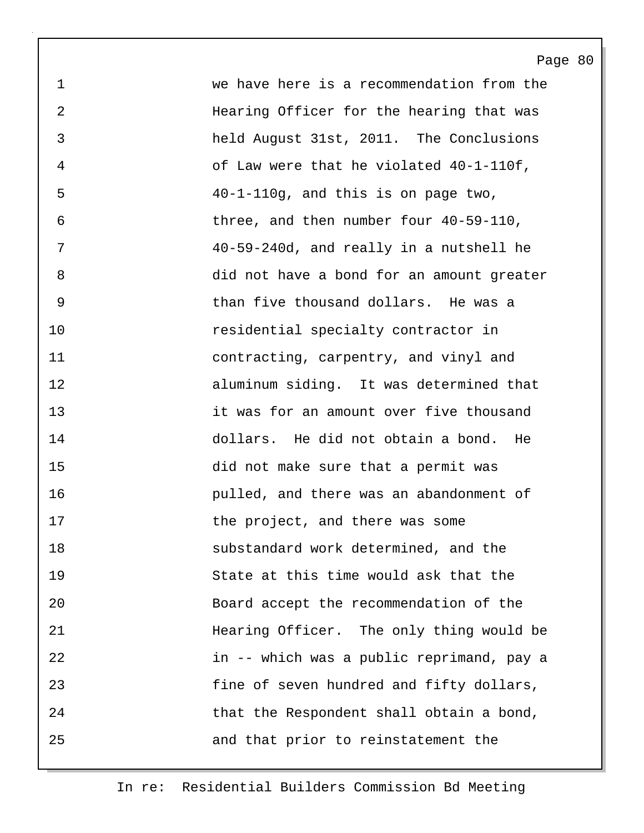1 we have here is a recommendation from the 2 Hearing Officer for the hearing that was 3 held August 31st, 2011. The Conclusions 4 of Law were that he violated 40-1-110f, 5 40-1-110g, and this is on page two, 6 three, and then number four 40-59-110, 7 40-59-240d, and really in a nutshell he 8 did not have a bond for an amount greater 9 than five thousand dollars. He was a 10 residential specialty contractor in 11 contracting, carpentry, and vinyl and 12 aluminum siding. It was determined that 13 it was for an amount over five thousand 14 dollars. He did not obtain a bond. He 15 did not make sure that a permit was 16 pulled, and there was an abandonment of 17 the project, and there was some 18 substandard work determined, and the 19 State at this time would ask that the 20 Board accept the recommendation of the 21 Hearing Officer. The only thing would be 22 in -- which was a public reprimand, pay a 23 fine of seven hundred and fifty dollars, 24 that the Respondent shall obtain a bond, 25 and that prior to reinstatement the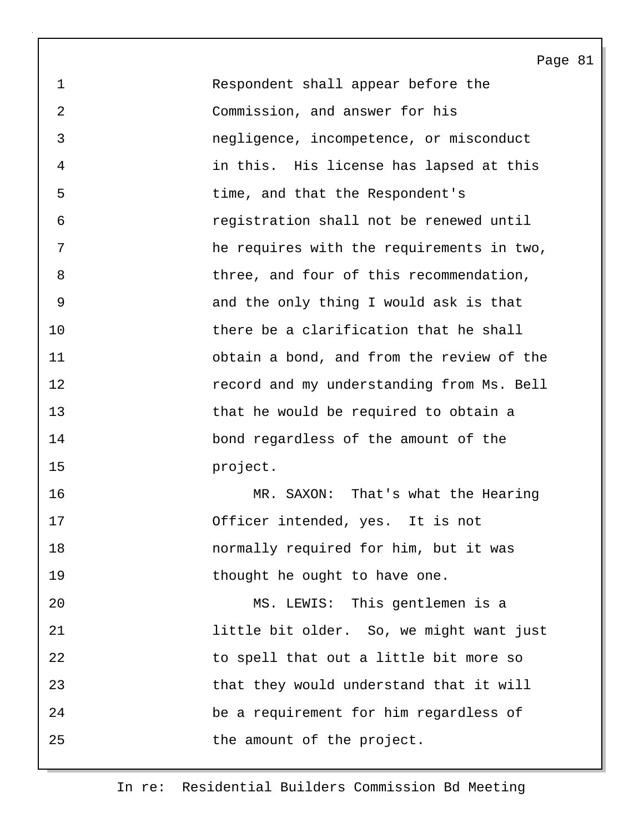1 Respondent shall appear before the 2 Commission, and answer for his 3 negligence, incompetence, or misconduct 4 in this. His license has lapsed at this 5 time, and that the Respondent's 6 registration shall not be renewed until 7 he requires with the requirements in two, 8 three, and four of this recommendation, 9 and the only thing I would ask is that 10 there be a clarification that he shall 11 obtain a bond, and from the review of the 12 record and my understanding from Ms. Bell 13 that he would be required to obtain a 14 bond regardless of the amount of the 15 project.

16 MR. SAXON: That's what the Hearing 17 Officer intended, yes. It is not 18 normally required for him, but it was 19 thought he ought to have one.

20 MS. LEWIS: This gentlemen is a 21 little bit older. So, we might want just 22 to spell that out a little bit more so 23 that they would understand that it will 24 be a requirement for him regardless of 25 the amount of the project.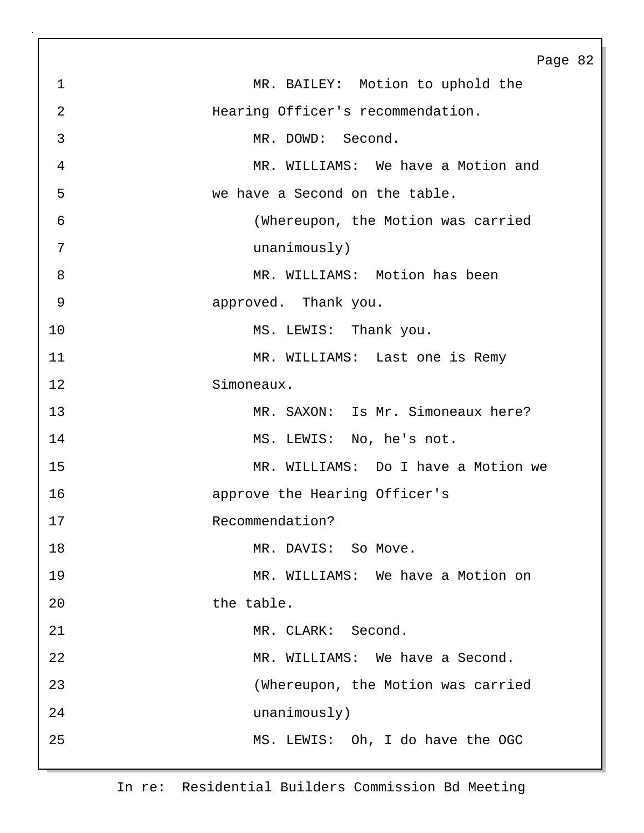Page 82 1 MR. BAILEY: Motion to uphold the 2 Hearing Officer's recommendation. 3 MR. DOWD: Second. 4 MR. WILLIAMS: We have a Motion and 5 we have a Second on the table. 6 (Whereupon, the Motion was carried 7 unanimously) 8 MR. WILLIAMS: Motion has been 9 approved. Thank you. 10 MS. LEWIS: Thank you. 11 MR. WILLIAMS: Last one is Remy 12 Simoneaux. 13 MR. SAXON: Is Mr. Simoneaux here? 14 MS. LEWIS: No, he's not. 15 MR. WILLIAMS: Do I have a Motion we 16 approve the Hearing Officer's 17 Recommendation? 18 MR. DAVIS: So Move. 19 MR. WILLIAMS: We have a Motion on 20 the table. 21 MR. CLARK: Second. 22 MR. WILLIAMS: We have a Second. 23 (Whereupon, the Motion was carried 24 unanimously) 25 MS. LEWIS: Oh, I do have the OGC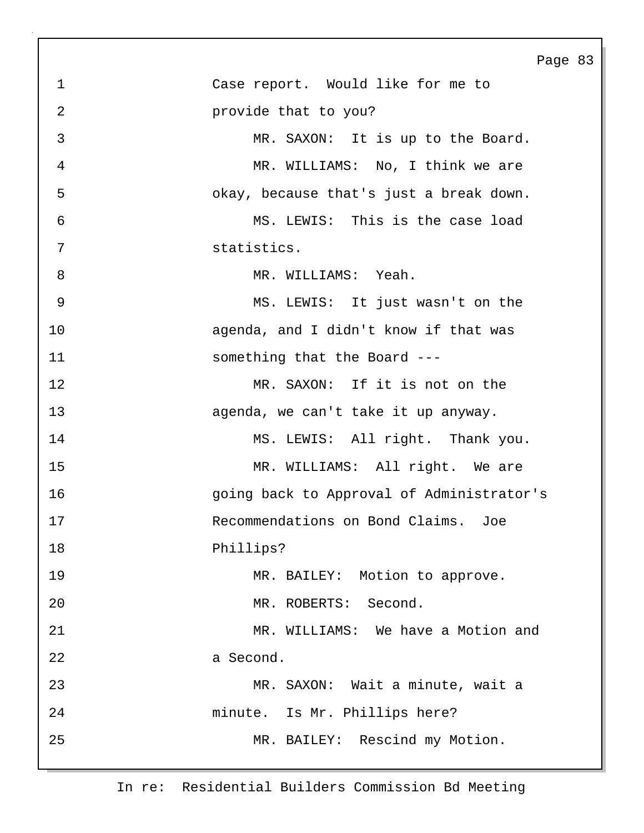|                | Page                                      |
|----------------|-------------------------------------------|
| $\mathbf{1}$   | Case report. Would like for me to         |
| $\overline{2}$ | provide that to you?                      |
| 3              | MR. SAXON: It is up to the Board.         |
| 4              | MR. WILLIAMS: No, I think we are          |
| 5              | okay, because that's just a break down.   |
| 6              | MS. LEWIS: This is the case load          |
| 7              | statistics.                               |
| 8              | MR. WILLIAMS: Yeah.                       |
| 9              | MS. LEWIS: It just wasn't on the          |
| 10             | agenda, and I didn't know if that was     |
| 11             | something that the Board ---              |
| 12             | MR. SAXON: If it is not on the            |
| 13             | agenda, we can't take it up anyway.       |
| 14             | MS. LEWIS: All right. Thank you.          |
| 15             | MR. WILLIAMS: All right. We are           |
| 16             | going back to Approval of Administrator's |
| 17             | Recommendations on Bond Claims. Joe       |
| 18             | Phillips?                                 |
| 19             | MR. BAILEY: Motion to approve.            |
| 20             | MR. ROBERTS: Second.                      |
| 21             | MR. WILLIAMS: We have a Motion and        |
| 22             | a Second.                                 |
| 23             | MR. SAXON: Wait a minute, wait a          |
| 24             | minute. Is Mr. Phillips here?             |
| 25             | MR. BAILEY: Rescind my Motion.            |
|                |                                           |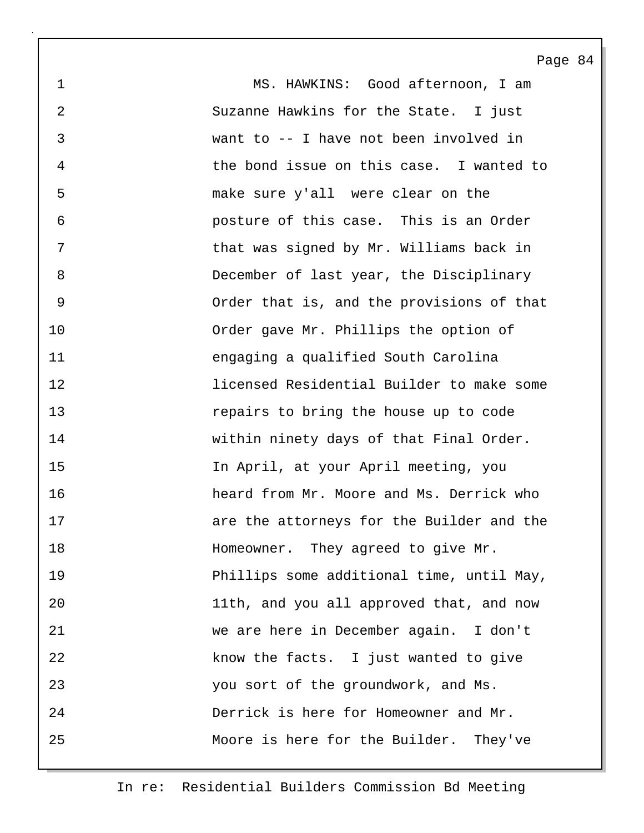1 MS. HAWKINS: Good afternoon, I am 2 Suzanne Hawkins for the State. I just 3 want to -- I have not been involved in 4 the bond issue on this case. I wanted to 5 make sure y'all were clear on the 6 posture of this case. This is an Order 7 that was signed by Mr. Williams back in 8 December of last year, the Disciplinary 9 Order that is, and the provisions of that 10 Order gave Mr. Phillips the option of 11 engaging a qualified South Carolina 12 licensed Residential Builder to make some 13 repairs to bring the house up to code 14 within ninety days of that Final Order. 15 In April, at your April meeting, you 16 heard from Mr. Moore and Ms. Derrick who 17 are the attorneys for the Builder and the 18 **Homeowner.** They agreed to give Mr. 19 Phillips some additional time, until May, 20 11th, and you all approved that, and now 21 we are here in December again. I don't 22 know the facts. I just wanted to give 23 you sort of the groundwork, and Ms. 24 Derrick is here for Homeowner and Mr. 25 Moore is here for the Builder. They've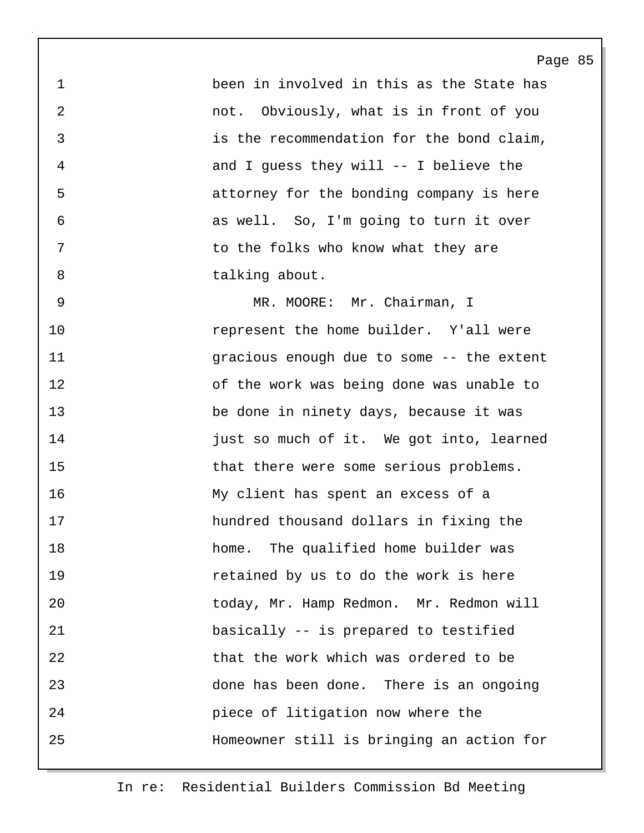1 been in involved in this as the State has 2 not. Obviously, what is in front of you 3 is the recommendation for the bond claim, 4 and I guess they will -- I believe the 5 attorney for the bonding company is here 6 as well. So, I'm going to turn it over 7 to the folks who know what they are 8 talking about.

Page 85

9 MR. MOORE: Mr. Chairman, I 10 represent the home builder. Y'all were 11 gracious enough due to some -- the extent 12 of the work was being done was unable to 13 be done in ninety days, because it was 14 **just so much of it.** We got into, learned 15 that there were some serious problems. 16 My client has spent an excess of a 17 hundred thousand dollars in fixing the 18 home. The qualified home builder was 19 retained by us to do the work is here 20 today, Mr. Hamp Redmon. Mr. Redmon will 21 basically -- is prepared to testified 22 that the work which was ordered to be 23 done has been done. There is an ongoing 24 piece of litigation now where the 25 Homeowner still is bringing an action for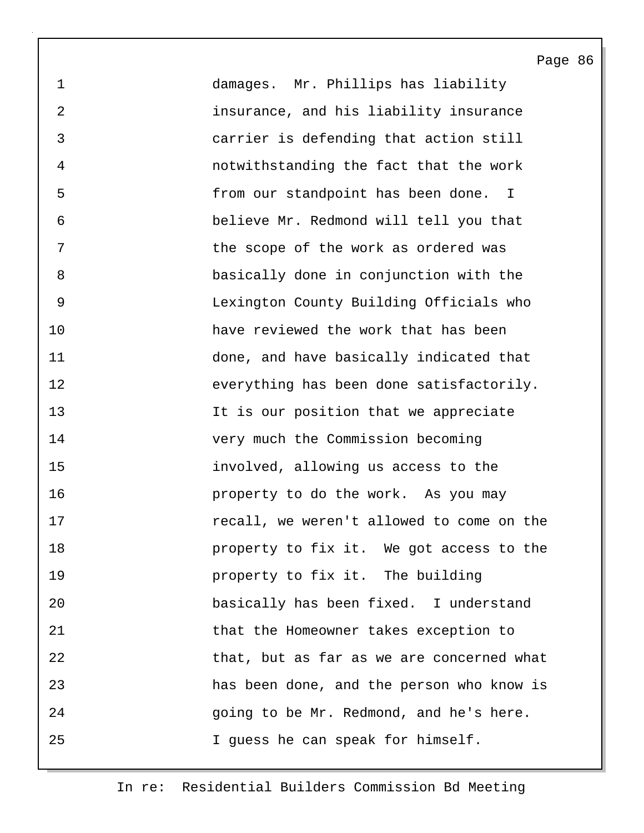1 damages. Mr. Phillips has liability 2 insurance, and his liability insurance 3 carrier is defending that action still 4 notwithstanding the fact that the work 5 from our standpoint has been done. I 6 believe Mr. Redmond will tell you that 7 The scope of the work as ordered was 8 basically done in conjunction with the 9 Lexington County Building Officials who 10 have reviewed the work that has been 11 done, and have basically indicated that 12 everything has been done satisfactorily. 13 It is our position that we appreciate 14 very much the Commission becoming 15 involved, allowing us access to the 16 **property** to do the work. As you may 17 recall, we weren't allowed to come on the 18 **property to fix it.** We got access to the 19 property to fix it. The building 20 basically has been fixed. I understand 21 that the Homeowner takes exception to 22 that, but as far as we are concerned what 23 has been done, and the person who know is 24 going to be Mr. Redmond, and he's here. 25 I guess he can speak for himself.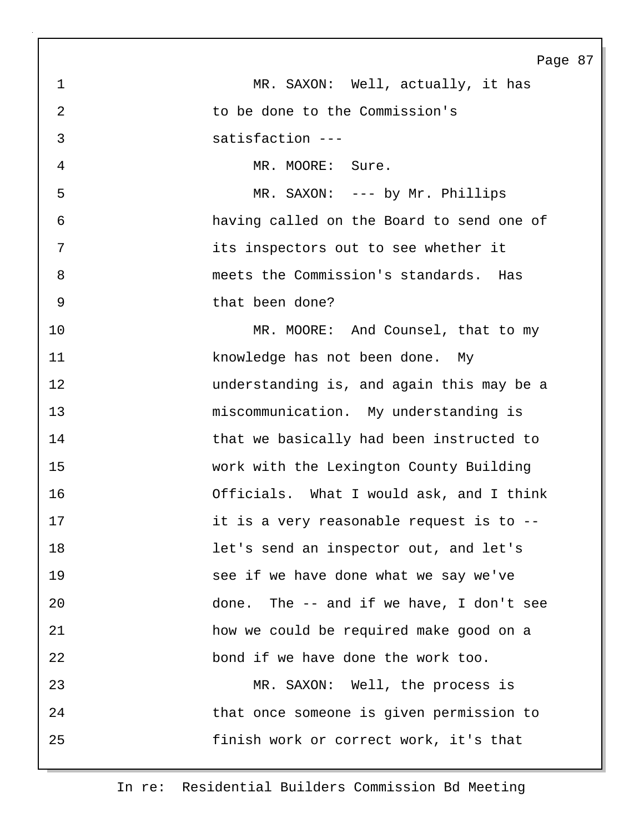Page 87 1 MR. SAXON: Well, actually, it has 2 to be done to the Commission's 3 satisfaction --- 4 MR. MOORE: Sure. 5 MR. SAXON: --- by Mr. Phillips 6 having called on the Board to send one of 7 its inspectors out to see whether it 8 meets the Commission's standards. Has 9 that been done? 10 MR. MOORE: And Counsel, that to my 11 knowledge has not been done. My 12 understanding is, and again this may be a 13 miscommunication. My understanding is 14 that we basically had been instructed to 15 work with the Lexington County Building 16 Officials. What I would ask, and I think 17 it is a very reasonable request is to --18 let's send an inspector out, and let's 19 see if we have done what we say we've 20 done. The -- and if we have, I don't see 21 how we could be required make good on a 22 bond if we have done the work too. 23 MR. SAXON: Well, the process is 24 that once someone is given permission to 25 finish work or correct work, it's that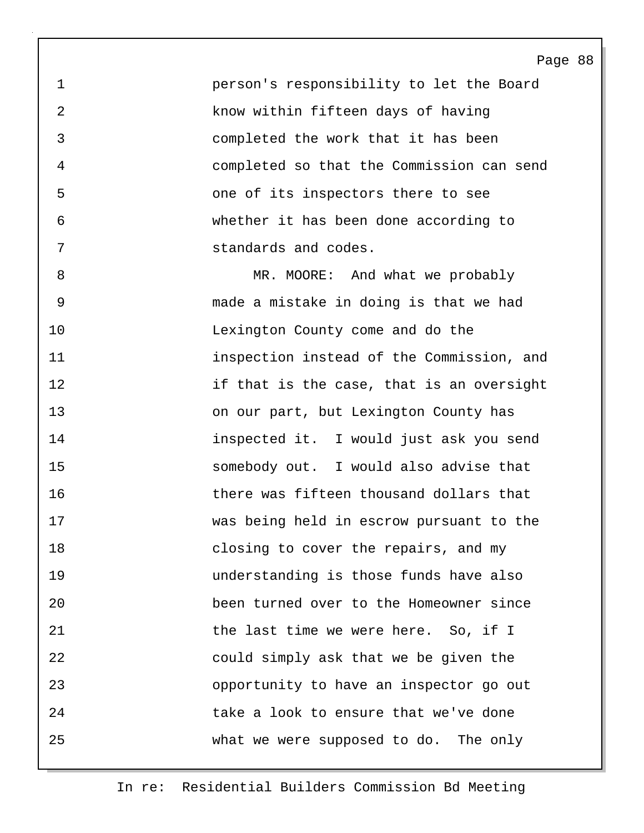1 person's responsibility to let the Board 2 know within fifteen days of having 3 completed the work that it has been 4 completed so that the Commission can send 5 one of its inspectors there to see 6 whether it has been done according to 7 standards and codes.

8 MR. MOORE: And what we probably 9 made a mistake in doing is that we had 10 Lexington County come and do the 11 inspection instead of the Commission, and 12 if that is the case, that is an oversight 13 on our part, but Lexington County has 14 inspected it. I would just ask you send 15 somebody out. I would also advise that 16 there was fifteen thousand dollars that 17 was being held in escrow pursuant to the 18 closing to cover the repairs, and my 19 understanding is those funds have also 20 been turned over to the Homeowner since 21 **buyier 120 The last time we were here.** So, if I 22 could simply ask that we be given the 23 opportunity to have an inspector go out 24 take a look to ensure that we've done 25 what we were supposed to do. The only

## In re: Residential Builders Commission Bd Meeting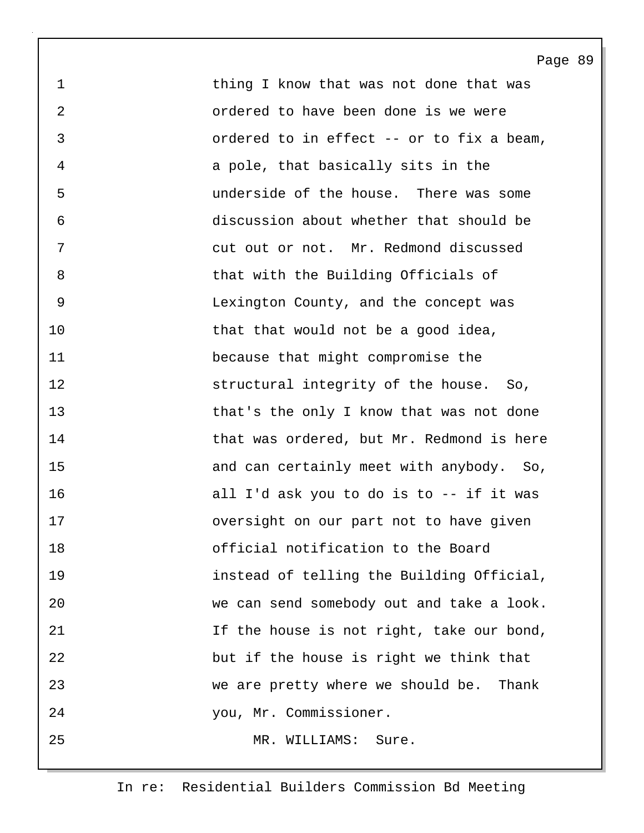1 thing I know that was not done that was 2 ordered to have been done is we were 3 ordered to in effect -- or to fix a beam, 4 a pole, that basically sits in the 5 underside of the house. There was some 6 discussion about whether that should be 7 cut out or not. Mr. Redmond discussed 8 that with the Building Officials of 9 Lexington County, and the concept was 10 that that would not be a good idea, 11 because that might compromise the 12 structural integrity of the house. So, 13 that's the only I know that was not done 14 that was ordered, but Mr. Redmond is here 15 and can certainly meet with anybody. So, 16 all I'd ask you to do is to -- if it was 17 oversight on our part not to have given 18 official notification to the Board 19 instead of telling the Building Official, 20 we can send somebody out and take a look. 21 15 If the house is not right, take our bond, 22 but if the house is right we think that 23 we are pretty where we should be. Thank 24 you, Mr. Commissioner. 25 MR. WILLIAMS: Sure.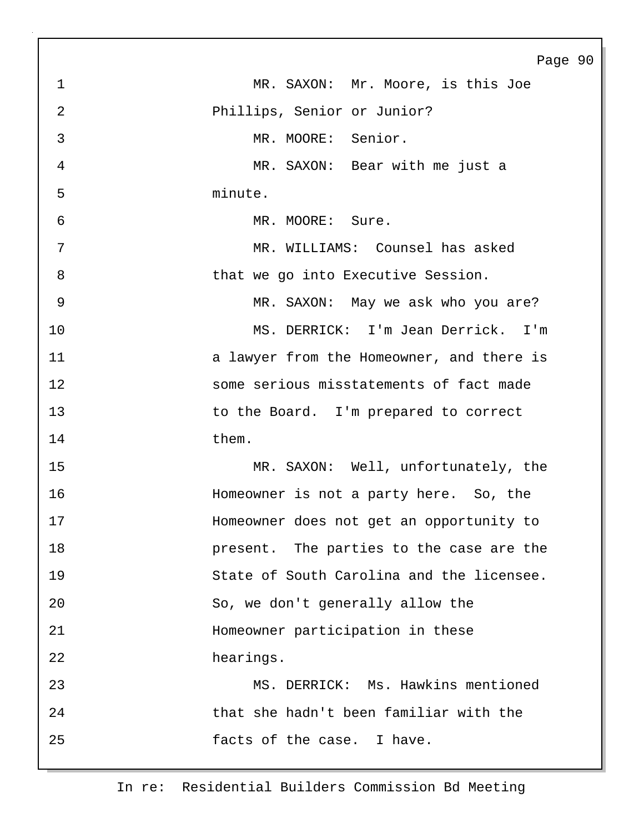Page 90 1 MR. SAXON: Mr. Moore, is this Joe 2 Phillips, Senior or Junior? 3 MR. MOORE: Senior. 4 MR. SAXON: Bear with me just a 5 minute. 6 MR. MOORE: Sure. 7 MR. WILLIAMS: Counsel has asked 8 bhat we go into Executive Session. 9 MR. SAXON: May we ask who you are? 10 MS. DERRICK: I'm Jean Derrick. I'm 11 **11 a** lawyer from the Homeowner, and there is 12 some serious misstatements of fact made 13 to the Board. I'm prepared to correct 14 them. 15 MR. SAXON: Well, unfortunately, the 16 Homeowner is not a party here. So, the 17 Homeowner does not get an opportunity to 18 present. The parties to the case are the 19 State of South Carolina and the licensee. 20 So, we don't generally allow the 21 Homeowner participation in these 22 hearings. 23 MS. DERRICK: Ms. Hawkins mentioned 24 that she hadn't been familiar with the 25 facts of the case. I have.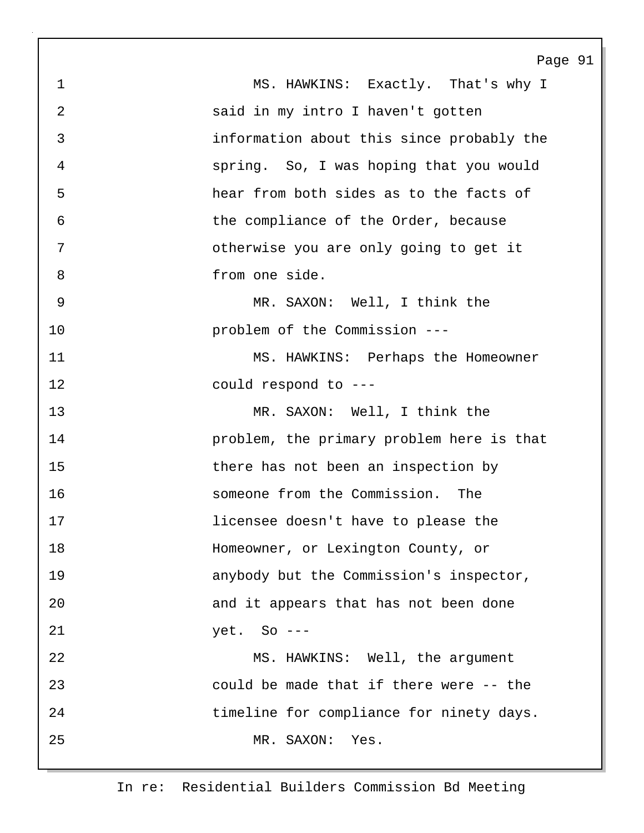| $\mathbf 1$ | MS. HAWKINS: Exactly. That's why I        |
|-------------|-------------------------------------------|
| 2           | said in my intro I haven't gotten         |
| 3           | information about this since probably the |
| 4           | spring. So, I was hoping that you would   |
| 5           | hear from both sides as to the facts of   |
| 6           | the compliance of the Order, because      |
| 7           | otherwise you are only going to get it    |
| 8           | from one side.                            |
| 9           | MR. SAXON: Well, I think the              |
| 10          | problem of the Commission ---             |
| 11          | MS. HAWKINS: Perhaps the Homeowner        |
| 12          | could respond to ---                      |
| 13          | MR. SAXON: Well, I think the              |
| 14          | problem, the primary problem here is that |
| 15          | there has not been an inspection by       |
| 16          | someone from the Commission. The          |
| 17          | licensee doesn't have to please the       |
| 18          | Homeowner, or Lexington County, or        |
| 19          | anybody but the Commission's inspector,   |
| 20          | and it appears that has not been done     |
| 21          | $yet. So ---$                             |
| 22          | MS. HAWKINS: Well, the argument           |
| 23          | could be made that if there were -- the   |
| 24          | timeline for compliance for ninety days.  |
| 25          | MR. SAXON:<br>Yes.                        |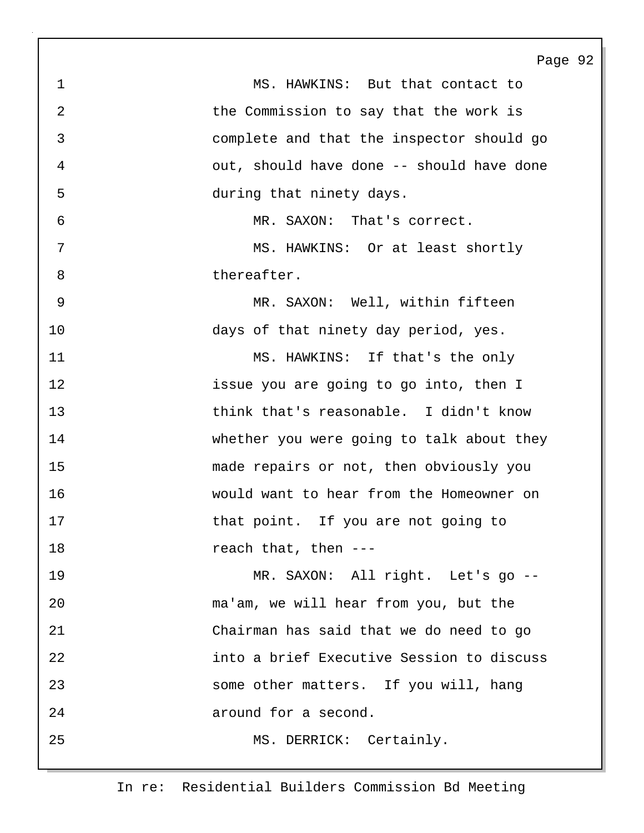1 MS. HAWKINS: But that contact to 2 the Commission to say that the work is 3 complete and that the inspector should go 4 out, should have done -- should have done 5 during that ninety days. 6 MR. SAXON: That's correct. 7 MS. HAWKINS: Or at least shortly 8 thereafter. 9 MR. SAXON: Well, within fifteen 10 days of that ninety day period, yes. 11 MS. HAWKINS: If that's the only 12 issue you are going to go into, then I 13 think that's reasonable. I didn't know 14 whether you were going to talk about they 15 made repairs or not, then obviously you 16 would want to hear from the Homeowner on 17 that point. If you are not going to 18 reach that, then ---19 MR. SAXON: All right. Let's go -- 20 ma'am, we will hear from you, but the 21 Chairman has said that we do need to go 22 into a brief Executive Session to discuss 23 some other matters. If you will, hang 24 around for a second. 25 MS. DERRICK: Certainly.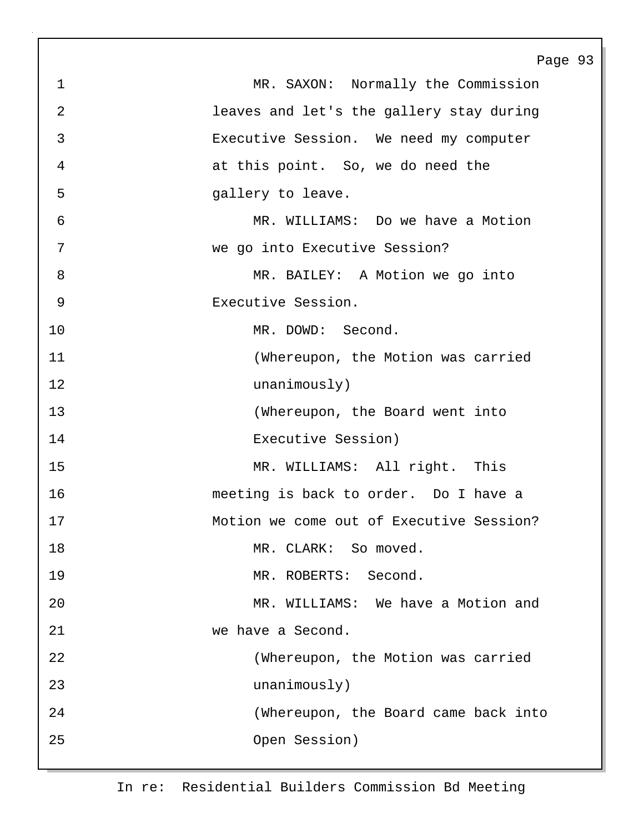Page 93 1 MR. SAXON: Normally the Commission 2 leaves and let's the gallery stay during 3 Executive Session. We need my computer 4 at this point. So, we do need the 5 **5** gallery to leave. 6 MR. WILLIAMS: Do we have a Motion 7 we go into Executive Session? 8 MR. BAILEY: A Motion we go into 9 Executive Session. 10 MR. DOWD: Second. 11 (Whereupon, the Motion was carried 12 unanimously) 13 (Whereupon, the Board went into 14 Executive Session) 15 MR. WILLIAMS: All right. This 16 meeting is back to order. Do I have a 17 Motion we come out of Executive Session? 18 MR. CLARK: So moved. 19 MR. ROBERTS: Second. 20 MR. WILLIAMS: We have a Motion and 21 we have a Second. 22 (Whereupon, the Motion was carried 23 unanimously) 24 (Whereupon, the Board came back into 25 Open Session)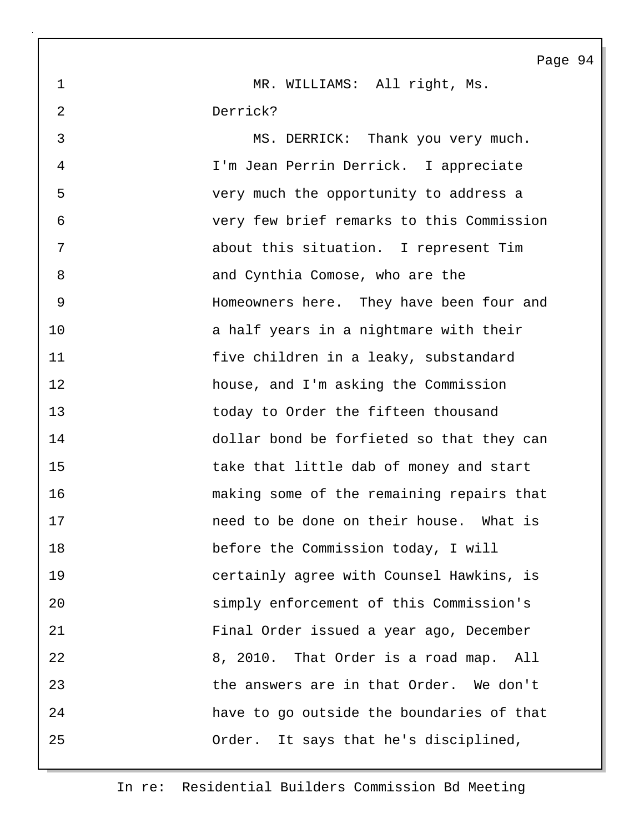1 MR. WILLIAMS: All right, Ms. 2 Derrick?

3 MS. DERRICK: Thank you very much. 4 I'm Jean Perrin Derrick. I appreciate 5 very much the opportunity to address a 6 very few brief remarks to this Commission 7 about this situation. I represent Tim 8 and Cynthia Comose, who are the 9 Homeowners here. They have been four and 10 **a** half years in a nightmare with their 11 five children in a leaky, substandard 12 house, and I'm asking the Commission 13 today to Order the fifteen thousand 14 dollar bond be forfieted so that they can 15 take that little dab of money and start 16 making some of the remaining repairs that 17 heed to be done on their house. What is 18 before the Commission today, I will 19 certainly agree with Counsel Hawkins, is 20 simply enforcement of this Commission's 21 Final Order issued a year ago, December 22 8, 2010. That Order is a road map. All 23 the answers are in that Order. We don't 24 have to go outside the boundaries of that 25 Order. It says that he's disciplined,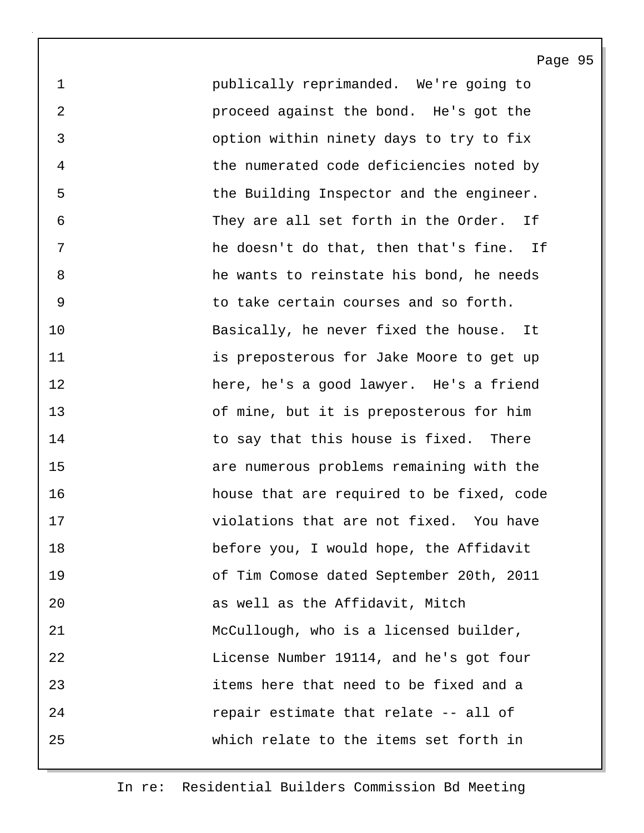1 publically reprimanded. We're going to 2 proceed against the bond. He's got the 3 option within ninety days to try to fix 4 the numerated code deficiencies noted by 5 the Building Inspector and the engineer. 6 They are all set forth in the Order. If 7 he doesn't do that, then that's fine. If 8 he wants to reinstate his bond, he needs 9 to take certain courses and so forth. 10 Basically, he never fixed the house. It 11 **is preposterous for Jake Moore to get up** 12 here, he's a good lawyer. He's a friend 13 of mine, but it is preposterous for him 14 to say that this house is fixed. There 15 are numerous problems remaining with the 16 house that are required to be fixed, code 17 violations that are not fixed. You have 18 before you, I would hope, the Affidavit 19 of Tim Comose dated September 20th, 2011 20 as well as the Affidavit, Mitch 21 McCullough, who is a licensed builder, 22 License Number 19114, and he's got four 23 items here that need to be fixed and a 24 repair estimate that relate -- all of 25 which relate to the items set forth in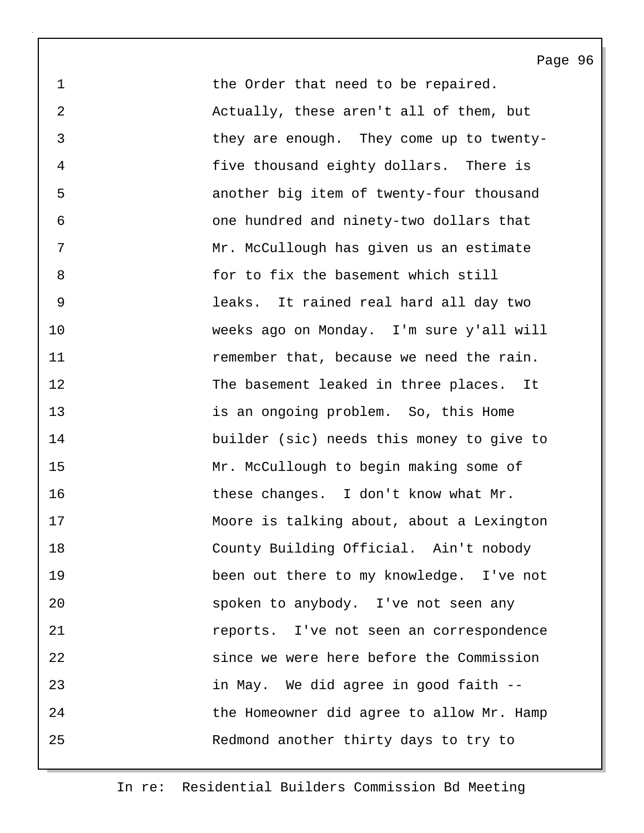1 the Order that need to be repaired. 2 Actually, these aren't all of them, but 3 they are enough. They come up to twenty-4 five thousand eighty dollars. There is 5 another big item of twenty-four thousand 6 one hundred and ninety-two dollars that 7 Mr. McCullough has given us an estimate 8 for to fix the basement which still 9 leaks. It rained real hard all day two 10 weeks ago on Monday. I'm sure y'all will 11 remember that, because we need the rain. 12 The basement leaked in three places. It 13 is an ongoing problem. So, this Home 14 builder (sic) needs this money to give to 15 Mr. McCullough to begin making some of 16 these changes. I don't know what Mr. 17 Moore is talking about, about a Lexington 18 County Building Official. Ain't nobody 19 been out there to my knowledge. I've not 20 spoken to anybody. I've not seen any 21 reports. I've not seen an correspondence 22 since we were here before the Commission 23 in May. We did agree in good faith -- 24 the Homeowner did agree to allow Mr. Hamp 25 Redmond another thirty days to try to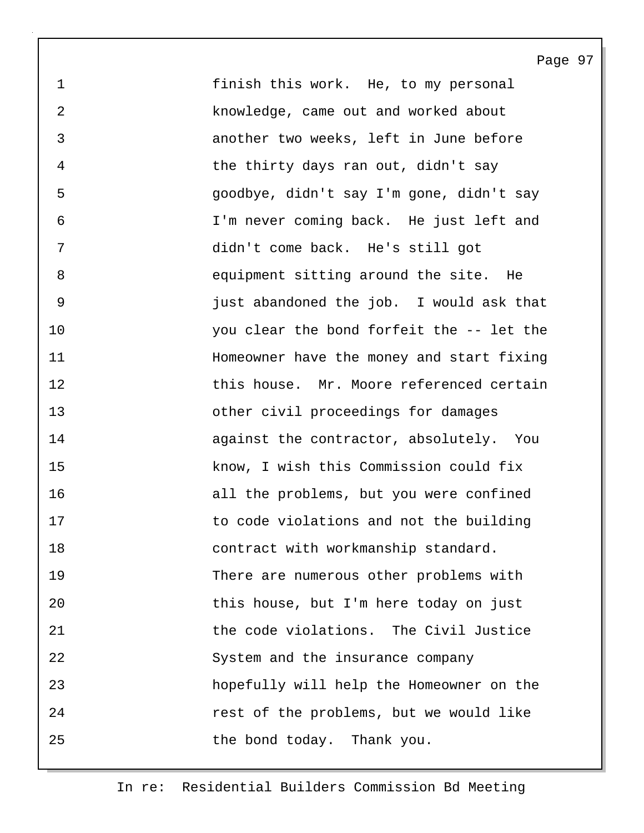1 finish this work. He, to my personal 2 knowledge, came out and worked about 3 another two weeks, left in June before 4 the thirty days ran out, didn't say 5 goodbye, didn't say I'm gone, didn't say 6 I'm never coming back. He just left and 7 didn't come back. He's still got 8 equipment sitting around the site. He 9 just abandoned the job. I would ask that 10 you clear the bond forfeit the -- let the 11 Homeowner have the money and start fixing 12 this house. Mr. Moore referenced certain 13 other civil proceedings for damages 14 against the contractor, absolutely. You 15 know, I wish this Commission could fix 16 all the problems, but you were confined 17 to code violations and not the building 18 contract with workmanship standard. 19 There are numerous other problems with 20 this house, but I'm here today on just 21 the code violations. The Civil Justice 22 System and the insurance company 23 hopefully will help the Homeowner on the 24 rest of the problems, but we would like 25 the bond today. Thank you.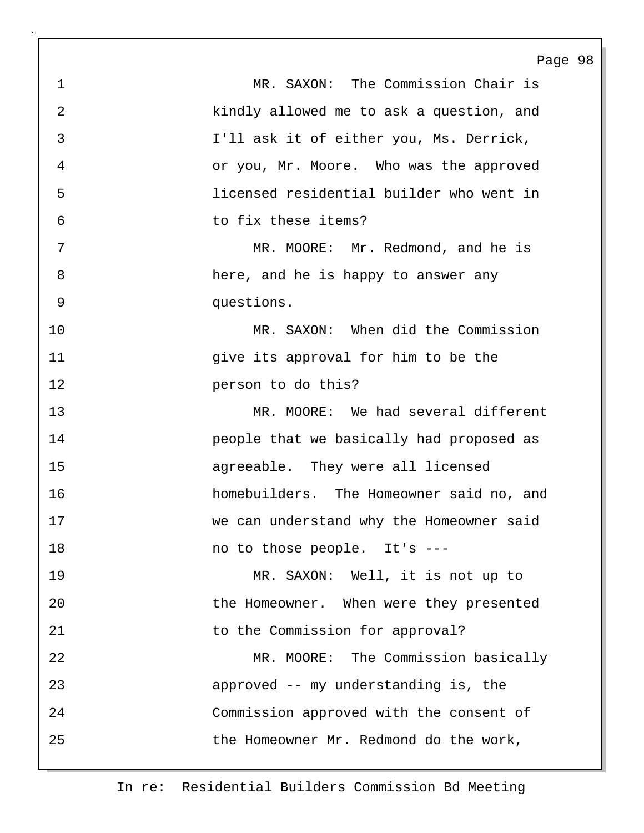1 MR. SAXON: The Commission Chair is 2 kindly allowed me to ask a question, and 3 I'll ask it of either you, Ms. Derrick, 4 or you, Mr. Moore. Who was the approved 5 licensed residential builder who went in 6 to fix these items? 7 MR. MOORE: Mr. Redmond, and he is 8 here, and he is happy to answer any 9 questions. 10 MR. SAXON: When did the Commission 11 give its approval for him to be the 12 person to do this? 13 MR. MOORE: We had several different 14 people that we basically had proposed as 15 agreeable. They were all licensed 16 homebuilders. The Homeowner said no, and 17 we can understand why the Homeowner said 18 mo to those people. It's ---19 MR. SAXON: Well, it is not up to 20 the Homeowner. When were they presented 21 to the Commission for approval? 22 MR. MOORE: The Commission basically 23 approved -- my understanding is, the 24 Commission approved with the consent of 25 the Homeowner Mr. Redmond do the work,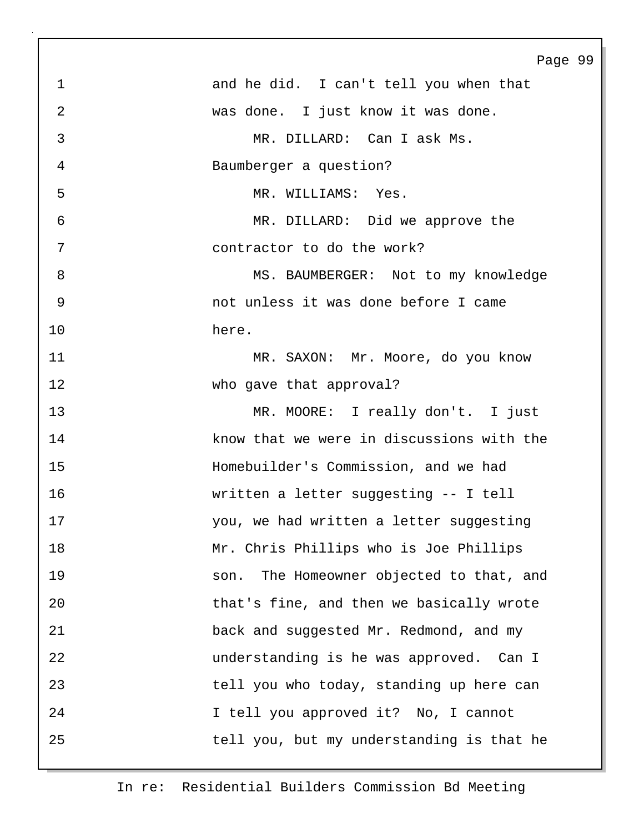Page 99 1 and he did. I can't tell you when that 2 was done. I just know it was done. 3 MR. DILLARD: Can I ask Ms. 4 Baumberger a question? 5 MR. WILLIAMS: Yes. 6 MR. DILLARD: Did we approve the 7 contractor to do the work? 8 MS. BAUMBERGER: Not to my knowledge 9 not unless it was done before I came 10 here. 11 MR. SAXON: Mr. Moore, do you know 12 who gave that approval? 13 MR. MOORE: I really don't. I just 14 know that we were in discussions with the 15 Homebuilder's Commission, and we had 16 written a letter suggesting -- I tell 17 you, we had written a letter suggesting 18 Mr. Chris Phillips who is Joe Phillips 19 son. The Homeowner objected to that, and 20 that's fine, and then we basically wrote 21 back and suggested Mr. Redmond, and my 22 understanding is he was approved. Can I 23 tell you who today, standing up here can 24 I tell you approved it? No, I cannot 25 tell you, but my understanding is that he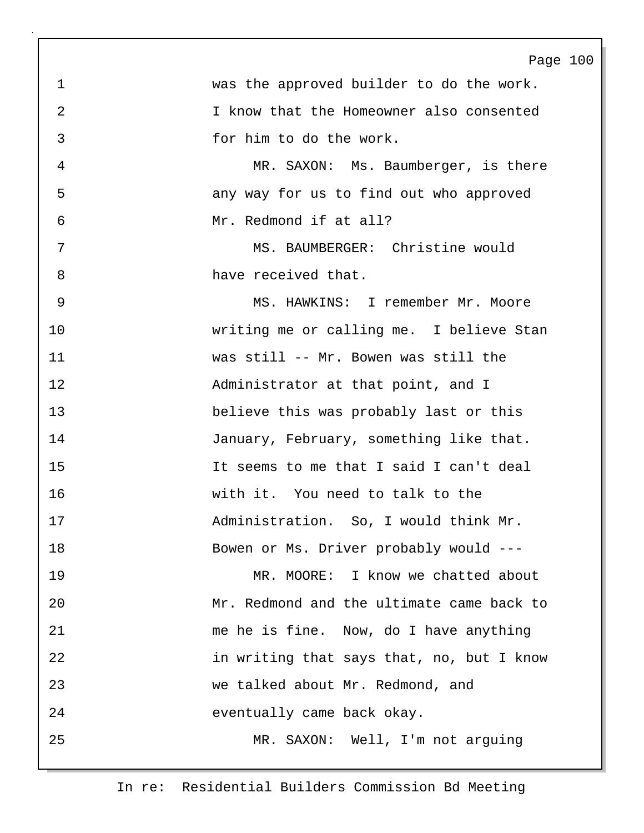Page 100 1 was the approved builder to do the work. 2 I know that the Homeowner also consented 3 for him to do the work. 4 MR. SAXON: Ms. Baumberger, is there 5 any way for us to find out who approved 6 Mr. Redmond if at all? 7 MS. BAUMBERGER: Christine would 8 have received that. 9 MS. HAWKINS: I remember Mr. Moore 10 writing me or calling me. I believe Stan 11 was still -- Mr. Bowen was still the 12 Administrator at that point, and I 13 believe this was probably last or this 14 January, February, something like that. 15 It seems to me that I said I can't deal 16 with it. You need to talk to the 17 Administration. So, I would think Mr. 18 Bowen or Ms. Driver probably would --- 19 MR. MOORE: I know we chatted about 20 Mr. Redmond and the ultimate came back to 21 me he is fine. Now, do I have anything 22 in writing that says that, no, but I know 23 we talked about Mr. Redmond, and 24 eventually came back okay. 25 MR. SAXON: Well, I'm not arguing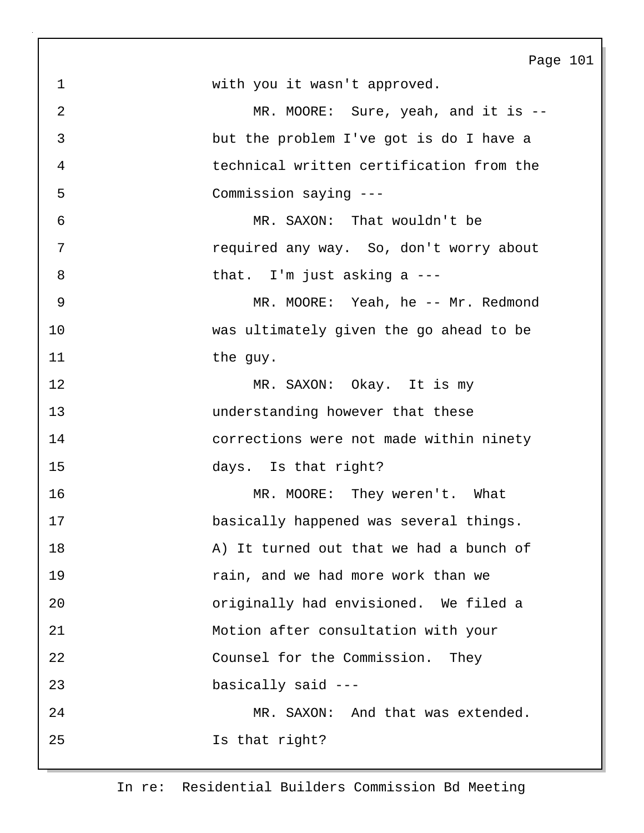| 101<br>Page |
|-------------|
|-------------|

1 with you it wasn't approved.

2 MR. MOORE: Sure, yeah, and it is --3 but the problem I've got is do I have a 4 technical written certification from the 5 Commission saying ---

6 MR. SAXON: That wouldn't be 7 required any way. So, don't worry about 8 bhat. I'm just asking a ---

9 MR. MOORE: Yeah, he -- Mr. Redmond 10 was ultimately given the go ahead to be 11 the guy.

12 MR. SAXON: Okay. It is my 13 understanding however that these 14 corrections were not made within ninety 15 days. Is that right?

16 MR. MOORE: They weren't. What 17 basically happened was several things. 18 A) It turned out that we had a bunch of 19 **19** rain, and we had more work than we 20 originally had envisioned. We filed a 21 Motion after consultation with your 22 Counsel for the Commission. They 23 basically said --- 24 MR. SAXON: And that was extended. 25 Is that right?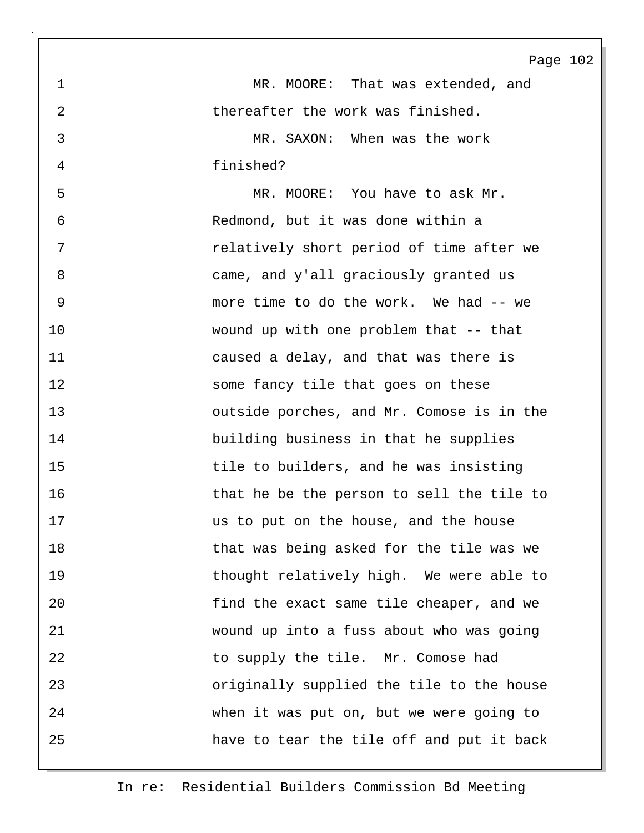1 MR. MOORE: That was extended, and 2 thereafter the work was finished. 3 MR. SAXON: When was the work 4 finished? 5 MR. MOORE: You have to ask Mr. 6 Redmond, but it was done within a 7 relatively short period of time after we 8 came, and y'all graciously granted us 9 more time to do the work. We had -- we 10 wound up with one problem that -- that 11 caused a delay, and that was there is 12 some fancy tile that goes on these 13 outside porches, and Mr. Comose is in the 14 building business in that he supplies 15 tile to builders, and he was insisting 16 that he be the person to sell the tile to 17 us to put on the house, and the house 18 that was being asked for the tile was we 19 thought relatively high. We were able to 20 find the exact same tile cheaper, and we 21 wound up into a fuss about who was going 22 to supply the tile. Mr. Comose had 23 originally supplied the tile to the house 24 when it was put on, but we were going to 25 have to tear the tile off and put it back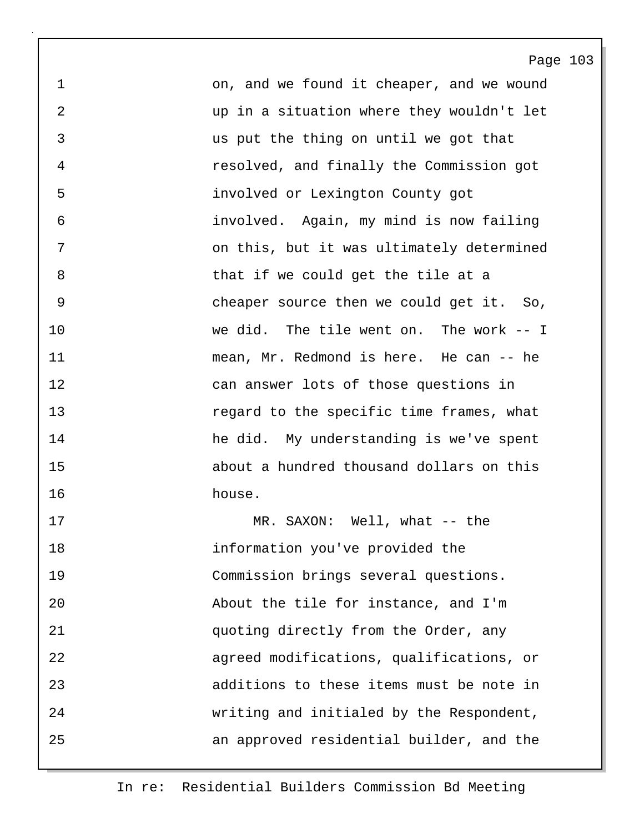1 on, and we found it cheaper, and we wound 2 up in a situation where they wouldn't let 3 us put the thing on until we got that 4 resolved, and finally the Commission got 5 involved or Lexington County got 6 involved. Again, my mind is now failing 7 on this, but it was ultimately determined 8 bhat if we could get the tile at a 9 cheaper source then we could get it. So, 10 we did. The tile went on. The work -- I 11 mean, Mr. Redmond is here. He can -- he 12 can answer lots of those questions in 13 regard to the specific time frames, what 14 he did. My understanding is we've spent 15 about a hundred thousand dollars on this 16 house.

17 MR. SAXON: Well, what -- the 18 information you've provided the 19 Commission brings several questions. 20 About the tile for instance, and I'm 21 quoting directly from the Order, any 22 agreed modifications, qualifications, or 23 additions to these items must be note in 24 writing and initialed by the Respondent, 25 an approved residential builder, and the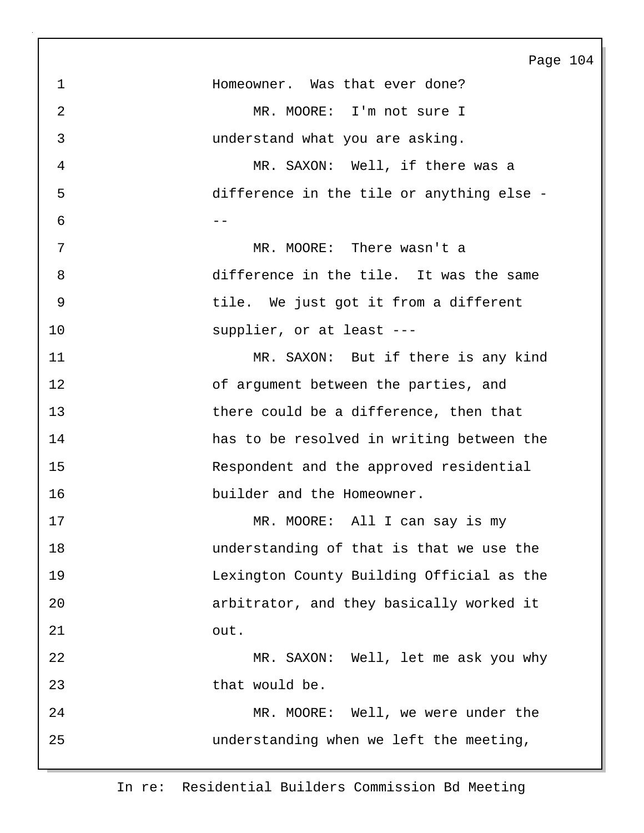| 1           | Homeowner. Was that ever done?            |
|-------------|-------------------------------------------|
| 2           | MR. MOORE: I'm not sure I                 |
| 3           | understand what you are asking.           |
| 4           | MR. SAXON: Well, if there was a           |
| 5           | difference in the tile or anything else - |
| 6           | - -                                       |
| 7           | MR. MOORE: There wasn't a                 |
| 8           | difference in the tile. It was the same   |
| $\mathsf 9$ | tile. We just got it from a different     |
| 10          | supplier, or at least ---                 |
| 11          | MR. SAXON: But if there is any kind       |
| 12          | of argument between the parties, and      |
| 13          | there could be a difference, then that    |
| 14          | has to be resolved in writing between the |
| 15          | Respondent and the approved residential   |
| 16          | builder and the Homeowner.                |
| 17          | MR. MOORE: All I can say is my            |
| 18          | understanding of that is that we use the  |
| 19          | Lexington County Building Official as the |
| 20          | arbitrator, and they basically worked it  |
| 21          | out.                                      |
| 22          | MR. SAXON: Well, let me ask you why       |
| 23          | that would be.                            |
| 24          | MR. MOORE: Well, we were under the        |
| 25          | understanding when we left the meeting,   |
|             |                                           |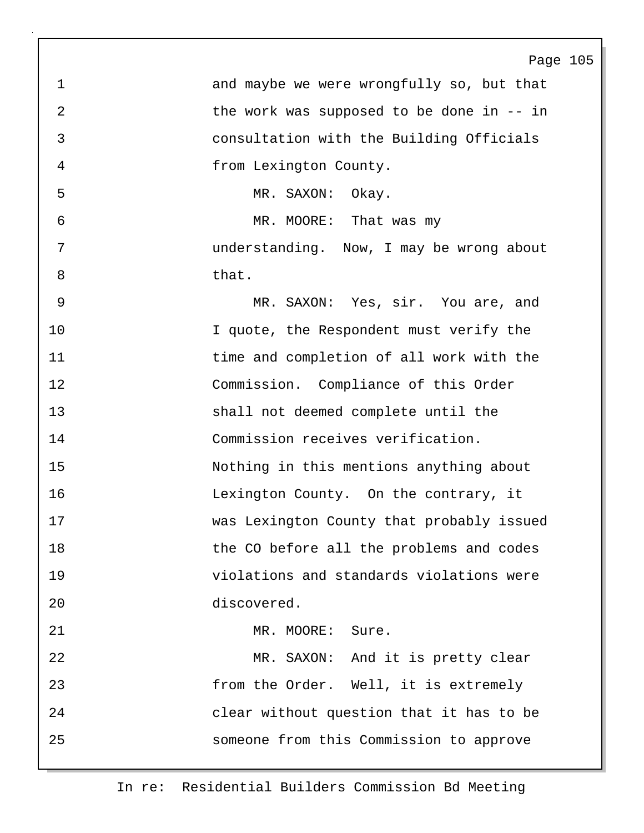|                | Page 105                                  |
|----------------|-------------------------------------------|
| $\mathbf{1}$   | and maybe we were wrongfully so, but that |
| $\overline{2}$ | the work was supposed to be done in -- in |
| $\mathfrak{Z}$ | consultation with the Building Officials  |
| 4              | from Lexington County.                    |
| 5              | MR. SAXON:<br>Okay.                       |
| 6              | MR. MOORE: That was my                    |
| 7              | understanding. Now, I may be wrong about  |
| 8              | that.                                     |
| 9              | MR. SAXON: Yes, sir. You are, and         |
| 10             | I quote, the Respondent must verify the   |
| 11             | time and completion of all work with the  |
| 12             | Commission. Compliance of this Order      |
| 13             | shall not deemed complete until the       |
| 14             | Commission receives verification.         |
| 15             | Nothing in this mentions anything about   |
| 16             | Lexington County. On the contrary, it     |
| 17             | was Lexington County that probably issued |
| 18             | the CO before all the problems and codes  |
| 19             | violations and standards violations were  |
| 20             | discovered.                               |
| 21             | MR. MOORE: Sure.                          |
| 22             | MR. SAXON: And it is pretty clear         |
| 23             | from the Order. Well, it is extremely     |
| 24             | clear without question that it has to be  |
| 25             | someone from this Commission to approve   |
|                |                                           |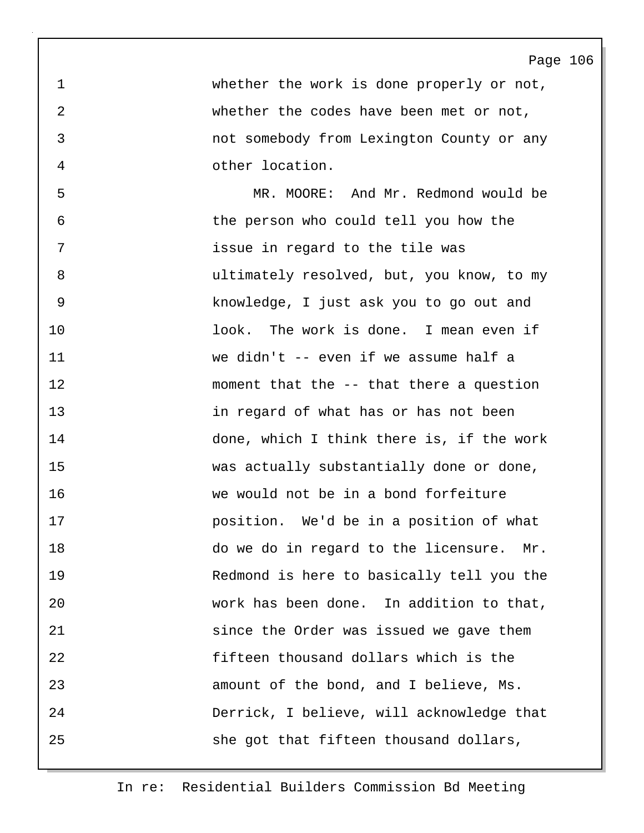1 whether the work is done properly or not, 2 whether the codes have been met or not, 3 not somebody from Lexington County or any 4 other location.

5 MR. MOORE: And Mr. Redmond would be 6 the person who could tell you how the 7 issue in regard to the tile was 8 ultimately resolved, but, you know, to my 9 knowledge, I just ask you to go out and 10 look. The work is done. I mean even if 11 we didn't -- even if we assume half a 12 moment that the -- that there a question 13 in regard of what has or has not been 14 done, which I think there is, if the work 15 was actually substantially done or done, 16 we would not be in a bond forfeiture 17 position. We'd be in a position of what 18 do we do in regard to the licensure. Mr. 19 Redmond is here to basically tell you the 20 work has been done. In addition to that, 21 since the Order was issued we gave them 22 fifteen thousand dollars which is the 23 amount of the bond, and I believe, Ms. 24 Derrick, I believe, will acknowledge that 25 she got that fifteen thousand dollars,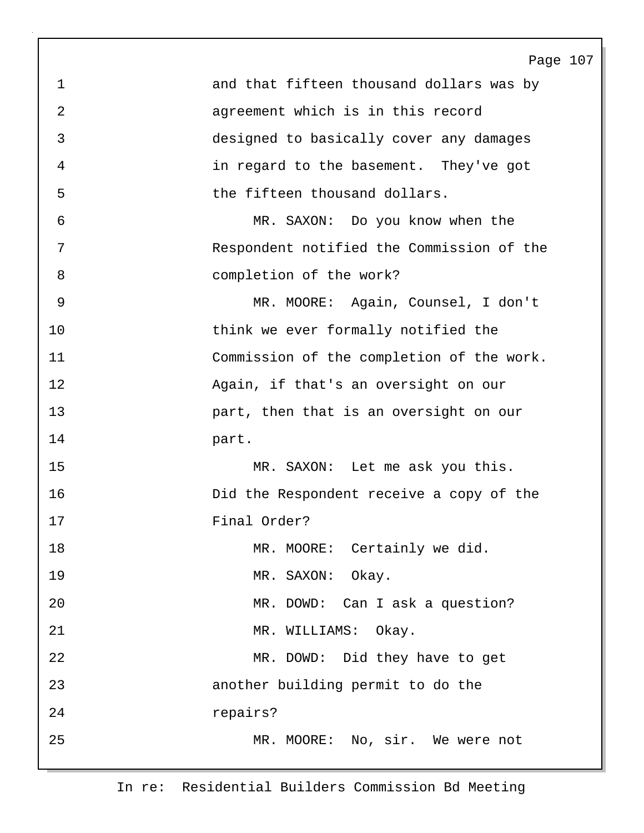Page 107 1 and that fifteen thousand dollars was by 2 agreement which is in this record 3 designed to basically cover any damages 4 in regard to the basement. They've got 5 the fifteen thousand dollars. 6 MR. SAXON: Do you know when the 7 Respondent notified the Commission of the 8 completion of the work? 9 MR. MOORE: Again, Counsel, I don't 10 think we ever formally notified the 11 Commission of the completion of the work. 12 Again, if that's an oversight on our 13 part, then that is an oversight on our 14 part. 15 MR. SAXON: Let me ask you this. 16 Did the Respondent receive a copy of the 17 Final Order? 18 MR. MOORE: Certainly we did. 19 MR. SAXON: Okay. 20 MR. DOWD: Can I ask a question? 21 MR. WILLIAMS: Okay. 22 MR. DOWD: Did they have to get 23 another building permit to do the 24 repairs? 25 MR. MOORE: No, sir. We were not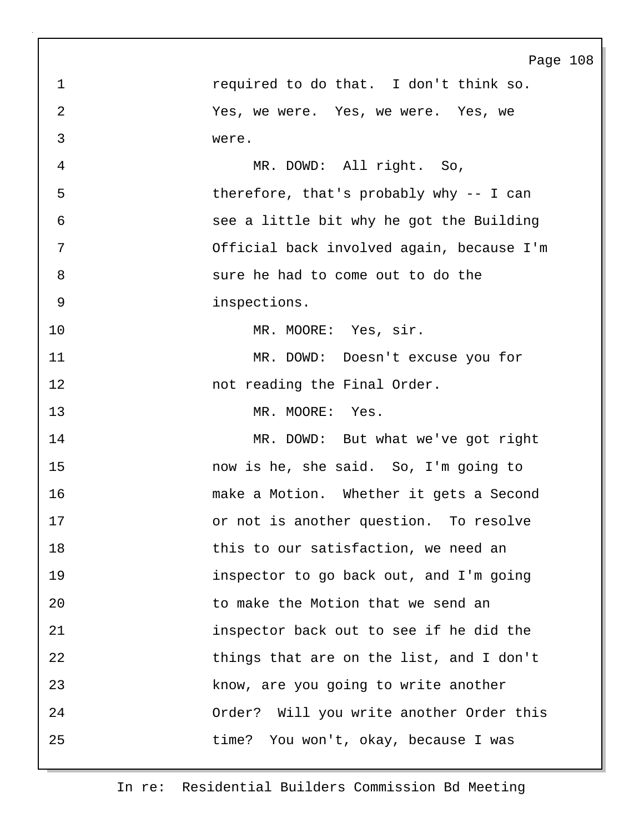|                | Page 108                                  |
|----------------|-------------------------------------------|
| 1              | required to do that. I don't think so.    |
| $\overline{2}$ | Yes, we were. Yes, we were. Yes, we       |
| 3              | were.                                     |
| 4              | MR. DOWD: All right. So,                  |
| 5              | therefore, that's probably why -- I can   |
| 6              | see a little bit why he got the Building  |
| 7              | Official back involved again, because I'm |
| $\,8\,$        | sure he had to come out to do the         |
| $\mathsf 9$    | inspections.                              |
| 10             | MR. MOORE: Yes, sir.                      |
| 11             | MR. DOWD: Doesn't excuse you for          |
| 12             | not reading the Final Order.              |
| 13             | MR. MOORE: Yes.                           |
| 14             | MR. DOWD: But what we've got right        |
| 15             | now is he, she said. So, I'm going to     |
| 16             | make a Motion. Whether it gets a Second   |
| 17             | or not is another question. To resolve    |
| 18             | this to our satisfaction, we need an      |
| 19             | inspector to go back out, and I'm going   |
| 20             | to make the Motion that we send an        |
| 21             | inspector back out to see if he did the   |
| 22             | things that are on the list, and I don't  |
| 23             | know, are you going to write another      |
| 24             | Order? Will you write another Order this  |
| 25             | time?<br>You won't, okay, because I was   |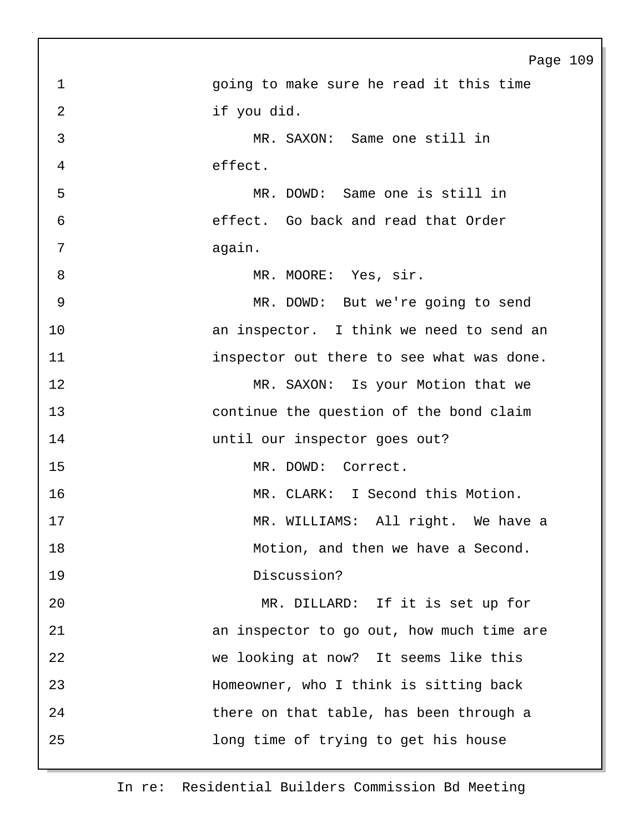|                | Page 109                                  |
|----------------|-------------------------------------------|
| $\mathbf 1$    | going to make sure he read it this time   |
| $\overline{2}$ | if you did.                               |
| $\mathfrak{Z}$ | MR. SAXON: Same one still in              |
| 4              | effect.                                   |
| 5              | MR. DOWD: Same one is still in            |
| $\epsilon$     | effect. Go back and read that Order       |
| 7              | again.                                    |
| 8              | MR. MOORE: Yes, sir.                      |
| 9              | MR. DOWD: But we're going to send         |
| 10             | an inspector. I think we need to send an  |
| 11             | inspector out there to see what was done. |
| 12             | MR. SAXON: Is your Motion that we         |
| 13             | continue the question of the bond claim   |
| 14             | until our inspector goes out?             |
| 15             | MR. DOWD: Correct.                        |
| 16             | MR. CLARK: I Second this Motion.          |
| 17             | MR. WILLIAMS: All right. We have a        |
| 18             | Motion, and then we have a Second.        |
| 19             | Discussion?                               |
| 20             | MR. DILLARD: If it is set up for          |
| 21             | an inspector to go out, how much time are |
| 22             | we looking at now? It seems like this     |
| 23             | Homeowner, who I think is sitting back    |
| 24             | there on that table, has been through a   |
| 25             | long time of trying to get his house      |
|                |                                           |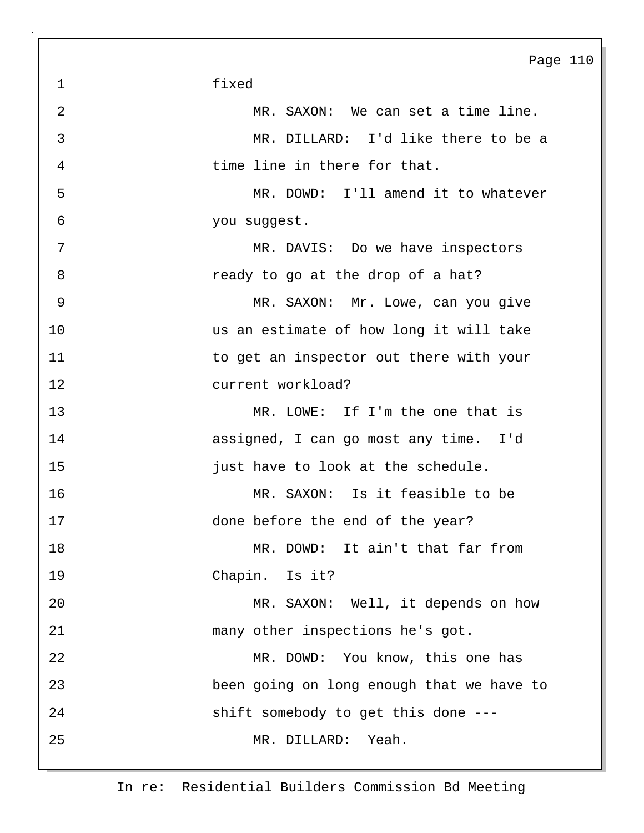Page 110 1 fixed 2 MR. SAXON: We can set a time line. 3 MR. DILLARD: I'd like there to be a 4 time line in there for that. 5 MR. DOWD: I'll amend it to whatever 6 you suggest. 7 MR. DAVIS: Do we have inspectors 8 **8 ready to go at the drop of a hat?** 9 MR. SAXON: Mr. Lowe, can you give 10 us an estimate of how long it will take 11 to get an inspector out there with your 12 current workload? 13 MR. LOWE: If I'm the one that is 14 assigned, I can go most any time. I'd 15 **just have to look at the schedule.** 16 MR. SAXON: Is it feasible to be 17 done before the end of the year? 18 MR. DOWD: It ain't that far from 19 Chapin. Is it? 20 MR. SAXON: Well, it depends on how 21 many other inspections he's got. 22 MR. DOWD: You know, this one has 23 been going on long enough that we have to 24 shift somebody to get this done --- 25 MR. DILLARD: Yeah.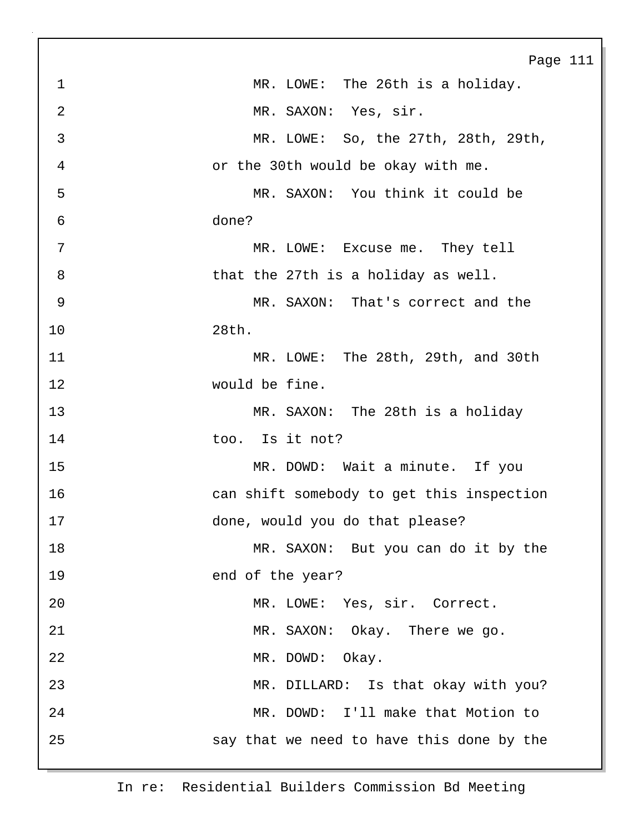|                | Page 111                                  |
|----------------|-------------------------------------------|
| $\mathbf 1$    | MR. LOWE: The 26th is a holiday.          |
| $\overline{2}$ | MR. SAXON: Yes, sir.                      |
| 3              | MR. LOWE: So, the 27th, 28th, 29th,       |
| 4              | or the 30th would be okay with me.        |
| 5              | MR. SAXON: You think it could be          |
| 6              | done?                                     |
| 7              | MR. LOWE: Excuse me. They tell            |
| 8              | that the 27th is a holiday as well.       |
| 9              | MR. SAXON: That's correct and the         |
| 10             | 28th.                                     |
| 11             | MR. LOWE: The 28th, 29th, and 30th        |
| 12             | would be fine.                            |
| 13             | MR. SAXON: The 28th is a holiday          |
| 14             | Is it not?<br>too.                        |
| 15             | MR. DOWD: Wait a minute. If you           |
| 16             | can shift somebody to get this inspection |
| 17             | done, would you do that please?           |
| 18             | MR. SAXON: But you can do it by the       |
| 19             | end of the year?                          |
| 20             | MR. LOWE: Yes, sir. Correct.              |
| 21             | MR. SAXON: Okay. There we go.             |
| 22             | MR. DOWD: Okay.                           |
| 23             | MR. DILLARD: Is that okay with you?       |
| 24             | MR. DOWD: I'll make that Motion to        |
| 25             | say that we need to have this done by the |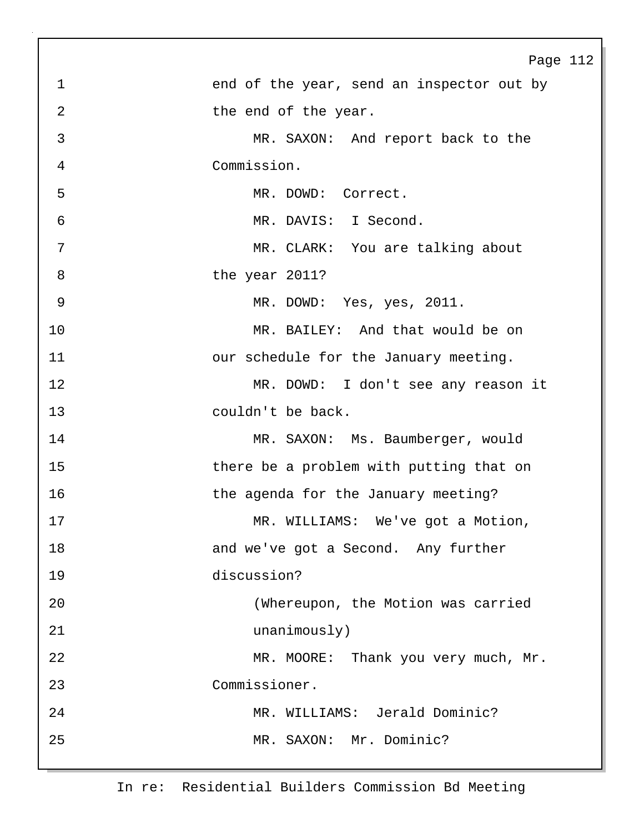|                | Page 112                                  |
|----------------|-------------------------------------------|
| 1              | end of the year, send an inspector out by |
| $\overline{2}$ | the end of the year.                      |
| 3              | MR. SAXON: And report back to the         |
| 4              | Commission.                               |
| 5              | MR. DOWD:<br>Correct.                     |
| 6              | MR. DAVIS: I Second.                      |
| 7              | MR. CLARK: You are talking about          |
| 8              | the year 2011?                            |
| 9              | MR. DOWD: Yes, yes, 2011.                 |
| 10             | MR. BAILEY: And that would be on          |
| 11             | our schedule for the January meeting.     |
| 12             | MR. DOWD: I don't see any reason it       |
| 13             | couldn't be back.                         |
| 14             | MR. SAXON: Ms. Baumberger, would          |
| 15             | there be a problem with putting that on   |
| 16             | the agenda for the January meeting?       |
| 17             | MR.<br>We've got a Motion<br>WILLIAMS:    |
| 18             | and we've got a Second. Any further       |
| 19             | discussion?                               |
| 20             | (Whereupon, the Motion was carried        |
| 21             | unanimously)                              |
| 22             | MR. MOORE: Thank you very much, Mr.       |
| 23             | Commissioner.                             |
| 24             | MR. WILLIAMS: Jerald Dominic?             |
| 25             | MR. SAXON: Mr. Dominic?                   |
|                |                                           |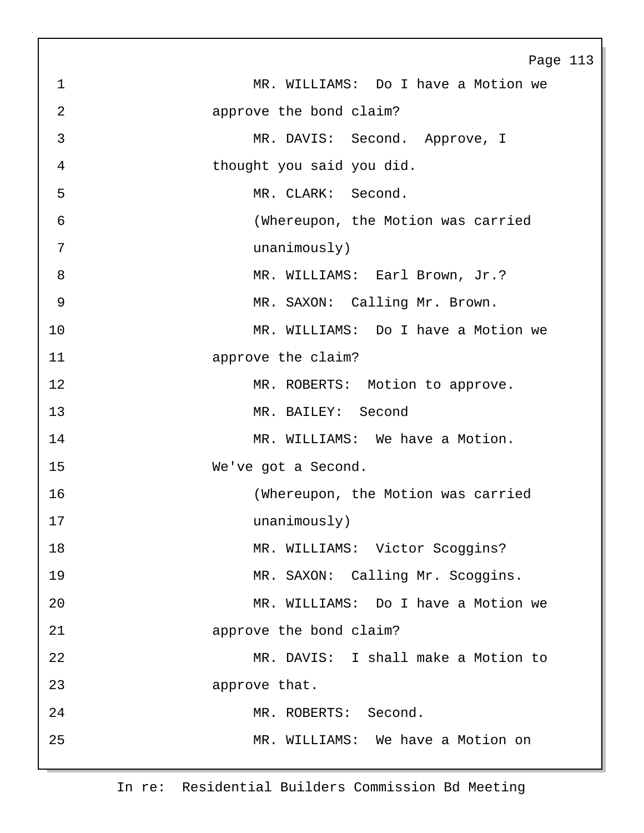|                | Page 113                            |
|----------------|-------------------------------------|
| $\mathbf 1$    | MR. WILLIAMS: Do I have a Motion we |
| $\overline{2}$ | approve the bond claim?             |
| 3              | MR. DAVIS: Second. Approve, I       |
| 4              | thought you said you did.           |
| 5              | MR. CLARK: Second.                  |
| 6              | (Whereupon, the Motion was carried  |
| 7              | unanimously)                        |
| 8              | MR. WILLIAMS: Earl Brown, Jr.?      |
| 9              | MR. SAXON: Calling Mr. Brown.       |
| 10             | MR. WILLIAMS: Do I have a Motion we |
| 11             | approve the claim?                  |
| 12             | MR. ROBERTS: Motion to approve.     |
| 13             | MR. BAILEY: Second                  |
| 14             | MR. WILLIAMS: We have a Motion.     |
| 15             | We've got a Second.                 |
| 16             | (Whereupon, the Motion was carried  |
| $17$           | unanimously)                        |
| 18             | MR. WILLIAMS: Victor Scoggins?      |
| 19             | MR. SAXON: Calling Mr. Scoggins.    |
| 20             | MR. WILLIAMS: Do I have a Motion we |
| 21             | approve the bond claim?             |
| 22             | MR. DAVIS: I shall make a Motion to |
| 23             | approve that.                       |
| 24             | MR. ROBERTS: Second.                |
| 25             | MR. WILLIAMS: We have a Motion on   |
|                |                                     |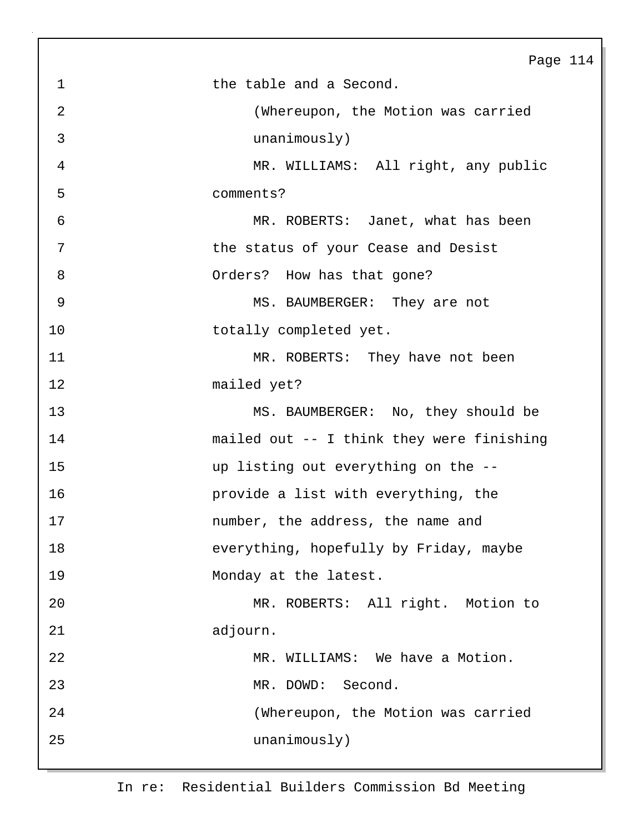|             | Page 114                                  |
|-------------|-------------------------------------------|
| $\mathbf 1$ | the table and a Second.                   |
| 2           | (Whereupon, the Motion was carried        |
| 3           | unanimously)                              |
| 4           | MR. WILLIAMS: All right, any public       |
| 5           | comments?                                 |
| 6           | MR. ROBERTS: Janet, what has been         |
| 7           | the status of your Cease and Desist       |
| 8           | Orders? How has that gone?                |
| $\mathsf 9$ | MS. BAUMBERGER: They are not              |
| 10          | totally completed yet.                    |
| 11          | MR. ROBERTS: They have not been           |
| 12          | mailed yet?                               |
| 13          | MS. BAUMBERGER: No, they should be        |
| 14          | mailed out -- I think they were finishing |
| 15          | up listing out everything on the --       |
| 16          | provide a list with everything, the       |
| 17          | number, the address, the name and         |
| 18          | everything, hopefully by Friday, maybe    |
| 19          | Monday at the latest.                     |
| 20          | MR. ROBERTS: All right. Motion to         |
| 21          | adjourn.                                  |
| 22          | MR. WILLIAMS: We have a Motion.           |
| 23          | MR. DOWD: Second.                         |
| 24          | (Whereupon, the Motion was carried        |
| 25          | unanimously)                              |
|             |                                           |